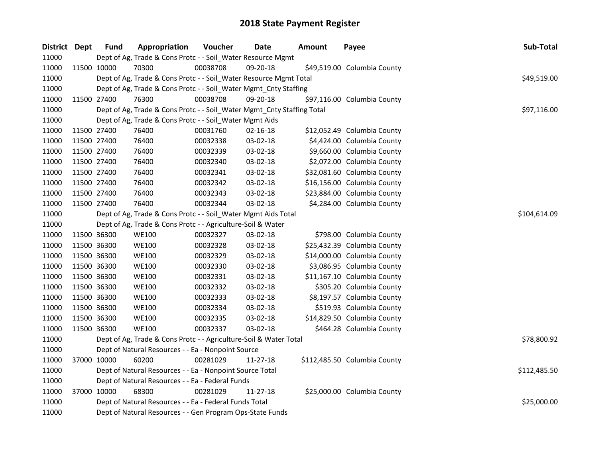| District Dept | <b>Fund</b> | Appropriation                                                          | Voucher  | Date     | <b>Amount</b> | Payee                        | Sub-Total    |
|---------------|-------------|------------------------------------------------------------------------|----------|----------|---------------|------------------------------|--------------|
| 11000         |             | Dept of Ag, Trade & Cons Protc - - Soil_Water Resource Mgmt            |          |          |               |                              |              |
| 11000         | 11500 10000 | 70300                                                                  | 00038708 | 09-20-18 |               | \$49,519.00 Columbia County  |              |
| 11000         |             | Dept of Ag, Trade & Cons Protc - - Soil_Water Resource Mgmt Total      |          |          |               |                              | \$49,519.00  |
| 11000         |             | Dept of Ag, Trade & Cons Protc - - Soil_Water Mgmt_Cnty Staffing       |          |          |               |                              |              |
| 11000         | 11500 27400 | 76300                                                                  | 00038708 | 09-20-18 |               | \$97,116.00 Columbia County  |              |
| 11000         |             | Dept of Ag, Trade & Cons Protc - - Soil_Water Mgmt_Cnty Staffing Total |          |          |               |                              | \$97,116.00  |
| 11000         |             | Dept of Ag, Trade & Cons Protc - - Soil_Water Mgmt Aids                |          |          |               |                              |              |
| 11000         | 11500 27400 | 76400                                                                  | 00031760 | 02-16-18 |               | \$12,052.49 Columbia County  |              |
| 11000         | 11500 27400 | 76400                                                                  | 00032338 | 03-02-18 |               | \$4,424.00 Columbia County   |              |
| 11000         | 11500 27400 | 76400                                                                  | 00032339 | 03-02-18 |               | \$9,660.00 Columbia County   |              |
| 11000         | 11500 27400 | 76400                                                                  | 00032340 | 03-02-18 |               | \$2,072.00 Columbia County   |              |
| 11000         | 11500 27400 | 76400                                                                  | 00032341 | 03-02-18 |               | \$32,081.60 Columbia County  |              |
| 11000         | 11500 27400 | 76400                                                                  | 00032342 | 03-02-18 |               | \$16,156.00 Columbia County  |              |
| 11000         | 11500 27400 | 76400                                                                  | 00032343 | 03-02-18 |               | \$23,884.00 Columbia County  |              |
| 11000         | 11500 27400 | 76400                                                                  | 00032344 | 03-02-18 |               | \$4,284.00 Columbia County   |              |
| 11000         |             | Dept of Ag, Trade & Cons Protc - - Soil_Water Mgmt Aids Total          |          |          |               |                              | \$104,614.09 |
| 11000         |             | Dept of Ag, Trade & Cons Protc - - Agriculture-Soil & Water            |          |          |               |                              |              |
| 11000         | 11500 36300 | <b>WE100</b>                                                           | 00032327 | 03-02-18 |               | \$798.00 Columbia County     |              |
| 11000         | 11500 36300 | WE100                                                                  | 00032328 | 03-02-18 |               | \$25,432.39 Columbia County  |              |
| 11000         | 11500 36300 | <b>WE100</b>                                                           | 00032329 | 03-02-18 |               | \$14,000.00 Columbia County  |              |
| 11000         | 11500 36300 | <b>WE100</b>                                                           | 00032330 | 03-02-18 |               | \$3,086.95 Columbia County   |              |
| 11000         | 11500 36300 | <b>WE100</b>                                                           | 00032331 | 03-02-18 |               | \$11,167.10 Columbia County  |              |
| 11000         | 11500 36300 | <b>WE100</b>                                                           | 00032332 | 03-02-18 |               | \$305.20 Columbia County     |              |
| 11000         | 11500 36300 | <b>WE100</b>                                                           | 00032333 | 03-02-18 |               | \$8,197.57 Columbia County   |              |
| 11000         | 11500 36300 | <b>WE100</b>                                                           | 00032334 | 03-02-18 |               | \$519.93 Columbia County     |              |
| 11000         | 11500 36300 | <b>WE100</b>                                                           | 00032335 | 03-02-18 |               | \$14,829.50 Columbia County  |              |
| 11000         | 11500 36300 | <b>WE100</b>                                                           | 00032337 | 03-02-18 |               | \$464.28 Columbia County     |              |
| 11000         |             | Dept of Ag, Trade & Cons Protc - - Agriculture-Soil & Water Total      |          |          |               |                              | \$78,800.92  |
| 11000         |             | Dept of Natural Resources - - Ea - Nonpoint Source                     |          |          |               |                              |              |
| 11000         | 37000 10000 | 60200                                                                  | 00281029 | 11-27-18 |               | \$112,485.50 Columbia County |              |
| 11000         |             | Dept of Natural Resources - - Ea - Nonpoint Source Total               |          |          |               |                              | \$112,485.50 |
| 11000         |             | Dept of Natural Resources - - Ea - Federal Funds                       |          |          |               |                              |              |
| 11000         | 37000 10000 | 68300                                                                  | 00281029 | 11-27-18 |               | \$25,000.00 Columbia County  |              |
| 11000         |             | Dept of Natural Resources - - Ea - Federal Funds Total                 |          |          |               |                              | \$25,000.00  |
| 11000         |             | Dept of Natural Resources - - Gen Program Ops-State Funds              |          |          |               |                              |              |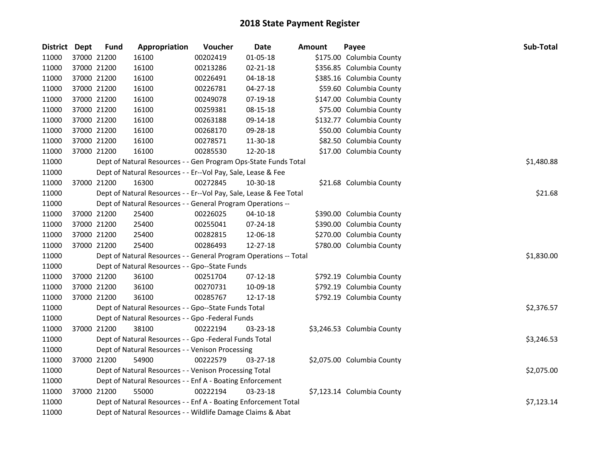| <b>District</b> | <b>Dept</b> | <b>Fund</b> | Appropriation                                                      | Voucher  | <b>Date</b>    | <b>Amount</b> | Payee                      | Sub-Total  |
|-----------------|-------------|-------------|--------------------------------------------------------------------|----------|----------------|---------------|----------------------------|------------|
| 11000           | 37000 21200 |             | 16100                                                              | 00202419 | 01-05-18       |               | \$175.00 Columbia County   |            |
| 11000           | 37000 21200 |             | 16100                                                              | 00213286 | 02-21-18       |               | \$356.85 Columbia County   |            |
| 11000           | 37000 21200 |             | 16100                                                              | 00226491 | 04-18-18       |               | \$385.16 Columbia County   |            |
| 11000           | 37000 21200 |             | 16100                                                              | 00226781 | 04-27-18       |               | \$59.60 Columbia County    |            |
| 11000           | 37000 21200 |             | 16100                                                              | 00249078 | 07-19-18       |               | \$147.00 Columbia County   |            |
| 11000           | 37000 21200 |             | 16100                                                              | 00259381 | 08-15-18       |               | \$75.00 Columbia County    |            |
| 11000           | 37000 21200 |             | 16100                                                              | 00263188 | 09-14-18       |               | \$132.77 Columbia County   |            |
| 11000           | 37000 21200 |             | 16100                                                              | 00268170 | 09-28-18       |               | \$50.00 Columbia County    |            |
| 11000           | 37000 21200 |             | 16100                                                              | 00278571 | 11-30-18       |               | \$82.50 Columbia County    |            |
| 11000           | 37000 21200 |             | 16100                                                              | 00285530 | 12-20-18       |               | \$17.00 Columbia County    |            |
| 11000           |             |             | Dept of Natural Resources - - Gen Program Ops-State Funds Total    |          |                |               |                            | \$1,480.88 |
| 11000           |             |             | Dept of Natural Resources - - Er--Vol Pay, Sale, Lease & Fee       |          |                |               |                            |            |
| 11000           | 37000 21200 |             | 16300                                                              | 00272845 | 10-30-18       |               | \$21.68 Columbia County    |            |
| 11000           |             |             | Dept of Natural Resources - - Er--Vol Pay, Sale, Lease & Fee Total |          |                |               |                            | \$21.68    |
| 11000           |             |             | Dept of Natural Resources - - General Program Operations --        |          |                |               |                            |            |
| 11000           | 37000 21200 |             | 25400                                                              | 00226025 | 04-10-18       |               | \$390.00 Columbia County   |            |
| 11000           | 37000 21200 |             | 25400                                                              | 00255041 | 07-24-18       |               | \$390.00 Columbia County   |            |
| 11000           | 37000 21200 |             | 25400                                                              | 00282815 | 12-06-18       |               | \$270.00 Columbia County   |            |
| 11000           | 37000 21200 |             | 25400                                                              | 00286493 | 12-27-18       |               | \$780.00 Columbia County   |            |
| 11000           |             |             | Dept of Natural Resources - - General Program Operations -- Total  |          |                |               |                            | \$1,830.00 |
| 11000           |             |             | Dept of Natural Resources - - Gpo--State Funds                     |          |                |               |                            |            |
| 11000           | 37000 21200 |             | 36100                                                              | 00251704 | $07 - 12 - 18$ |               | \$792.19 Columbia County   |            |
| 11000           | 37000 21200 |             | 36100                                                              | 00270731 | 10-09-18       |               | \$792.19 Columbia County   |            |
| 11000           | 37000 21200 |             | 36100                                                              | 00285767 | 12-17-18       |               | \$792.19 Columbia County   |            |
| 11000           |             |             | Dept of Natural Resources - - Gpo--State Funds Total               |          |                |               |                            | \$2,376.57 |
| 11000           |             |             | Dept of Natural Resources - - Gpo -Federal Funds                   |          |                |               |                            |            |
| 11000           | 37000 21200 |             | 38100                                                              | 00222194 | 03-23-18       |               | \$3,246.53 Columbia County |            |
| 11000           |             |             | Dept of Natural Resources - - Gpo -Federal Funds Total             |          |                |               |                            | \$3,246.53 |
| 11000           |             |             | Dept of Natural Resources - - Venison Processing                   |          |                |               |                            |            |
| 11000           | 37000 21200 |             | 54900                                                              | 00222579 | 03-27-18       |               | \$2,075.00 Columbia County |            |
| 11000           |             |             | Dept of Natural Resources - - Venison Processing Total             |          |                |               |                            | \$2,075.00 |
| 11000           |             |             | Dept of Natural Resources - - Enf A - Boating Enforcement          |          |                |               |                            |            |
| 11000           |             | 37000 21200 | 55000                                                              | 00222194 | 03-23-18       |               | \$7,123.14 Columbia County |            |
| 11000           |             |             | Dept of Natural Resources - - Enf A - Boating Enforcement Total    |          |                |               |                            | \$7,123.14 |
| 11000           |             |             | Dept of Natural Resources - - Wildlife Damage Claims & Abat        |          |                |               |                            |            |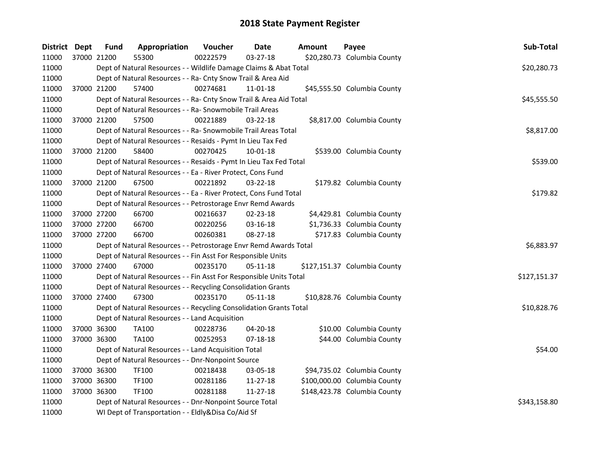| District Dept |             | <b>Fund</b> | Appropriation                                                      | Voucher  | <b>Date</b> | <b>Amount</b> | Payee                        | Sub-Total    |
|---------------|-------------|-------------|--------------------------------------------------------------------|----------|-------------|---------------|------------------------------|--------------|
| 11000         | 37000 21200 |             | 55300                                                              | 00222579 | 03-27-18    |               | \$20,280.73 Columbia County  |              |
| 11000         |             |             | Dept of Natural Resources - - Wildlife Damage Claims & Abat Total  |          |             |               |                              | \$20,280.73  |
| 11000         |             |             | Dept of Natural Resources - - Ra- Cnty Snow Trail & Area Aid       |          |             |               |                              |              |
| 11000         |             | 37000 21200 | 57400                                                              | 00274681 | 11-01-18    |               | \$45,555.50 Columbia County  |              |
| 11000         |             |             | Dept of Natural Resources - - Ra- Cnty Snow Trail & Area Aid Total |          |             |               |                              | \$45,555.50  |
| 11000         |             |             | Dept of Natural Resources - - Ra- Snowmobile Trail Areas           |          |             |               |                              |              |
| 11000         | 37000 21200 |             | 57500                                                              | 00221889 | 03-22-18    |               | \$8,817.00 Columbia County   |              |
| 11000         |             |             | Dept of Natural Resources - - Ra- Snowmobile Trail Areas Total     |          |             |               |                              | \$8,817.00   |
| 11000         |             |             | Dept of Natural Resources - - Resaids - Pymt In Lieu Tax Fed       |          |             |               |                              |              |
| 11000         | 37000 21200 |             | 58400                                                              | 00270425 | 10-01-18    |               | \$539.00 Columbia County     |              |
| 11000         |             |             | Dept of Natural Resources - - Resaids - Pymt In Lieu Tax Fed Total |          |             |               |                              | \$539.00     |
| 11000         |             |             | Dept of Natural Resources - - Ea - River Protect, Cons Fund        |          |             |               |                              |              |
| 11000         | 37000 21200 |             | 67500                                                              | 00221892 | 03-22-18    |               | \$179.82 Columbia County     |              |
| 11000         |             |             | Dept of Natural Resources - - Ea - River Protect, Cons Fund Total  |          |             |               |                              | \$179.82     |
| 11000         |             |             | Dept of Natural Resources - - Petrostorage Envr Remd Awards        |          |             |               |                              |              |
| 11000         | 37000 27200 |             | 66700                                                              | 00216637 | 02-23-18    |               | \$4,429.81 Columbia County   |              |
| 11000         | 37000 27200 |             | 66700                                                              | 00220256 | 03-16-18    |               | \$1,736.33 Columbia County   |              |
| 11000         | 37000 27200 |             | 66700                                                              | 00260381 | 08-27-18    |               | \$717.83 Columbia County     |              |
| 11000         |             |             | Dept of Natural Resources - - Petrostorage Envr Remd Awards Total  |          |             |               |                              | \$6,883.97   |
| 11000         |             |             | Dept of Natural Resources - - Fin Asst For Responsible Units       |          |             |               |                              |              |
| 11000         | 37000 27400 |             | 67000                                                              | 00235170 | 05-11-18    |               | \$127,151.37 Columbia County |              |
| 11000         |             |             | Dept of Natural Resources - - Fin Asst For Responsible Units Total |          |             |               |                              | \$127,151.37 |
| 11000         |             |             | Dept of Natural Resources - - Recycling Consolidation Grants       |          |             |               |                              |              |
| 11000         |             | 37000 27400 | 67300                                                              | 00235170 | 05-11-18    |               | \$10,828.76 Columbia County  |              |
| 11000         |             |             | Dept of Natural Resources - - Recycling Consolidation Grants Total |          |             |               |                              | \$10,828.76  |
| 11000         |             |             | Dept of Natural Resources - - Land Acquisition                     |          |             |               |                              |              |
| 11000         | 37000 36300 |             | <b>TA100</b>                                                       | 00228736 | 04-20-18    |               | \$10.00 Columbia County      |              |
| 11000         |             | 37000 36300 | <b>TA100</b>                                                       | 00252953 | 07-18-18    |               | \$44.00 Columbia County      |              |
| 11000         |             |             | Dept of Natural Resources - - Land Acquisition Total               |          |             |               |                              | \$54.00      |
| 11000         |             |             | Dept of Natural Resources - - Dnr-Nonpoint Source                  |          |             |               |                              |              |
| 11000         | 37000 36300 |             | TF100                                                              | 00218438 | 03-05-18    |               | \$94,735.02 Columbia County  |              |
| 11000         | 37000 36300 |             | TF100                                                              | 00281186 | 11-27-18    |               | \$100,000.00 Columbia County |              |
| 11000         | 37000 36300 |             | TF100                                                              | 00281188 | 11-27-18    |               | \$148,423.78 Columbia County |              |
| 11000         |             |             | Dept of Natural Resources - - Dnr-Nonpoint Source Total            |          |             |               |                              | \$343,158.80 |
| 11000         |             |             | WI Dept of Transportation - - Eldly&Disa Co/Aid Sf                 |          |             |               |                              |              |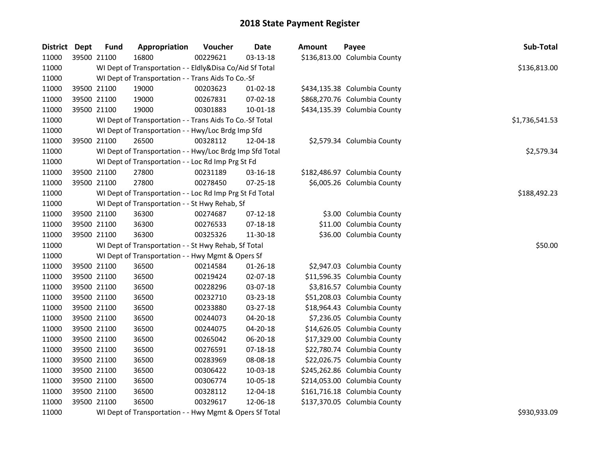| District Dept | <b>Fund</b> | Appropriation                                            | Voucher  | <b>Date</b>    | <b>Amount</b> | Payee                        | Sub-Total      |
|---------------|-------------|----------------------------------------------------------|----------|----------------|---------------|------------------------------|----------------|
| 11000         | 39500 21100 | 16800                                                    | 00229621 | 03-13-18       |               | \$136,813.00 Columbia County |                |
| 11000         |             | WI Dept of Transportation - - Eldly&Disa Co/Aid Sf Total |          |                |               |                              | \$136,813.00   |
| 11000         |             | WI Dept of Transportation - - Trans Aids To Co.-Sf       |          |                |               |                              |                |
| 11000         | 39500 21100 | 19000                                                    | 00203623 | $01-02-18$     |               | \$434,135.38 Columbia County |                |
| 11000         | 39500 21100 | 19000                                                    | 00267831 | 07-02-18       |               | \$868,270.76 Columbia County |                |
| 11000         | 39500 21100 | 19000                                                    | 00301883 | 10-01-18       |               | \$434,135.39 Columbia County |                |
| 11000         |             | WI Dept of Transportation - - Trans Aids To Co.-Sf Total |          |                |               |                              | \$1,736,541.53 |
| 11000         |             | WI Dept of Transportation - - Hwy/Loc Brdg Imp Sfd       |          |                |               |                              |                |
| 11000         | 39500 21100 | 26500                                                    | 00328112 | 12-04-18       |               | \$2,579.34 Columbia County   |                |
| 11000         |             | WI Dept of Transportation - - Hwy/Loc Brdg Imp Sfd Total |          |                |               |                              | \$2,579.34     |
| 11000         |             | WI Dept of Transportation - - Loc Rd Imp Prg St Fd       |          |                |               |                              |                |
| 11000         | 39500 21100 | 27800                                                    | 00231189 | 03-16-18       |               | \$182,486.97 Columbia County |                |
| 11000         | 39500 21100 | 27800                                                    | 00278450 | 07-25-18       |               | \$6,005.26 Columbia County   |                |
| 11000         |             | WI Dept of Transportation - - Loc Rd Imp Prg St Fd Total |          |                |               |                              | \$188,492.23   |
| 11000         |             | WI Dept of Transportation - - St Hwy Rehab, Sf           |          |                |               |                              |                |
| 11000         | 39500 21100 | 36300                                                    | 00274687 | $07-12-18$     |               | \$3.00 Columbia County       |                |
| 11000         | 39500 21100 | 36300                                                    | 00276533 | $07 - 18 - 18$ |               | \$11.00 Columbia County      |                |
| 11000         | 39500 21100 | 36300                                                    | 00325326 | 11-30-18       |               | \$36.00 Columbia County      |                |
| 11000         |             | WI Dept of Transportation - - St Hwy Rehab, Sf Total     |          |                |               |                              | \$50.00        |
| 11000         |             | WI Dept of Transportation - - Hwy Mgmt & Opers Sf        |          |                |               |                              |                |
| 11000         | 39500 21100 | 36500                                                    | 00214584 | 01-26-18       |               | \$2,947.03 Columbia County   |                |
| 11000         | 39500 21100 | 36500                                                    | 00219424 | $02 - 07 - 18$ |               | \$11,596.35 Columbia County  |                |
| 11000         | 39500 21100 | 36500                                                    | 00228296 | 03-07-18       |               | \$3,816.57 Columbia County   |                |
| 11000         | 39500 21100 | 36500                                                    | 00232710 | 03-23-18       |               | \$51,208.03 Columbia County  |                |
| 11000         | 39500 21100 | 36500                                                    | 00233880 | 03-27-18       |               | \$18,964.43 Columbia County  |                |
| 11000         | 39500 21100 | 36500                                                    | 00244073 | 04-20-18       |               | \$7,236.05 Columbia County   |                |
| 11000         | 39500 21100 | 36500                                                    | 00244075 | 04-20-18       |               | \$14,626.05 Columbia County  |                |
| 11000         | 39500 21100 | 36500                                                    | 00265042 | 06-20-18       |               | \$17,329.00 Columbia County  |                |
| 11000         | 39500 21100 | 36500                                                    | 00276591 | $07-18-18$     |               | \$22,780.74 Columbia County  |                |
| 11000         | 39500 21100 | 36500                                                    | 00283969 | 08-08-18       |               | \$22,026.75 Columbia County  |                |
| 11000         | 39500 21100 | 36500                                                    | 00306422 | 10-03-18       |               | \$245,262.86 Columbia County |                |
| 11000         | 39500 21100 | 36500                                                    | 00306774 | 10-05-18       |               | \$214,053.00 Columbia County |                |
| 11000         | 39500 21100 | 36500                                                    | 00328112 | 12-04-18       |               | \$161,716.18 Columbia County |                |
| 11000         | 39500 21100 | 36500                                                    | 00329617 | 12-06-18       |               | \$137,370.05 Columbia County |                |
| 11000         |             | WI Dept of Transportation - - Hwy Mgmt & Opers Sf Total  |          |                |               |                              | \$930,933.09   |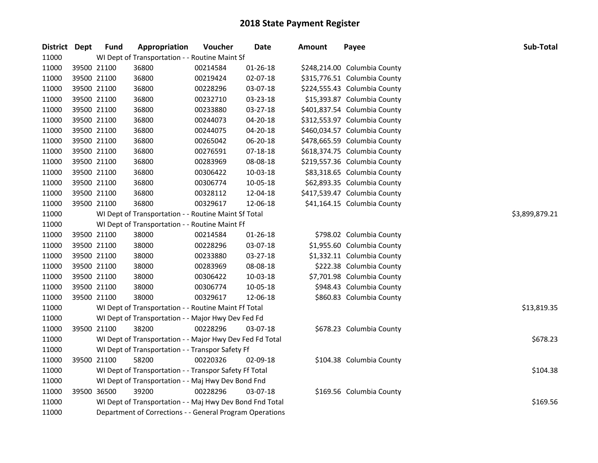| District Dept |             | <b>Fund</b> | Appropriation                                                        | Voucher  | Date           | <b>Amount</b> | Payee                        | Sub-Total      |  |  |  |
|---------------|-------------|-------------|----------------------------------------------------------------------|----------|----------------|---------------|------------------------------|----------------|--|--|--|
| 11000         |             |             | WI Dept of Transportation - - Routine Maint Sf                       |          |                |               |                              |                |  |  |  |
| 11000         |             | 39500 21100 | 36800                                                                | 00214584 | 01-26-18       |               | \$248,214.00 Columbia County |                |  |  |  |
| 11000         |             | 39500 21100 | 36800                                                                | 00219424 | 02-07-18       |               | \$315,776.51 Columbia County |                |  |  |  |
| 11000         |             | 39500 21100 | 36800                                                                | 00228296 | 03-07-18       |               | \$224,555.43 Columbia County |                |  |  |  |
| 11000         |             | 39500 21100 | 36800                                                                | 00232710 | 03-23-18       |               | \$15,393.87 Columbia County  |                |  |  |  |
| 11000         | 39500 21100 |             | 36800                                                                | 00233880 | 03-27-18       |               | \$401,837.54 Columbia County |                |  |  |  |
| 11000         | 39500 21100 |             | 36800                                                                | 00244073 | 04-20-18       |               | \$312,553.97 Columbia County |                |  |  |  |
| 11000         |             | 39500 21100 | 36800                                                                | 00244075 | 04-20-18       |               | \$460,034.57 Columbia County |                |  |  |  |
| 11000         | 39500 21100 |             | 36800                                                                | 00265042 | 06-20-18       |               | \$478,665.59 Columbia County |                |  |  |  |
| 11000         | 39500 21100 |             | 36800                                                                | 00276591 | 07-18-18       |               | \$618,374.75 Columbia County |                |  |  |  |
| 11000         | 39500 21100 |             | 36800                                                                | 00283969 | 08-08-18       |               | \$219,557.36 Columbia County |                |  |  |  |
| 11000         | 39500 21100 |             | 36800                                                                | 00306422 | 10-03-18       |               | \$83,318.65 Columbia County  |                |  |  |  |
| 11000         |             | 39500 21100 | 36800                                                                | 00306774 | 10-05-18       |               | \$62,893.35 Columbia County  |                |  |  |  |
| 11000         |             | 39500 21100 | 36800                                                                | 00328112 | 12-04-18       |               | \$417,539.47 Columbia County |                |  |  |  |
| 11000         | 39500 21100 |             | 36800                                                                | 00329617 | 12-06-18       |               | \$41,164.15 Columbia County  |                |  |  |  |
| 11000         |             |             | WI Dept of Transportation - - Routine Maint Sf Total                 |          |                |               |                              | \$3,899,879.21 |  |  |  |
| 11000         |             |             | WI Dept of Transportation - - Routine Maint Ff                       |          |                |               |                              |                |  |  |  |
| 11000         |             | 39500 21100 | 38000                                                                | 00214584 | $01 - 26 - 18$ |               | \$798.02 Columbia County     |                |  |  |  |
| 11000         | 39500 21100 |             | 38000                                                                | 00228296 | 03-07-18       |               | \$1,955.60 Columbia County   |                |  |  |  |
| 11000         |             | 39500 21100 | 38000                                                                | 00233880 | 03-27-18       |               | \$1,332.11 Columbia County   |                |  |  |  |
| 11000         |             | 39500 21100 | 38000                                                                | 00283969 | 08-08-18       |               | \$222.38 Columbia County     |                |  |  |  |
| 11000         | 39500 21100 |             | 38000                                                                | 00306422 | 10-03-18       |               | \$7,701.98 Columbia County   |                |  |  |  |
| 11000         |             | 39500 21100 | 38000                                                                | 00306774 | 10-05-18       |               | \$948.43 Columbia County     |                |  |  |  |
| 11000         | 39500 21100 |             | 38000                                                                | 00329617 | 12-06-18       |               | \$860.83 Columbia County     |                |  |  |  |
| 11000         |             |             | WI Dept of Transportation - - Routine Maint Ff Total                 |          |                |               |                              | \$13,819.35    |  |  |  |
| 11000         |             |             | WI Dept of Transportation - - Major Hwy Dev Fed Fd                   |          |                |               |                              |                |  |  |  |
| 11000         | 39500 21100 |             | 38200                                                                | 00228296 | 03-07-18       |               | \$678.23 Columbia County     |                |  |  |  |
| 11000         |             |             | WI Dept of Transportation - - Major Hwy Dev Fed Fd Total             |          |                |               |                              | \$678.23       |  |  |  |
| 11000         |             |             | WI Dept of Transportation - - Transpor Safety Ff                     |          |                |               |                              |                |  |  |  |
| 11000         |             | 39500 21100 | 58200                                                                | 00220326 | 02-09-18       |               | \$104.38 Columbia County     |                |  |  |  |
| 11000         |             |             | WI Dept of Transportation - - Transpor Safety Ff Total               |          |                |               |                              | \$104.38       |  |  |  |
| 11000         |             |             | WI Dept of Transportation - - Maj Hwy Dev Bond Fnd                   |          |                |               |                              |                |  |  |  |
| 11000         |             | 39500 36500 | 39200                                                                | 00228296 | 03-07-18       |               | \$169.56 Columbia County     |                |  |  |  |
| 11000         |             |             | \$169.56<br>WI Dept of Transportation - - Maj Hwy Dev Bond Fnd Total |          |                |               |                              |                |  |  |  |
| 11000         |             |             | Department of Corrections - - General Program Operations             |          |                |               |                              |                |  |  |  |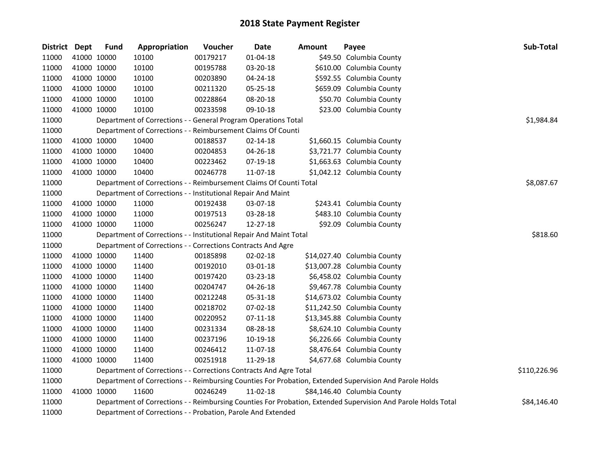| District Dept |             | <b>Fund</b> | Appropriation                                                      | Voucher  | Date           | <b>Amount</b> | Payee                                                                                                         | Sub-Total    |
|---------------|-------------|-------------|--------------------------------------------------------------------|----------|----------------|---------------|---------------------------------------------------------------------------------------------------------------|--------------|
| 11000         |             | 41000 10000 | 10100                                                              | 00179217 | $01 - 04 - 18$ |               | \$49.50 Columbia County                                                                                       |              |
| 11000         | 41000 10000 |             | 10100                                                              | 00195788 | 03-20-18       |               | \$610.00 Columbia County                                                                                      |              |
| 11000         | 41000 10000 |             | 10100                                                              | 00203890 | 04-24-18       |               | \$592.55 Columbia County                                                                                      |              |
| 11000         | 41000 10000 |             | 10100                                                              | 00211320 | 05-25-18       |               | \$659.09 Columbia County                                                                                      |              |
| 11000         | 41000 10000 |             | 10100                                                              | 00228864 | 08-20-18       |               | \$50.70 Columbia County                                                                                       |              |
| 11000         |             | 41000 10000 | 10100                                                              | 00233598 | 09-10-18       |               | \$23.00 Columbia County                                                                                       |              |
| 11000         |             |             | Department of Corrections - - General Program Operations Total     |          |                |               |                                                                                                               | \$1,984.84   |
| 11000         |             |             | Department of Corrections - - Reimbursement Claims Of Counti       |          |                |               |                                                                                                               |              |
| 11000         |             | 41000 10000 | 10400                                                              | 00188537 | 02-14-18       |               | \$1,660.15 Columbia County                                                                                    |              |
| 11000         | 41000 10000 |             | 10400                                                              | 00204853 | 04-26-18       |               | \$3,721.77 Columbia County                                                                                    |              |
| 11000         |             | 41000 10000 | 10400                                                              | 00223462 | 07-19-18       |               | \$1,663.63 Columbia County                                                                                    |              |
| 11000         |             | 41000 10000 | 10400                                                              | 00246778 | 11-07-18       |               | \$1,042.12 Columbia County                                                                                    |              |
| 11000         |             |             | Department of Corrections - - Reimbursement Claims Of Counti Total |          |                |               |                                                                                                               | \$8,087.67   |
| 11000         |             |             | Department of Corrections - - Institutional Repair And Maint       |          |                |               |                                                                                                               |              |
| 11000         |             | 41000 10000 | 11000                                                              | 00192438 | 03-07-18       |               | \$243.41 Columbia County                                                                                      |              |
| 11000         | 41000 10000 |             | 11000                                                              | 00197513 | 03-28-18       |               | \$483.10 Columbia County                                                                                      |              |
| 11000         |             | 41000 10000 | 11000                                                              | 00256247 | 12-27-18       |               | \$92.09 Columbia County                                                                                       |              |
| 11000         |             |             | Department of Corrections - - Institutional Repair And Maint Total |          |                |               |                                                                                                               | \$818.60     |
| 11000         |             |             | Department of Corrections - - Corrections Contracts And Agre       |          |                |               |                                                                                                               |              |
| 11000         |             | 41000 10000 | 11400                                                              | 00185898 | 02-02-18       |               | \$14,027.40 Columbia County                                                                                   |              |
| 11000         | 41000 10000 |             | 11400                                                              | 00192010 | 03-01-18       |               | \$13,007.28 Columbia County                                                                                   |              |
| 11000         | 41000 10000 |             | 11400                                                              | 00197420 | 03-23-18       |               | \$6,458.02 Columbia County                                                                                    |              |
| 11000         | 41000 10000 |             | 11400                                                              | 00204747 | 04-26-18       |               | \$9,467.78 Columbia County                                                                                    |              |
| 11000         | 41000 10000 |             | 11400                                                              | 00212248 | 05-31-18       |               | \$14,673.02 Columbia County                                                                                   |              |
| 11000         |             | 41000 10000 | 11400                                                              | 00218702 | 07-02-18       |               | \$11,242.50 Columbia County                                                                                   |              |
| 11000         |             | 41000 10000 | 11400                                                              | 00220952 | 07-11-18       |               | \$13,345.88 Columbia County                                                                                   |              |
| 11000         | 41000 10000 |             | 11400                                                              | 00231334 | 08-28-18       |               | \$8,624.10 Columbia County                                                                                    |              |
| 11000         | 41000 10000 |             | 11400                                                              | 00237196 | 10-19-18       |               | \$6,226.66 Columbia County                                                                                    |              |
| 11000         |             | 41000 10000 | 11400                                                              | 00246412 | 11-07-18       |               | \$8,476.64 Columbia County                                                                                    |              |
| 11000         |             | 41000 10000 | 11400                                                              | 00251918 | 11-29-18       |               | \$4,677.68 Columbia County                                                                                    |              |
| 11000         |             |             | Department of Corrections - - Corrections Contracts And Agre Total |          |                |               |                                                                                                               | \$110,226.96 |
| 11000         |             |             |                                                                    |          |                |               | Department of Corrections - - Reimbursing Counties For Probation, Extended Supervision And Parole Holds       |              |
| 11000         |             | 41000 10000 | 11600                                                              | 00246249 | 11-02-18       |               | \$84,146.40 Columbia County                                                                                   |              |
| 11000         |             |             |                                                                    |          |                |               | Department of Corrections - - Reimbursing Counties For Probation, Extended Supervision And Parole Holds Total | \$84,146.40  |
| 11000         |             |             | Department of Corrections - - Probation, Parole And Extended       |          |                |               |                                                                                                               |              |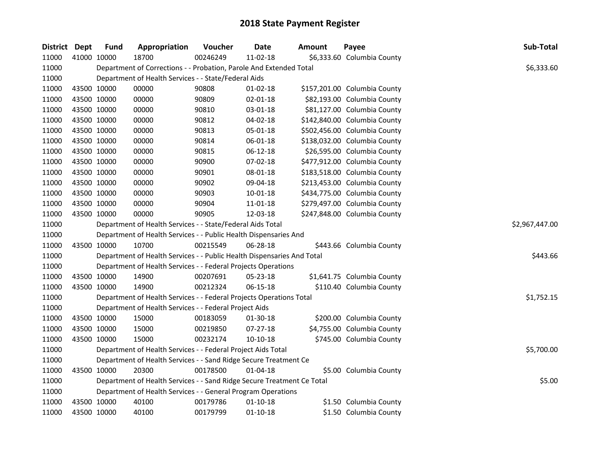| District Dept | <b>Fund</b> | Appropriation                                                          | Voucher  | <b>Date</b>    | <b>Amount</b> | Payee                        | Sub-Total      |
|---------------|-------------|------------------------------------------------------------------------|----------|----------------|---------------|------------------------------|----------------|
| 11000         | 41000 10000 | 18700                                                                  | 00246249 | 11-02-18       |               | \$6,333.60 Columbia County   |                |
| 11000         |             | Department of Corrections - - Probation, Parole And Extended Total     |          |                |               |                              | \$6,333.60     |
| 11000         |             | Department of Health Services - - State/Federal Aids                   |          |                |               |                              |                |
| 11000         | 43500 10000 | 00000                                                                  | 90808    | $01-02-18$     |               | \$157,201.00 Columbia County |                |
| 11000         | 43500 10000 | 00000                                                                  | 90809    | 02-01-18       |               | \$82,193.00 Columbia County  |                |
| 11000         | 43500 10000 | 00000                                                                  | 90810    | 03-01-18       |               | \$81,127.00 Columbia County  |                |
| 11000         | 43500 10000 | 00000                                                                  | 90812    | 04-02-18       |               | \$142,840.00 Columbia County |                |
| 11000         | 43500 10000 | 00000                                                                  | 90813    | 05-01-18       |               | \$502,456.00 Columbia County |                |
| 11000         | 43500 10000 | 00000                                                                  | 90814    | 06-01-18       |               | \$138,032.00 Columbia County |                |
| 11000         | 43500 10000 | 00000                                                                  | 90815    | 06-12-18       |               | \$26,595.00 Columbia County  |                |
| 11000         | 43500 10000 | 00000                                                                  | 90900    | 07-02-18       |               | \$477,912.00 Columbia County |                |
| 11000         | 43500 10000 | 00000                                                                  | 90901    | 08-01-18       |               | \$183,518.00 Columbia County |                |
| 11000         | 43500 10000 | 00000                                                                  | 90902    | 09-04-18       |               | \$213,453.00 Columbia County |                |
| 11000         | 43500 10000 | 00000                                                                  | 90903    | 10-01-18       |               | \$434,775.00 Columbia County |                |
| 11000         | 43500 10000 | 00000                                                                  | 90904    | 11-01-18       |               | \$279,497.00 Columbia County |                |
| 11000         | 43500 10000 | 00000                                                                  | 90905    | 12-03-18       |               | \$247,848.00 Columbia County |                |
| 11000         |             | Department of Health Services - - State/Federal Aids Total             |          |                |               |                              | \$2,967,447.00 |
| 11000         |             | Department of Health Services - - Public Health Dispensaries And       |          |                |               |                              |                |
| 11000         | 43500 10000 | 10700                                                                  | 00215549 | 06-28-18       |               | \$443.66 Columbia County     |                |
| 11000         |             | Department of Health Services - - Public Health Dispensaries And Total |          |                |               |                              | \$443.66       |
| 11000         |             | Department of Health Services - - Federal Projects Operations          |          |                |               |                              |                |
| 11000         | 43500 10000 | 14900                                                                  | 00207691 | 05-23-18       |               | \$1,641.75 Columbia County   |                |
| 11000         | 43500 10000 | 14900                                                                  | 00212324 | 06-15-18       |               | \$110.40 Columbia County     |                |
| 11000         |             | Department of Health Services - - Federal Projects Operations Total    |          |                |               |                              | \$1,752.15     |
| 11000         |             | Department of Health Services - - Federal Project Aids                 |          |                |               |                              |                |
| 11000         | 43500 10000 | 15000                                                                  | 00183059 | 01-30-18       |               | \$200.00 Columbia County     |                |
| 11000         | 43500 10000 | 15000                                                                  | 00219850 | 07-27-18       |               | \$4,755.00 Columbia County   |                |
| 11000         | 43500 10000 | 15000                                                                  | 00232174 | $10-10-18$     |               | \$745.00 Columbia County     |                |
| 11000         |             | Department of Health Services - - Federal Project Aids Total           |          |                |               |                              | \$5,700.00     |
| 11000         |             | Department of Health Services - - Sand Ridge Secure Treatment Ce       |          |                |               |                              |                |
| 11000         | 43500 10000 | 20300                                                                  | 00178500 | $01 - 04 - 18$ |               | \$5.00 Columbia County       |                |
| 11000         |             | Department of Health Services - - Sand Ridge Secure Treatment Ce Total |          |                |               |                              | \$5.00         |
| 11000         |             | Department of Health Services - - General Program Operations           |          |                |               |                              |                |
| 11000         | 43500 10000 | 40100                                                                  | 00179786 | $01 - 10 - 18$ |               | \$1.50 Columbia County       |                |
| 11000         | 43500 10000 | 40100                                                                  | 00179799 | $01 - 10 - 18$ |               | \$1.50 Columbia County       |                |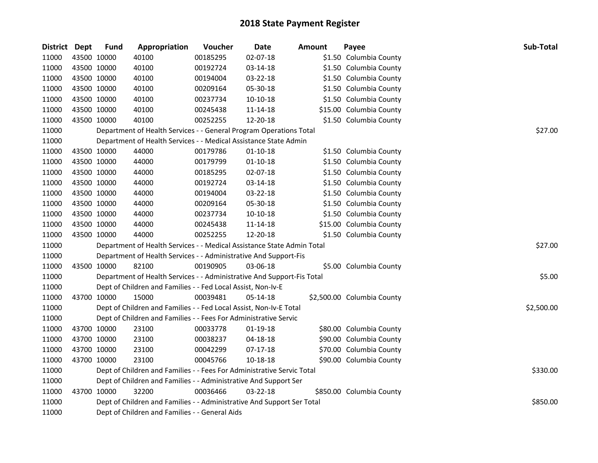| District Dept |             | <b>Fund</b> | Appropriation                                                          | Voucher  | <b>Date</b>    | <b>Amount</b> | Payee                      | Sub-Total  |
|---------------|-------------|-------------|------------------------------------------------------------------------|----------|----------------|---------------|----------------------------|------------|
| 11000         |             | 43500 10000 | 40100                                                                  | 00185295 | 02-07-18       |               | \$1.50 Columbia County     |            |
| 11000         | 43500 10000 |             | 40100                                                                  | 00192724 | 03-14-18       |               | \$1.50 Columbia County     |            |
| 11000         | 43500 10000 |             | 40100                                                                  | 00194004 | 03-22-18       |               | \$1.50 Columbia County     |            |
| 11000         | 43500 10000 |             | 40100                                                                  | 00209164 | 05-30-18       |               | \$1.50 Columbia County     |            |
| 11000         | 43500 10000 |             | 40100                                                                  | 00237734 | 10-10-18       |               | \$1.50 Columbia County     |            |
| 11000         | 43500 10000 |             | 40100                                                                  | 00245438 | 11-14-18       |               | \$15.00 Columbia County    |            |
| 11000         | 43500 10000 |             | 40100                                                                  | 00252255 | 12-20-18       |               | \$1.50 Columbia County     |            |
| 11000         |             |             | Department of Health Services - - General Program Operations Total     |          |                |               |                            | \$27.00    |
| 11000         |             |             | Department of Health Services - - Medical Assistance State Admin       |          |                |               |                            |            |
| 11000         | 43500 10000 |             | 44000                                                                  | 00179786 | $01 - 10 - 18$ |               | \$1.50 Columbia County     |            |
| 11000         | 43500 10000 |             | 44000                                                                  | 00179799 | $01 - 10 - 18$ |               | \$1.50 Columbia County     |            |
| 11000         | 43500 10000 |             | 44000                                                                  | 00185295 | 02-07-18       |               | \$1.50 Columbia County     |            |
| 11000         | 43500 10000 |             | 44000                                                                  | 00192724 | 03-14-18       |               | \$1.50 Columbia County     |            |
| 11000         | 43500 10000 |             | 44000                                                                  | 00194004 | 03-22-18       |               | \$1.50 Columbia County     |            |
| 11000         | 43500 10000 |             | 44000                                                                  | 00209164 | 05-30-18       |               | \$1.50 Columbia County     |            |
| 11000         | 43500 10000 |             | 44000                                                                  | 00237734 | 10-10-18       |               | \$1.50 Columbia County     |            |
| 11000         | 43500 10000 |             | 44000                                                                  | 00245438 | 11-14-18       |               | \$15.00 Columbia County    |            |
| 11000         | 43500 10000 |             | 44000                                                                  | 00252255 | 12-20-18       |               | \$1.50 Columbia County     |            |
| 11000         |             |             | Department of Health Services - - Medical Assistance State Admin Total |          |                |               |                            | \$27.00    |
| 11000         |             |             | Department of Health Services - - Administrative And Support-Fis       |          |                |               |                            |            |
| 11000         | 43500 10000 |             | 82100                                                                  | 00190905 | 03-06-18       |               | \$5.00 Columbia County     |            |
| 11000         |             |             | Department of Health Services - - Administrative And Support-Fis Total |          |                |               |                            | \$5.00     |
| 11000         |             |             | Dept of Children and Families - - Fed Local Assist, Non-Iv-E           |          |                |               |                            |            |
| 11000         | 43700 10000 |             | 15000                                                                  | 00039481 | 05-14-18       |               | \$2,500.00 Columbia County |            |
| 11000         |             |             | Dept of Children and Families - - Fed Local Assist, Non-Iv-E Total     |          |                |               |                            | \$2,500.00 |
| 11000         |             |             | Dept of Children and Families - - Fees For Administrative Servic       |          |                |               |                            |            |
| 11000         | 43700 10000 |             | 23100                                                                  | 00033778 | 01-19-18       |               | \$80.00 Columbia County    |            |
| 11000         | 43700 10000 |             | 23100                                                                  | 00038237 | 04-18-18       |               | \$90.00 Columbia County    |            |
| 11000         | 43700 10000 |             | 23100                                                                  | 00042299 | $07-17-18$     |               | \$70.00 Columbia County    |            |
| 11000         |             | 43700 10000 | 23100                                                                  | 00045766 | 10-18-18       |               | \$90.00 Columbia County    |            |
| 11000         |             |             | Dept of Children and Families - - Fees For Administrative Servic Total |          |                |               |                            | \$330.00   |
| 11000         |             |             | Dept of Children and Families - - Administrative And Support Ser       |          |                |               |                            |            |
| 11000         | 43700 10000 |             | 32200                                                                  | 00036466 | 03-22-18       |               | \$850.00 Columbia County   |            |
| 11000         |             |             | Dept of Children and Families - - Administrative And Support Ser Total |          |                |               |                            | \$850.00   |
| 11000         |             |             | Dept of Children and Families - - General Aids                         |          |                |               |                            |            |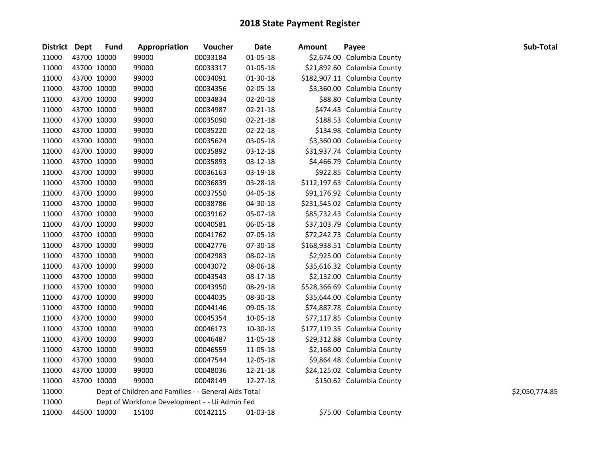| District Dept |             | <b>Fund</b> | Appropriation                                        | Voucher  | Date           | <b>Amount</b> | Payee                        | Sub-Total      |
|---------------|-------------|-------------|------------------------------------------------------|----------|----------------|---------------|------------------------------|----------------|
| 11000         | 43700 10000 |             | 99000                                                | 00033184 | 01-05-18       |               | \$2,674.00 Columbia County   |                |
| 11000         | 43700 10000 |             | 99000                                                | 00033317 | 01-05-18       |               | \$21,892.60 Columbia County  |                |
| 11000         | 43700 10000 |             | 99000                                                | 00034091 | 01-30-18       |               | \$182,907.11 Columbia County |                |
| 11000         | 43700 10000 |             | 99000                                                | 00034356 | 02-05-18       |               | \$3,360.00 Columbia County   |                |
| 11000         | 43700 10000 |             | 99000                                                | 00034834 | 02-20-18       |               | \$88.80 Columbia County      |                |
| 11000         | 43700 10000 |             | 99000                                                | 00034987 | $02 - 21 - 18$ |               | \$474.43 Columbia County     |                |
| 11000         | 43700 10000 |             | 99000                                                | 00035090 | $02 - 21 - 18$ |               | \$188.53 Columbia County     |                |
| 11000         | 43700 10000 |             | 99000                                                | 00035220 | 02-22-18       |               | \$134.98 Columbia County     |                |
| 11000         | 43700 10000 |             | 99000                                                | 00035624 | 03-05-18       |               | \$3,360.00 Columbia County   |                |
| 11000         | 43700 10000 |             | 99000                                                | 00035892 | 03-12-18       |               | \$31,937.74 Columbia County  |                |
| 11000         | 43700 10000 |             | 99000                                                | 00035893 | 03-12-18       |               | \$4,466.79 Columbia County   |                |
| 11000         | 43700 10000 |             | 99000                                                | 00036163 | 03-19-18       |               | \$922.85 Columbia County     |                |
| 11000         | 43700 10000 |             | 99000                                                | 00036839 | 03-28-18       |               | \$112,197.63 Columbia County |                |
| 11000         | 43700 10000 |             | 99000                                                | 00037550 | 04-05-18       |               | \$91,176.92 Columbia County  |                |
| 11000         | 43700 10000 |             | 99000                                                | 00038786 | 04-30-18       |               | \$231,545.02 Columbia County |                |
| 11000         | 43700 10000 |             | 99000                                                | 00039162 | 05-07-18       |               | \$85,732.43 Columbia County  |                |
| 11000         | 43700 10000 |             | 99000                                                | 00040581 | 06-05-18       |               | \$37,103.79 Columbia County  |                |
| 11000         | 43700 10000 |             | 99000                                                | 00041762 | 07-05-18       |               | \$72,242.73 Columbia County  |                |
| 11000         | 43700 10000 |             | 99000                                                | 00042776 | 07-30-18       |               | \$168,938.51 Columbia County |                |
| 11000         | 43700 10000 |             | 99000                                                | 00042983 | 08-02-18       |               | \$2,925.00 Columbia County   |                |
| 11000         | 43700 10000 |             | 99000                                                | 00043072 | 08-06-18       |               | \$35,616.32 Columbia County  |                |
| 11000         | 43700 10000 |             | 99000                                                | 00043543 | 08-17-18       |               | \$2,132.00 Columbia County   |                |
| 11000         | 43700 10000 |             | 99000                                                | 00043950 | 08-29-18       |               | \$528,366.69 Columbia County |                |
| 11000         | 43700 10000 |             | 99000                                                | 00044035 | 08-30-18       |               | \$35,644.00 Columbia County  |                |
| 11000         | 43700 10000 |             | 99000                                                | 00044146 | 09-05-18       |               | \$74,887.78 Columbia County  |                |
| 11000         | 43700 10000 |             | 99000                                                | 00045354 | 10-05-18       |               | \$77,117.85 Columbia County  |                |
| 11000         | 43700 10000 |             | 99000                                                | 00046173 | 10-30-18       |               | \$177,119.35 Columbia County |                |
| 11000         | 43700 10000 |             | 99000                                                | 00046487 | 11-05-18       |               | \$29,312.88 Columbia County  |                |
| 11000         | 43700 10000 |             | 99000                                                | 00046559 | 11-05-18       |               | \$2,168.00 Columbia County   |                |
| 11000         | 43700 10000 |             | 99000                                                | 00047544 | 12-05-18       |               | \$9,864.48 Columbia County   |                |
| 11000         | 43700 10000 |             | 99000                                                | 00048036 | 12-21-18       |               | \$24,125.02 Columbia County  |                |
| 11000         | 43700 10000 |             | 99000                                                | 00048149 | 12-27-18       |               | \$150.62 Columbia County     |                |
| 11000         |             |             | Dept of Children and Families - - General Aids Total |          |                |               |                              | \$2,050,774.85 |
| 11000         |             |             | Dept of Workforce Development - - Ui Admin Fed       |          |                |               |                              |                |
| 11000         | 44500 10000 |             | 15100                                                | 00142115 | 01-03-18       |               | \$75.00 Columbia County      |                |
|               |             |             |                                                      |          |                |               |                              |                |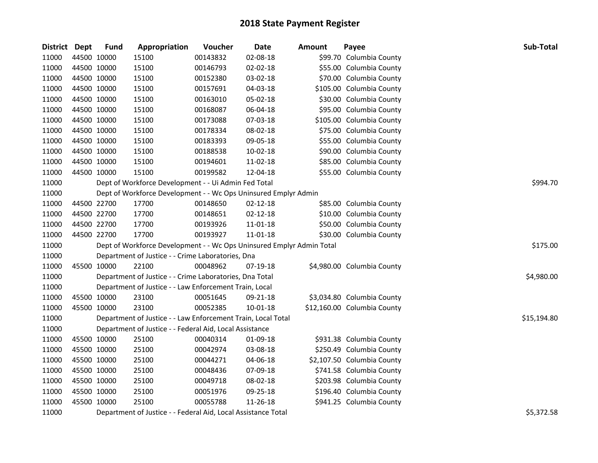| District Dept | <b>Fund</b> | Appropriation                                                         | Voucher  | <b>Date</b>    | <b>Amount</b> | Payee                       | Sub-Total   |
|---------------|-------------|-----------------------------------------------------------------------|----------|----------------|---------------|-----------------------------|-------------|
| 11000         | 44500 10000 | 15100                                                                 | 00143832 | 02-08-18       |               | \$99.70 Columbia County     |             |
| 11000         | 44500 10000 | 15100                                                                 | 00146793 | 02-02-18       |               | \$55.00 Columbia County     |             |
| 11000         | 44500 10000 | 15100                                                                 | 00152380 | 03-02-18       |               | \$70.00 Columbia County     |             |
| 11000         | 44500 10000 | 15100                                                                 | 00157691 | 04-03-18       |               | \$105.00 Columbia County    |             |
| 11000         | 44500 10000 | 15100                                                                 | 00163010 | 05-02-18       |               | \$30.00 Columbia County     |             |
| 11000         | 44500 10000 | 15100                                                                 | 00168087 | 06-04-18       |               | \$95.00 Columbia County     |             |
| 11000         | 44500 10000 | 15100                                                                 | 00173088 | 07-03-18       |               | \$105.00 Columbia County    |             |
| 11000         | 44500 10000 | 15100                                                                 | 00178334 | 08-02-18       |               | \$75.00 Columbia County     |             |
| 11000         | 44500 10000 | 15100                                                                 | 00183393 | 09-05-18       |               | \$55.00 Columbia County     |             |
| 11000         | 44500 10000 | 15100                                                                 | 00188538 | 10-02-18       |               | \$90.00 Columbia County     |             |
| 11000         | 44500 10000 | 15100                                                                 | 00194601 | 11-02-18       |               | \$85.00 Columbia County     |             |
| 11000         | 44500 10000 | 15100                                                                 | 00199582 | 12-04-18       |               | \$55.00 Columbia County     |             |
| 11000         |             | Dept of Workforce Development - - Ui Admin Fed Total                  |          |                |               |                             | \$994.70    |
| 11000         |             | Dept of Workforce Development - - Wc Ops Uninsured Emplyr Admin       |          |                |               |                             |             |
| 11000         | 44500 22700 | 17700                                                                 | 00148650 | $02 - 12 - 18$ |               | \$85.00 Columbia County     |             |
| 11000         | 44500 22700 | 17700                                                                 | 00148651 | 02-12-18       |               | \$10.00 Columbia County     |             |
| 11000         | 44500 22700 | 17700                                                                 | 00193926 | 11-01-18       |               | \$50.00 Columbia County     |             |
| 11000         | 44500 22700 | 17700                                                                 | 00193927 | 11-01-18       |               | \$30.00 Columbia County     |             |
| 11000         |             | Dept of Workforce Development - - Wc Ops Uninsured Emplyr Admin Total |          |                |               |                             | \$175.00    |
| 11000         |             | Department of Justice - - Crime Laboratories, Dna                     |          |                |               |                             |             |
| 11000         | 45500 10000 | 22100                                                                 | 00048962 | 07-19-18       |               | \$4,980.00 Columbia County  |             |
| 11000         |             | Department of Justice - - Crime Laboratories, Dna Total               |          |                |               |                             | \$4,980.00  |
| 11000         |             | Department of Justice - - Law Enforcement Train, Local                |          |                |               |                             |             |
| 11000         | 45500 10000 | 23100                                                                 | 00051645 | 09-21-18       |               | \$3,034.80 Columbia County  |             |
| 11000         | 45500 10000 | 23100                                                                 | 00052385 | 10-01-18       |               | \$12,160.00 Columbia County |             |
| 11000         |             | Department of Justice - - Law Enforcement Train, Local Total          |          |                |               |                             | \$15,194.80 |
| 11000         |             | Department of Justice - - Federal Aid, Local Assistance               |          |                |               |                             |             |
| 11000         | 45500 10000 | 25100                                                                 | 00040314 | 01-09-18       |               | \$931.38 Columbia County    |             |
| 11000         | 45500 10000 | 25100                                                                 | 00042974 | 03-08-18       |               | \$250.49 Columbia County    |             |
| 11000         | 45500 10000 | 25100                                                                 | 00044271 | 04-06-18       |               | \$2,107.50 Columbia County  |             |
| 11000         | 45500 10000 | 25100                                                                 | 00048436 | 07-09-18       |               | \$741.58 Columbia County    |             |
| 11000         | 45500 10000 | 25100                                                                 | 00049718 | 08-02-18       |               | \$203.98 Columbia County    |             |
| 11000         | 45500 10000 | 25100                                                                 | 00051976 | 09-25-18       |               | \$196.40 Columbia County    |             |
| 11000         | 45500 10000 | 25100                                                                 | 00055788 | 11-26-18       |               | \$941.25 Columbia County    |             |
| 11000         |             | Department of Justice - - Federal Aid, Local Assistance Total         |          |                |               |                             | \$5,372.58  |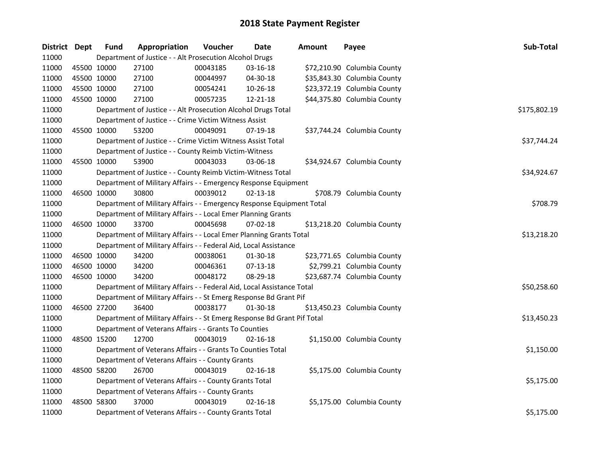| District Dept |             | <b>Fund</b> | Appropriation                                                           | Voucher  | <b>Date</b>    | <b>Amount</b> | Payee                       | Sub-Total    |
|---------------|-------------|-------------|-------------------------------------------------------------------------|----------|----------------|---------------|-----------------------------|--------------|
| 11000         |             |             | Department of Justice - - Alt Prosecution Alcohol Drugs                 |          |                |               |                             |              |
| 11000         | 45500 10000 |             | 27100                                                                   | 00043185 | 03-16-18       |               | \$72,210.90 Columbia County |              |
| 11000         | 45500 10000 |             | 27100                                                                   | 00044997 | 04-30-18       |               | \$35,843.30 Columbia County |              |
| 11000         | 45500 10000 |             | 27100                                                                   | 00054241 | 10-26-18       |               | \$23,372.19 Columbia County |              |
| 11000         | 45500 10000 |             | 27100                                                                   | 00057235 | 12-21-18       |               | \$44,375.80 Columbia County |              |
| 11000         |             |             | Department of Justice - - Alt Prosecution Alcohol Drugs Total           |          |                |               |                             | \$175,802.19 |
| 11000         |             |             | Department of Justice - - Crime Victim Witness Assist                   |          |                |               |                             |              |
| 11000         |             | 45500 10000 | 53200                                                                   | 00049091 | 07-19-18       |               | \$37,744.24 Columbia County |              |
| 11000         |             |             | Department of Justice - - Crime Victim Witness Assist Total             |          |                |               |                             | \$37,744.24  |
| 11000         |             |             | Department of Justice - - County Reimb Victim-Witness                   |          |                |               |                             |              |
| 11000         | 45500 10000 |             | 53900                                                                   | 00043033 | 03-06-18       |               | \$34,924.67 Columbia County |              |
| 11000         |             |             | Department of Justice - - County Reimb Victim-Witness Total             |          |                |               |                             | \$34,924.67  |
| 11000         |             |             | Department of Military Affairs - - Emergency Response Equipment         |          |                |               |                             |              |
| 11000         | 46500 10000 |             | 30800                                                                   | 00039012 | $02 - 13 - 18$ |               | \$708.79 Columbia County    |              |
| 11000         |             |             | Department of Military Affairs - - Emergency Response Equipment Total   |          |                |               |                             | \$708.79     |
| 11000         |             |             | Department of Military Affairs - - Local Emer Planning Grants           |          |                |               |                             |              |
| 11000         | 46500 10000 |             | 33700                                                                   | 00045698 | 07-02-18       |               | \$13,218.20 Columbia County |              |
| 11000         |             |             | Department of Military Affairs - - Local Emer Planning Grants Total     |          |                |               |                             | \$13,218.20  |
| 11000         |             |             | Department of Military Affairs - - Federal Aid, Local Assistance        |          |                |               |                             |              |
| 11000         | 46500 10000 |             | 34200                                                                   | 00038061 | 01-30-18       |               | \$23,771.65 Columbia County |              |
| 11000         |             | 46500 10000 | 34200                                                                   | 00046361 | 07-13-18       |               | \$2,799.21 Columbia County  |              |
| 11000         | 46500 10000 |             | 34200                                                                   | 00048172 | 08-29-18       |               | \$23,687.74 Columbia County |              |
| 11000         |             |             | Department of Military Affairs - - Federal Aid, Local Assistance Total  |          |                |               |                             | \$50,258.60  |
| 11000         |             |             | Department of Military Affairs - - St Emerg Response Bd Grant Pif       |          |                |               |                             |              |
| 11000         | 46500 27200 |             | 36400                                                                   | 00038177 | 01-30-18       |               | \$13,450.23 Columbia County |              |
| 11000         |             |             | Department of Military Affairs - - St Emerg Response Bd Grant Pif Total |          |                |               |                             | \$13,450.23  |
| 11000         |             |             | Department of Veterans Affairs - - Grants To Counties                   |          |                |               |                             |              |
| 11000         | 48500 15200 |             | 12700                                                                   | 00043019 | 02-16-18       |               | \$1,150.00 Columbia County  |              |
| 11000         |             |             | Department of Veterans Affairs - - Grants To Counties Total             |          |                |               |                             | \$1,150.00   |
| 11000         |             |             | Department of Veterans Affairs - - County Grants                        |          |                |               |                             |              |
| 11000         | 48500 58200 |             | 26700                                                                   | 00043019 | $02 - 16 - 18$ |               | \$5,175.00 Columbia County  |              |
| 11000         |             |             | Department of Veterans Affairs - - County Grants Total                  |          |                |               |                             | \$5,175.00   |
| 11000         |             |             | Department of Veterans Affairs - - County Grants                        |          |                |               |                             |              |
| 11000         | 48500 58300 |             | 37000                                                                   | 00043019 | $02 - 16 - 18$ |               | \$5,175.00 Columbia County  |              |
| 11000         |             |             | Department of Veterans Affairs - - County Grants Total                  |          |                |               |                             | \$5,175.00   |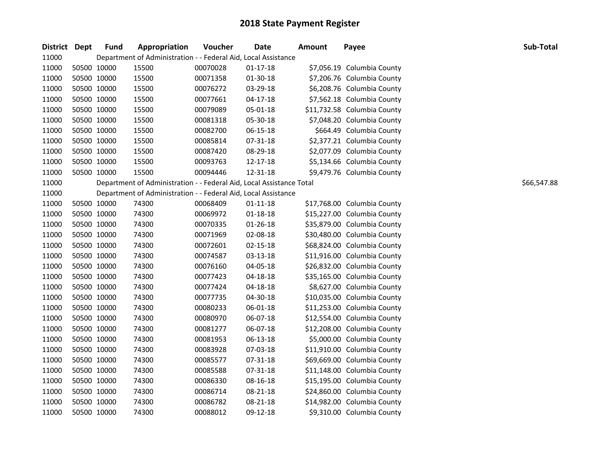| District Dept |             | <b>Fund</b> | Appropriation                                                        | Voucher  | <b>Date</b>    | <b>Amount</b> | Payee                       | Sub-Total   |
|---------------|-------------|-------------|----------------------------------------------------------------------|----------|----------------|---------------|-----------------------------|-------------|
| 11000         |             |             | Department of Administration - - Federal Aid, Local Assistance       |          |                |               |                             |             |
| 11000         |             | 50500 10000 | 15500                                                                | 00070028 | $01 - 17 - 18$ |               | \$7,056.19 Columbia County  |             |
| 11000         |             | 50500 10000 | 15500                                                                | 00071358 | 01-30-18       |               | \$7,206.76 Columbia County  |             |
| 11000         |             | 50500 10000 | 15500                                                                | 00076272 | 03-29-18       |               | \$6,208.76 Columbia County  |             |
| 11000         |             | 50500 10000 | 15500                                                                | 00077661 | $04 - 17 - 18$ |               | \$7,562.18 Columbia County  |             |
| 11000         |             | 50500 10000 | 15500                                                                | 00079089 | 05-01-18       |               | \$11,732.58 Columbia County |             |
| 11000         |             | 50500 10000 | 15500                                                                | 00081318 | 05-30-18       |               | \$7,048.20 Columbia County  |             |
| 11000         |             | 50500 10000 | 15500                                                                | 00082700 | 06-15-18       |               | \$664.49 Columbia County    |             |
| 11000         |             | 50500 10000 | 15500                                                                | 00085814 | 07-31-18       |               | \$2,377.21 Columbia County  |             |
| 11000         |             | 50500 10000 | 15500                                                                | 00087420 | 08-29-18       |               | \$2,077.09 Columbia County  |             |
| 11000         |             | 50500 10000 | 15500                                                                | 00093763 | 12-17-18       |               | \$5,134.66 Columbia County  |             |
| 11000         |             | 50500 10000 | 15500                                                                | 00094446 | 12-31-18       |               | \$9,479.76 Columbia County  |             |
| 11000         |             |             | Department of Administration - - Federal Aid, Local Assistance Total |          |                |               |                             | \$66,547.88 |
| 11000         |             |             | Department of Administration - - Federal Aid, Local Assistance       |          |                |               |                             |             |
| 11000         |             | 50500 10000 | 74300                                                                | 00068409 | $01 - 11 - 18$ |               | \$17,768.00 Columbia County |             |
| 11000         |             | 50500 10000 | 74300                                                                | 00069972 | $01 - 18 - 18$ |               | \$15,227.00 Columbia County |             |
| 11000         |             | 50500 10000 | 74300                                                                | 00070335 | 01-26-18       |               | \$35,879.00 Columbia County |             |
| 11000         |             | 50500 10000 | 74300                                                                | 00071969 | 02-08-18       |               | \$30,480.00 Columbia County |             |
| 11000         |             | 50500 10000 | 74300                                                                | 00072601 | 02-15-18       |               | \$68,824.00 Columbia County |             |
| 11000         |             | 50500 10000 | 74300                                                                | 00074587 | 03-13-18       |               | \$11,916.00 Columbia County |             |
| 11000         |             | 50500 10000 | 74300                                                                | 00076160 | 04-05-18       |               | \$26,832.00 Columbia County |             |
| 11000         |             | 50500 10000 | 74300                                                                | 00077423 | 04-18-18       |               | \$35,165.00 Columbia County |             |
| 11000         |             | 50500 10000 | 74300                                                                | 00077424 | 04-18-18       |               | \$8,627.00 Columbia County  |             |
| 11000         |             | 50500 10000 | 74300                                                                | 00077735 | 04-30-18       |               | \$10,035.00 Columbia County |             |
| 11000         |             | 50500 10000 | 74300                                                                | 00080233 | 06-01-18       |               | \$11,253.00 Columbia County |             |
| 11000         |             | 50500 10000 | 74300                                                                | 00080970 | 06-07-18       |               | \$12,554.00 Columbia County |             |
| 11000         |             | 50500 10000 | 74300                                                                | 00081277 | 06-07-18       |               | \$12,208.00 Columbia County |             |
| 11000         |             | 50500 10000 | 74300                                                                | 00081953 | 06-13-18       |               | \$5,000.00 Columbia County  |             |
| 11000         |             | 50500 10000 | 74300                                                                | 00083928 | 07-03-18       |               | \$11,910.00 Columbia County |             |
| 11000         |             | 50500 10000 | 74300                                                                | 00085577 | 07-31-18       |               | \$69,669.00 Columbia County |             |
| 11000         |             | 50500 10000 | 74300                                                                | 00085588 | 07-31-18       |               | \$11,148.00 Columbia County |             |
| 11000         |             | 50500 10000 | 74300                                                                | 00086330 | 08-16-18       |               | \$15,195.00 Columbia County |             |
| 11000         |             | 50500 10000 | 74300                                                                | 00086714 | 08-21-18       |               | \$24,860.00 Columbia County |             |
| 11000         |             | 50500 10000 | 74300                                                                | 00086782 | 08-21-18       |               | \$14,982.00 Columbia County |             |
| 11000         | 50500 10000 |             | 74300                                                                | 00088012 | 09-12-18       |               | \$9,310.00 Columbia County  |             |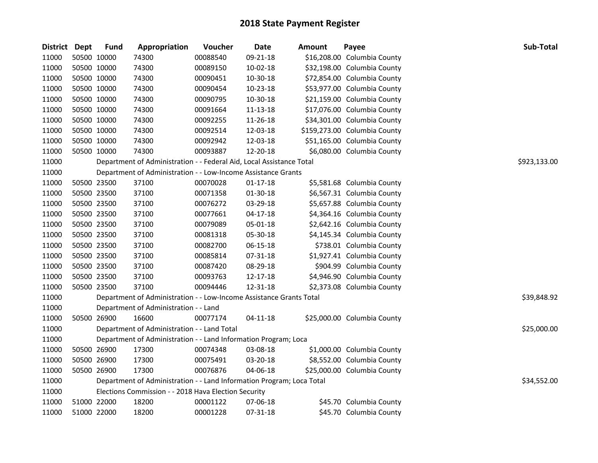| District Dept | <b>Fund</b> | Appropriation                                                         | Voucher  | <b>Date</b>    | <b>Amount</b> | Payee                        | Sub-Total    |
|---------------|-------------|-----------------------------------------------------------------------|----------|----------------|---------------|------------------------------|--------------|
| 11000         | 50500 10000 | 74300                                                                 | 00088540 | 09-21-18       |               | \$16,208.00 Columbia County  |              |
| 11000         | 50500 10000 | 74300                                                                 | 00089150 | $10 - 02 - 18$ |               | \$32,198.00 Columbia County  |              |
| 11000         | 50500 10000 | 74300                                                                 | 00090451 | 10-30-18       |               | \$72,854.00 Columbia County  |              |
| 11000         | 50500 10000 | 74300                                                                 | 00090454 | 10-23-18       |               | \$53,977.00 Columbia County  |              |
| 11000         | 50500 10000 | 74300                                                                 | 00090795 | 10-30-18       |               | \$21,159.00 Columbia County  |              |
| 11000         | 50500 10000 | 74300                                                                 | 00091664 | 11-13-18       |               | \$17,076.00 Columbia County  |              |
| 11000         | 50500 10000 | 74300                                                                 | 00092255 | 11-26-18       |               | \$34,301.00 Columbia County  |              |
| 11000         | 50500 10000 | 74300                                                                 | 00092514 | 12-03-18       |               | \$159,273.00 Columbia County |              |
| 11000         | 50500 10000 | 74300                                                                 | 00092942 | 12-03-18       |               | \$51,165.00 Columbia County  |              |
| 11000         | 50500 10000 | 74300                                                                 | 00093887 | 12-20-18       |               | \$6,080.00 Columbia County   |              |
| 11000         |             | Department of Administration - - Federal Aid, Local Assistance Total  |          |                |               |                              | \$923,133.00 |
| 11000         |             | Department of Administration - - Low-Income Assistance Grants         |          |                |               |                              |              |
| 11000         | 50500 23500 | 37100                                                                 | 00070028 | $01 - 17 - 18$ |               | \$5,581.68 Columbia County   |              |
| 11000         | 50500 23500 | 37100                                                                 | 00071358 | 01-30-18       |               | \$6,567.31 Columbia County   |              |
| 11000         | 50500 23500 | 37100                                                                 | 00076272 | 03-29-18       |               | \$5,657.88 Columbia County   |              |
| 11000         | 50500 23500 | 37100                                                                 | 00077661 | $04 - 17 - 18$ |               | \$4,364.16 Columbia County   |              |
| 11000         | 50500 23500 | 37100                                                                 | 00079089 | 05-01-18       |               | \$2,642.16 Columbia County   |              |
| 11000         | 50500 23500 | 37100                                                                 | 00081318 | 05-30-18       |               | \$4,145.34 Columbia County   |              |
| 11000         | 50500 23500 | 37100                                                                 | 00082700 | 06-15-18       |               | \$738.01 Columbia County     |              |
| 11000         | 50500 23500 | 37100                                                                 | 00085814 | 07-31-18       |               | \$1,927.41 Columbia County   |              |
| 11000         | 50500 23500 | 37100                                                                 | 00087420 | 08-29-18       |               | \$904.99 Columbia County     |              |
| 11000         | 50500 23500 | 37100                                                                 | 00093763 | 12-17-18       |               | \$4,946.90 Columbia County   |              |
| 11000         | 50500 23500 | 37100                                                                 | 00094446 | 12-31-18       |               | \$2,373.08 Columbia County   |              |
| 11000         |             | Department of Administration - - Low-Income Assistance Grants Total   |          |                |               |                              | \$39,848.92  |
| 11000         |             | Department of Administration - - Land                                 |          |                |               |                              |              |
| 11000         | 50500 26900 | 16600                                                                 | 00077174 | 04-11-18       |               | \$25,000.00 Columbia County  |              |
| 11000         |             | Department of Administration - - Land Total                           |          |                |               |                              | \$25,000.00  |
| 11000         |             | Department of Administration - - Land Information Program; Loca       |          |                |               |                              |              |
| 11000         | 50500 26900 | 17300                                                                 | 00074348 | 03-08-18       |               | \$1,000.00 Columbia County   |              |
| 11000         | 50500 26900 | 17300                                                                 | 00075491 | 03-20-18       |               | \$8,552.00 Columbia County   |              |
| 11000         | 50500 26900 | 17300                                                                 | 00076876 | 04-06-18       |               | \$25,000.00 Columbia County  |              |
| 11000         |             | Department of Administration - - Land Information Program; Loca Total |          |                |               |                              | \$34,552.00  |
| 11000         |             | Elections Commission - - 2018 Hava Election Security                  |          |                |               |                              |              |
| 11000         | 51000 22000 | 18200                                                                 | 00001122 | 07-06-18       |               | \$45.70 Columbia County      |              |
| 11000         | 51000 22000 | 18200                                                                 | 00001228 | 07-31-18       |               | \$45.70 Columbia County      |              |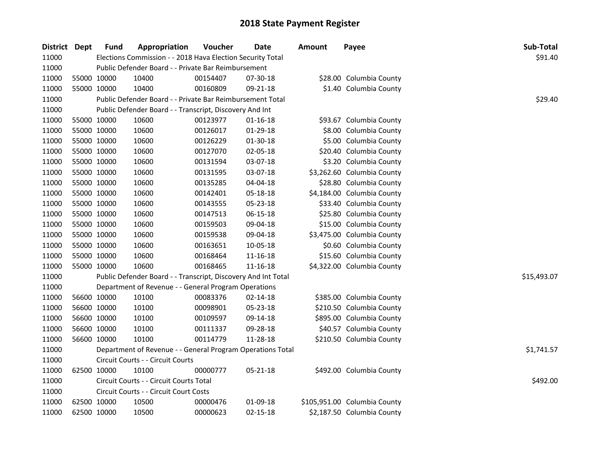| District Dept |             | <b>Fund</b> | Appropriation                                                 | Voucher  | <b>Date</b>    | <b>Amount</b> | Payee                        | Sub-Total   |
|---------------|-------------|-------------|---------------------------------------------------------------|----------|----------------|---------------|------------------------------|-------------|
| 11000         |             |             | Elections Commission - - 2018 Hava Election Security Total    |          |                |               |                              | \$91.40     |
| 11000         |             |             | Public Defender Board - - Private Bar Reimbursement           |          |                |               |                              |             |
| 11000         | 55000 10000 |             | 10400                                                         | 00154407 | 07-30-18       |               | \$28.00 Columbia County      |             |
| 11000         | 55000 10000 |             | 10400                                                         | 00160809 | 09-21-18       |               | \$1.40 Columbia County       |             |
| 11000         |             |             | Public Defender Board - - Private Bar Reimbursement Total     |          |                |               |                              | \$29.40     |
| 11000         |             |             | Public Defender Board - - Transcript, Discovery And Int       |          |                |               |                              |             |
| 11000         |             | 55000 10000 | 10600                                                         | 00123977 | $01 - 16 - 18$ |               | \$93.67 Columbia County      |             |
| 11000         | 55000 10000 |             | 10600                                                         | 00126017 | 01-29-18       |               | \$8.00 Columbia County       |             |
| 11000         | 55000 10000 |             | 10600                                                         | 00126229 | 01-30-18       |               | \$5.00 Columbia County       |             |
| 11000         | 55000 10000 |             | 10600                                                         | 00127070 | 02-05-18       |               | \$20.40 Columbia County      |             |
| 11000         | 55000 10000 |             | 10600                                                         | 00131594 | 03-07-18       |               | \$3.20 Columbia County       |             |
| 11000         | 55000 10000 |             | 10600                                                         | 00131595 | 03-07-18       |               | \$3,262.60 Columbia County   |             |
| 11000         | 55000 10000 |             | 10600                                                         | 00135285 | 04-04-18       |               | \$28.80 Columbia County      |             |
| 11000         | 55000 10000 |             | 10600                                                         | 00142401 | 05-18-18       |               | \$4,184.00 Columbia County   |             |
| 11000         | 55000 10000 |             | 10600                                                         | 00143555 | 05-23-18       |               | \$33.40 Columbia County      |             |
| 11000         | 55000 10000 |             | 10600                                                         | 00147513 | 06-15-18       |               | \$25.80 Columbia County      |             |
| 11000         | 55000 10000 |             | 10600                                                         | 00159503 | 09-04-18       |               | \$15.00 Columbia County      |             |
| 11000         | 55000 10000 |             | 10600                                                         | 00159538 | 09-04-18       |               | \$3,475.00 Columbia County   |             |
| 11000         | 55000 10000 |             | 10600                                                         | 00163651 | 10-05-18       |               | \$0.60 Columbia County       |             |
| 11000         | 55000 10000 |             | 10600                                                         | 00168464 | $11 - 16 - 18$ |               | \$15.60 Columbia County      |             |
| 11000         |             | 55000 10000 | 10600                                                         | 00168465 | $11 - 16 - 18$ |               | \$4,322.00 Columbia County   |             |
| 11000         |             |             | Public Defender Board - - Transcript, Discovery And Int Total |          |                |               |                              | \$15,493.07 |
| 11000         |             |             | Department of Revenue - - General Program Operations          |          |                |               |                              |             |
| 11000         |             | 56600 10000 | 10100                                                         | 00083376 | 02-14-18       |               | \$385.00 Columbia County     |             |
| 11000         |             | 56600 10000 | 10100                                                         | 00098901 | 05-23-18       |               | \$210.50 Columbia County     |             |
| 11000         | 56600 10000 |             | 10100                                                         | 00109597 | 09-14-18       |               | \$895.00 Columbia County     |             |
| 11000         | 56600 10000 |             | 10100                                                         | 00111337 | 09-28-18       |               | \$40.57 Columbia County      |             |
| 11000         |             | 56600 10000 | 10100                                                         | 00114779 | 11-28-18       |               | \$210.50 Columbia County     |             |
| 11000         |             |             | Department of Revenue - - General Program Operations Total    |          |                |               |                              | \$1,741.57  |
| 11000         |             |             | Circuit Courts - - Circuit Courts                             |          |                |               |                              |             |
| 11000         |             | 62500 10000 | 10100                                                         | 00000777 | 05-21-18       |               | \$492.00 Columbia County     |             |
| 11000         |             |             | Circuit Courts - - Circuit Courts Total                       |          |                | \$492.00      |                              |             |
| 11000         |             |             | Circuit Courts - - Circuit Court Costs                        |          |                |               |                              |             |
| 11000         |             | 62500 10000 | 10500                                                         | 00000476 | 01-09-18       |               | \$105,951.00 Columbia County |             |
| 11000         | 62500 10000 |             | 10500                                                         | 00000623 | $02 - 15 - 18$ |               | \$2,187.50 Columbia County   |             |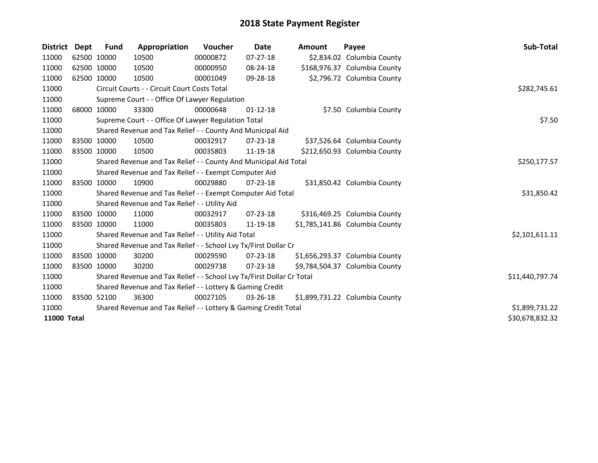| <b>District</b>    | Dept | <b>Fund</b> | Appropriation                                                         | <b>Voucher</b>  | Date           | <b>Amount</b> | Payee                          | <b>Sub-Total</b> |
|--------------------|------|-------------|-----------------------------------------------------------------------|-----------------|----------------|---------------|--------------------------------|------------------|
| 11000              |      | 62500 10000 | 10500                                                                 | 00000872        | 07-27-18       |               | \$2,834.02 Columbia County     |                  |
| 11000              |      | 62500 10000 | 10500                                                                 | 00000950        | 08-24-18       |               | \$168,976.37 Columbia County   |                  |
| 11000              |      | 62500 10000 | 10500                                                                 | 00001049        | 09-28-18       |               | \$2,796.72 Columbia County     |                  |
| 11000              |      |             | Circuit Courts - - Circuit Court Costs Total                          | \$282,745.61    |                |               |                                |                  |
| 11000              |      |             | Supreme Court - - Office Of Lawyer Regulation                         |                 |                |               |                                |                  |
| 11000              |      | 68000 10000 | 33300                                                                 | 00000648        | $01 - 12 - 18$ |               | \$7.50 Columbia County         |                  |
| 11000              |      |             | Supreme Court - - Office Of Lawyer Regulation Total                   |                 |                |               |                                | \$7.50           |
| 11000              |      |             | Shared Revenue and Tax Relief - - County And Municipal Aid            |                 |                |               |                                |                  |
| 11000              |      | 83500 10000 | 10500                                                                 | 00032917        | $07 - 23 - 18$ |               | \$37,526.64 Columbia County    |                  |
| 11000              |      | 83500 10000 | 10500                                                                 | 00035803        | 11-19-18       |               | \$212,650.93 Columbia County   |                  |
| 11000              |      |             | Shared Revenue and Tax Relief - - County And Municipal Aid Total      |                 |                |               |                                | \$250,177.57     |
| 11000              |      |             | Shared Revenue and Tax Relief - - Exempt Computer Aid                 |                 |                |               |                                |                  |
| 11000              |      | 83500 10000 | 10900                                                                 | 00029880        | $07 - 23 - 18$ |               | \$31,850.42 Columbia County    |                  |
| 11000              |      |             | Shared Revenue and Tax Relief - - Exempt Computer Aid Total           |                 |                |               |                                | \$31,850.42      |
| 11000              |      |             | Shared Revenue and Tax Relief - - Utility Aid                         |                 |                |               |                                |                  |
| 11000              |      | 83500 10000 | 11000                                                                 | 00032917        | $07 - 23 - 18$ |               | \$316,469.25 Columbia County   |                  |
| 11000              |      | 83500 10000 | 11000                                                                 | 00035803        | 11-19-18       |               | \$1,785,141.86 Columbia County |                  |
| 11000              |      |             | Shared Revenue and Tax Relief - - Utility Aid Total                   |                 |                |               |                                | \$2,101,611.11   |
| 11000              |      |             | Shared Revenue and Tax Relief - - School Lvy Tx/First Dollar Cr       |                 |                |               |                                |                  |
| 11000              |      | 83500 10000 | 30200                                                                 | 00029590        | $07 - 23 - 18$ |               | \$1,656,293.37 Columbia County |                  |
| 11000              |      | 83500 10000 | 30200                                                                 | 00029738        | $07 - 23 - 18$ |               | \$9,784,504.37 Columbia County |                  |
| 11000              |      |             | Shared Revenue and Tax Relief - - School Lvy Tx/First Dollar Cr Total | \$11,440,797.74 |                |               |                                |                  |
| 11000              |      |             | Shared Revenue and Tax Relief - - Lottery & Gaming Credit             |                 |                |               |                                |                  |
| 11000              |      | 83500 52100 | 36300                                                                 | 00027105        | $03 - 26 - 18$ |               | \$1,899,731.22 Columbia County |                  |
| 11000              |      |             | Shared Revenue and Tax Relief - - Lottery & Gaming Credit Total       |                 |                |               |                                | \$1,899,731.22   |
| <b>11000 Total</b> |      |             |                                                                       |                 |                |               |                                | \$30,678,832.32  |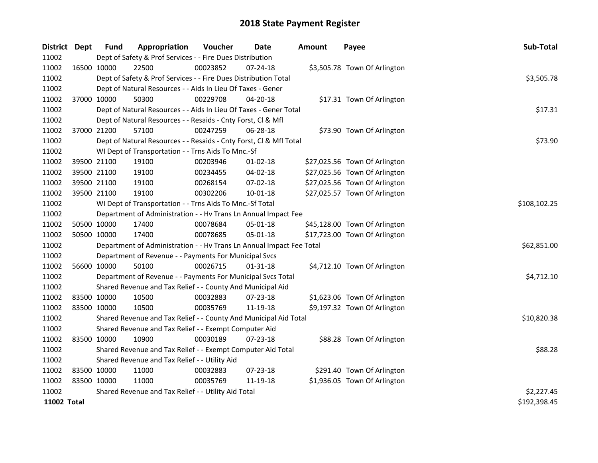| District Dept      |             | <b>Fund</b> | Appropriation                                                        | Voucher      | <b>Date</b>    | <b>Amount</b> | Payee                         | Sub-Total    |
|--------------------|-------------|-------------|----------------------------------------------------------------------|--------------|----------------|---------------|-------------------------------|--------------|
| 11002              |             |             | Dept of Safety & Prof Services - - Fire Dues Distribution            |              |                |               |                               |              |
| 11002              |             | 16500 10000 | 22500                                                                | 00023852     | $07 - 24 - 18$ |               | \$3,505.78 Town Of Arlington  |              |
| 11002              |             |             | Dept of Safety & Prof Services - - Fire Dues Distribution Total      |              |                |               |                               | \$3,505.78   |
| 11002              |             |             | Dept of Natural Resources - - Aids In Lieu Of Taxes - Gener          |              |                |               |                               |              |
| 11002              |             | 37000 10000 | 50300                                                                | 00229708     | 04-20-18       |               | \$17.31 Town Of Arlington     |              |
| 11002              |             |             | Dept of Natural Resources - - Aids In Lieu Of Taxes - Gener Total    |              |                |               |                               | \$17.31      |
| 11002              |             |             | Dept of Natural Resources - - Resaids - Cnty Forst, Cl & Mfl         |              |                |               |                               |              |
| 11002              |             | 37000 21200 | 57100                                                                | 00247259     | 06-28-18       |               | \$73.90 Town Of Arlington     |              |
| 11002              |             |             | Dept of Natural Resources - - Resaids - Cnty Forst, Cl & Mfl Total   |              |                |               |                               | \$73.90      |
| 11002              |             |             | WI Dept of Transportation - - Trns Aids To Mnc.-Sf                   |              |                |               |                               |              |
| 11002              |             | 39500 21100 | 19100                                                                | 00203946     | $01 - 02 - 18$ |               | \$27,025.56 Town Of Arlington |              |
| 11002              |             | 39500 21100 | 19100                                                                | 00234455     | 04-02-18       |               | \$27,025.56 Town Of Arlington |              |
| 11002              |             | 39500 21100 | 19100                                                                | 00268154     | 07-02-18       |               | \$27,025.56 Town Of Arlington |              |
| 11002              |             | 39500 21100 | 19100                                                                | 00302206     | $10 - 01 - 18$ |               | \$27,025.57 Town Of Arlington |              |
| 11002              |             |             | WI Dept of Transportation - - Trns Aids To Mnc.-Sf Total             | \$108,102.25 |                |               |                               |              |
| 11002              |             |             | Department of Administration - - Hv Trans Ln Annual Impact Fee       |              |                |               |                               |              |
| 11002              |             | 50500 10000 | 17400                                                                | 00078684     | 05-01-18       |               | \$45,128.00 Town Of Arlington |              |
| 11002              |             | 50500 10000 | 17400                                                                | 00078685     | 05-01-18       |               | \$17,723.00 Town Of Arlington |              |
| 11002              |             |             | Department of Administration - - Hv Trans Ln Annual Impact Fee Total |              |                |               |                               | \$62,851.00  |
| 11002              |             |             | Department of Revenue - - Payments For Municipal Svcs                |              |                |               |                               |              |
| 11002              |             | 56600 10000 | 50100                                                                | 00026715     | 01-31-18       |               | \$4,712.10 Town Of Arlington  |              |
| 11002              |             |             | Department of Revenue - - Payments For Municipal Svcs Total          |              |                |               |                               | \$4,712.10   |
| 11002              |             |             | Shared Revenue and Tax Relief - - County And Municipal Aid           |              |                |               |                               |              |
| 11002              | 83500 10000 |             | 10500                                                                | 00032883     | 07-23-18       |               | \$1,623.06 Town Of Arlington  |              |
| 11002              | 83500 10000 |             | 10500                                                                | 00035769     | 11-19-18       |               | \$9,197.32 Town Of Arlington  |              |
| 11002              |             |             | Shared Revenue and Tax Relief - - County And Municipal Aid Total     |              |                |               |                               | \$10,820.38  |
| 11002              |             |             | Shared Revenue and Tax Relief - - Exempt Computer Aid                |              |                |               |                               |              |
| 11002              | 83500 10000 |             | 10900                                                                | 00030189     | 07-23-18       |               | \$88.28 Town Of Arlington     |              |
| 11002              |             |             | Shared Revenue and Tax Relief - - Exempt Computer Aid Total          |              |                |               |                               | \$88.28      |
| 11002              |             |             | Shared Revenue and Tax Relief - - Utility Aid                        |              |                |               |                               |              |
| 11002              |             | 83500 10000 | 11000                                                                | 00032883     | 07-23-18       |               | \$291.40 Town Of Arlington    |              |
| 11002              | 83500 10000 |             | 11000                                                                | 00035769     | 11-19-18       |               | \$1,936.05 Town Of Arlington  |              |
| 11002              |             |             | Shared Revenue and Tax Relief - - Utility Aid Total                  |              |                |               |                               | \$2,227.45   |
| <b>11002 Total</b> |             |             |                                                                      |              |                |               |                               | \$192,398.45 |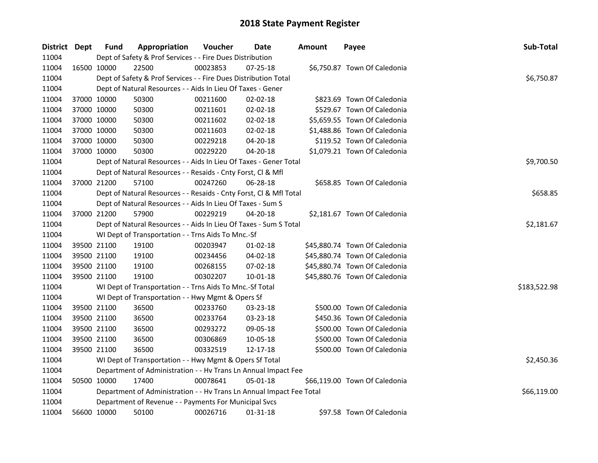| District Dept | <b>Fund</b> | Appropriation                                                        | Voucher    | Date           | <b>Amount</b> | Payee                         | Sub-Total    |
|---------------|-------------|----------------------------------------------------------------------|------------|----------------|---------------|-------------------------------|--------------|
| 11004         |             | Dept of Safety & Prof Services - - Fire Dues Distribution            |            |                |               |                               |              |
| 11004         | 16500 10000 | 22500                                                                | 00023853   | 07-25-18       |               | \$6,750.87 Town Of Caledonia  |              |
| 11004         |             | Dept of Safety & Prof Services - - Fire Dues Distribution Total      |            |                |               |                               | \$6,750.87   |
| 11004         |             | Dept of Natural Resources - - Aids In Lieu Of Taxes - Gener          |            |                |               |                               |              |
| 11004         | 37000 10000 | 50300                                                                | 00211600   | 02-02-18       |               | \$823.69 Town Of Caledonia    |              |
| 11004         | 37000 10000 | 50300                                                                | 00211601   | 02-02-18       |               | \$529.67 Town Of Caledonia    |              |
| 11004         | 37000 10000 | 50300                                                                | 00211602   | 02-02-18       |               | \$5,659.55 Town Of Caledonia  |              |
| 11004         | 37000 10000 | 50300                                                                | 00211603   | 02-02-18       |               | \$1,488.86 Town Of Caledonia  |              |
| 11004         | 37000 10000 | 50300                                                                | 00229218   | 04-20-18       |               | \$119.52 Town Of Caledonia    |              |
| 11004         | 37000 10000 | 50300                                                                | 00229220   | 04-20-18       |               | \$1,079.21 Town Of Caledonia  |              |
| 11004         |             | Dept of Natural Resources - - Aids In Lieu Of Taxes - Gener Total    |            | \$9,700.50     |               |                               |              |
| 11004         |             | Dept of Natural Resources - - Resaids - Cnty Forst, Cl & Mfl         |            |                |               |                               |              |
| 11004         | 37000 21200 | 57100                                                                | 00247260   | $06 - 28 - 18$ |               | \$658.85 Town Of Caledonia    |              |
| 11004         |             | Dept of Natural Resources - - Resaids - Cnty Forst, Cl & Mfl Total   |            |                |               |                               | \$658.85     |
| 11004         |             | Dept of Natural Resources - - Aids In Lieu Of Taxes - Sum S          |            |                |               |                               |              |
| 11004         | 37000 21200 | 57900                                                                | 00229219   | 04-20-18       |               | \$2,181.67 Town Of Caledonia  |              |
| 11004         |             | Dept of Natural Resources - - Aids In Lieu Of Taxes - Sum S Total    | \$2,181.67 |                |               |                               |              |
| 11004         |             | WI Dept of Transportation - - Trns Aids To Mnc.-Sf                   |            |                |               |                               |              |
| 11004         | 39500 21100 | 19100                                                                | 00203947   | $01-02-18$     |               | \$45,880.74 Town Of Caledonia |              |
| 11004         | 39500 21100 | 19100                                                                | 00234456   | 04-02-18       |               | \$45,880.74 Town Of Caledonia |              |
| 11004         | 39500 21100 | 19100                                                                | 00268155   | 07-02-18       |               | \$45,880.74 Town Of Caledonia |              |
| 11004         | 39500 21100 | 19100                                                                | 00302207   | $10 - 01 - 18$ |               | \$45,880.76 Town Of Caledonia |              |
| 11004         |             | WI Dept of Transportation - - Trns Aids To Mnc.-Sf Total             |            |                |               |                               | \$183,522.98 |
| 11004         |             | WI Dept of Transportation - - Hwy Mgmt & Opers Sf                    |            |                |               |                               |              |
| 11004         | 39500 21100 | 36500                                                                | 00233760   | 03-23-18       |               | \$500.00 Town Of Caledonia    |              |
| 11004         | 39500 21100 | 36500                                                                | 00233764   | 03-23-18       |               | \$450.36 Town Of Caledonia    |              |
| 11004         | 39500 21100 | 36500                                                                | 00293272   | 09-05-18       |               | \$500.00 Town Of Caledonia    |              |
| 11004         | 39500 21100 | 36500                                                                | 00306869   | 10-05-18       |               | \$500.00 Town Of Caledonia    |              |
| 11004         | 39500 21100 | 36500                                                                | 00332519   | 12-17-18       |               | \$500.00 Town Of Caledonia    |              |
| 11004         |             | WI Dept of Transportation - - Hwy Mgmt & Opers Sf Total              |            |                |               |                               | \$2,450.36   |
| 11004         |             | Department of Administration - - Hv Trans Ln Annual Impact Fee       |            |                |               |                               |              |
| 11004         | 50500 10000 | 17400                                                                | 00078641   | 05-01-18       |               | \$66,119.00 Town Of Caledonia |              |
| 11004         |             | Department of Administration - - Hv Trans Ln Annual Impact Fee Total |            |                |               |                               | \$66,119.00  |
| 11004         |             | Department of Revenue - - Payments For Municipal Svcs                |            |                |               |                               |              |
| 11004         | 56600 10000 | 50100                                                                | 00026716   | 01-31-18       |               | \$97.58 Town Of Caledonia     |              |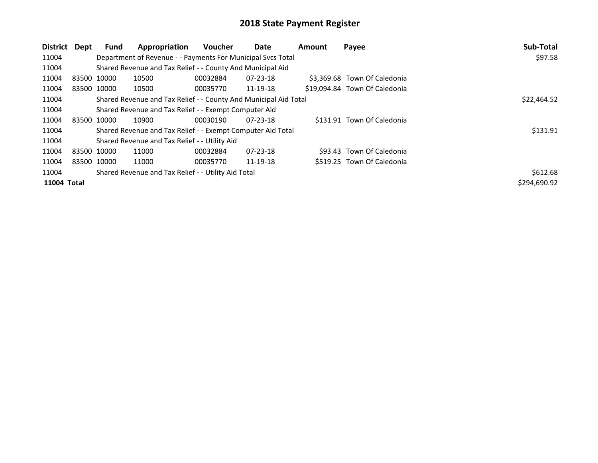| District    | Dept                                                | <b>Fund</b> | Appropriation                                                    | <b>Voucher</b> | <b>Date</b>    | <b>Amount</b> | Payee                         | Sub-Total    |
|-------------|-----------------------------------------------------|-------------|------------------------------------------------------------------|----------------|----------------|---------------|-------------------------------|--------------|
| 11004       |                                                     |             | Department of Revenue - - Payments For Municipal Svcs Total      |                |                |               |                               | \$97.58      |
| 11004       |                                                     |             | Shared Revenue and Tax Relief - - County And Municipal Aid       |                |                |               |                               |              |
| 11004       |                                                     | 83500 10000 | 10500                                                            | 00032884       | $07 - 23 - 18$ |               | \$3,369.68 Town Of Caledonia  |              |
| 11004       |                                                     | 83500 10000 | 10500                                                            | 00035770       | 11-19-18       |               | \$19,094.84 Town Of Caledonia |              |
| 11004       |                                                     |             | Shared Revenue and Tax Relief - - County And Municipal Aid Total |                |                |               |                               | \$22,464.52  |
| 11004       |                                                     |             | Shared Revenue and Tax Relief - - Exempt Computer Aid            |                |                |               |                               |              |
| 11004       |                                                     | 83500 10000 | 10900                                                            | 00030190       | $07 - 23 - 18$ |               | \$131.91 Town Of Caledonia    |              |
| 11004       |                                                     |             | Shared Revenue and Tax Relief - - Exempt Computer Aid Total      |                |                |               |                               | \$131.91     |
| 11004       |                                                     |             | Shared Revenue and Tax Relief - - Utility Aid                    |                |                |               |                               |              |
| 11004       |                                                     | 83500 10000 | 11000                                                            | 00032884       | $07 - 23 - 18$ |               | \$93.43 Town Of Caledonia     |              |
| 11004       |                                                     | 83500 10000 | 11000                                                            | 00035770       | 11-19-18       |               | \$519.25 Town Of Caledonia    |              |
| 11004       | Shared Revenue and Tax Relief - - Utility Aid Total |             |                                                                  |                |                |               |                               | \$612.68     |
| 11004 Total |                                                     |             |                                                                  |                |                |               |                               | \$294,690.92 |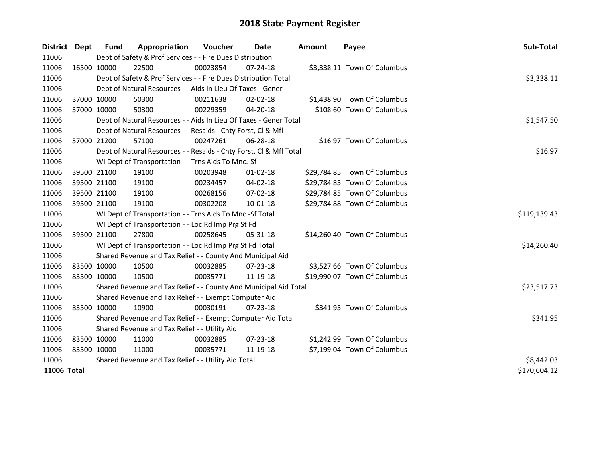| <b>District</b> | Dept        | <b>Fund</b> | Appropriation                                                      | Voucher    | <b>Date</b>    | <b>Amount</b> | Payee                        | Sub-Total    |
|-----------------|-------------|-------------|--------------------------------------------------------------------|------------|----------------|---------------|------------------------------|--------------|
| 11006           |             |             | Dept of Safety & Prof Services - - Fire Dues Distribution          |            |                |               |                              |              |
| 11006           |             | 16500 10000 | 22500                                                              | 00023854   | 07-24-18       |               | \$3,338.11 Town Of Columbus  |              |
| 11006           |             |             | Dept of Safety & Prof Services - - Fire Dues Distribution Total    |            |                |               |                              | \$3,338.11   |
| 11006           |             |             | Dept of Natural Resources - - Aids In Lieu Of Taxes - Gener        |            |                |               |                              |              |
| 11006           |             | 37000 10000 | 50300                                                              | 00211638   | $02 - 02 - 18$ |               | \$1,438.90 Town Of Columbus  |              |
| 11006           |             | 37000 10000 | 50300                                                              | 00229359   | 04-20-18       |               | \$108.60 Town Of Columbus    |              |
| 11006           |             |             | Dept of Natural Resources - - Aids In Lieu Of Taxes - Gener Total  |            |                |               |                              | \$1,547.50   |
| 11006           |             |             | Dept of Natural Resources - - Resaids - Cnty Forst, Cl & Mfl       |            |                |               |                              |              |
| 11006           |             | 37000 21200 | 57100                                                              | 00247261   | 06-28-18       |               | \$16.97 Town Of Columbus     |              |
| 11006           |             |             | Dept of Natural Resources - - Resaids - Cnty Forst, Cl & Mfl Total |            |                |               |                              | \$16.97      |
| 11006           |             |             | WI Dept of Transportation - - Trns Aids To Mnc.-Sf                 |            |                |               |                              |              |
| 11006           |             | 39500 21100 | 19100                                                              | 00203948   | $01 - 02 - 18$ |               | \$29,784.85 Town Of Columbus |              |
| 11006           |             | 39500 21100 | 19100                                                              | 00234457   | $04 - 02 - 18$ |               | \$29,784.85 Town Of Columbus |              |
| 11006           |             | 39500 21100 | 19100                                                              | 00268156   | 07-02-18       |               | \$29,784.85 Town Of Columbus |              |
| 11006           | 39500 21100 |             | 19100                                                              | 00302208   | $10 - 01 - 18$ |               | \$29,784.88 Town Of Columbus |              |
| 11006           |             |             | WI Dept of Transportation - - Trns Aids To Mnc.-Sf Total           |            |                |               |                              | \$119,139.43 |
| 11006           |             |             | WI Dept of Transportation - - Loc Rd Imp Prg St Fd                 |            |                |               |                              |              |
| 11006           |             | 39500 21100 | 27800                                                              | 00258645   | $05 - 31 - 18$ |               | \$14,260.40 Town Of Columbus |              |
| 11006           |             |             | WI Dept of Transportation - - Loc Rd Imp Prg St Fd Total           |            |                |               |                              | \$14,260.40  |
| 11006           |             |             | Shared Revenue and Tax Relief - - County And Municipal Aid         |            |                |               |                              |              |
| 11006           | 83500 10000 |             | 10500                                                              | 00032885   | 07-23-18       |               | \$3,527.66 Town Of Columbus  |              |
| 11006           | 83500 10000 |             | 10500                                                              | 00035771   | 11-19-18       |               | \$19,990.07 Town Of Columbus |              |
| 11006           |             |             | Shared Revenue and Tax Relief - - County And Municipal Aid Total   |            |                |               |                              | \$23,517.73  |
| 11006           |             |             | Shared Revenue and Tax Relief - - Exempt Computer Aid              |            |                |               |                              |              |
| 11006           | 83500 10000 |             | 10900                                                              | 00030191   | $07 - 23 - 18$ |               | \$341.95 Town Of Columbus    |              |
| 11006           |             |             | Shared Revenue and Tax Relief - - Exempt Computer Aid Total        | \$341.95   |                |               |                              |              |
| 11006           |             |             | Shared Revenue and Tax Relief - - Utility Aid                      |            |                |               |                              |              |
| 11006           | 83500 10000 |             | 11000                                                              | 00032885   | 07-23-18       |               | \$1,242.99 Town Of Columbus  |              |
| 11006           | 83500 10000 |             | 11000                                                              | 00035771   | 11-19-18       |               | \$7,199.04 Town Of Columbus  |              |
| 11006           |             |             | Shared Revenue and Tax Relief - - Utility Aid Total                | \$8,442.03 |                |               |                              |              |
| 11006 Total     |             |             |                                                                    |            |                |               |                              | \$170,604.12 |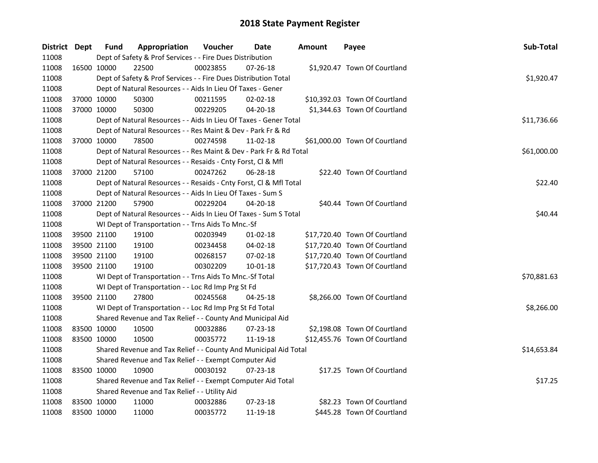| District Dept |             | <b>Fund</b> | Appropriation                                                      | Voucher     | <b>Date</b>    | Amount | Payee                         | Sub-Total   |
|---------------|-------------|-------------|--------------------------------------------------------------------|-------------|----------------|--------|-------------------------------|-------------|
| 11008         |             |             | Dept of Safety & Prof Services - - Fire Dues Distribution          |             |                |        |                               |             |
| 11008         | 16500 10000 |             | 22500                                                              | 00023855    | 07-26-18       |        | \$1,920.47 Town Of Courtland  |             |
| 11008         |             |             | Dept of Safety & Prof Services - - Fire Dues Distribution Total    |             |                |        |                               | \$1,920.47  |
| 11008         |             |             | Dept of Natural Resources - - Aids In Lieu Of Taxes - Gener        |             |                |        |                               |             |
| 11008         |             | 37000 10000 | 50300                                                              | 00211595    | $02 - 02 - 18$ |        | \$10,392.03 Town Of Courtland |             |
| 11008         |             | 37000 10000 | 50300                                                              | 00229205    | 04-20-18       |        | \$1,344.63 Town Of Courtland  |             |
| 11008         |             |             | Dept of Natural Resources - - Aids In Lieu Of Taxes - Gener Total  |             |                |        |                               | \$11,736.66 |
| 11008         |             |             | Dept of Natural Resources - - Res Maint & Dev - Park Fr & Rd       |             |                |        |                               |             |
| 11008         |             | 37000 10000 | 78500                                                              | 00274598    | 11-02-18       |        | \$61,000.00 Town Of Courtland |             |
| 11008         |             |             | Dept of Natural Resources - - Res Maint & Dev - Park Fr & Rd Total | \$61,000.00 |                |        |                               |             |
| 11008         |             |             | Dept of Natural Resources - - Resaids - Cnty Forst, Cl & Mfl       |             |                |        |                               |             |
| 11008         |             | 37000 21200 | 57100                                                              | 00247262    | 06-28-18       |        | \$22.40 Town Of Courtland     |             |
| 11008         |             |             | Dept of Natural Resources - - Resaids - Cnty Forst, Cl & Mfl Total |             |                |        |                               | \$22.40     |
| 11008         |             |             | Dept of Natural Resources - - Aids In Lieu Of Taxes - Sum S        |             |                |        |                               |             |
| 11008         |             | 37000 21200 | 57900                                                              | 00229204    | 04-20-18       |        | \$40.44 Town Of Courtland     |             |
| 11008         |             |             | Dept of Natural Resources - - Aids In Lieu Of Taxes - Sum S Total  | \$40.44     |                |        |                               |             |
| 11008         |             |             | WI Dept of Transportation - - Trns Aids To Mnc.-Sf                 |             |                |        |                               |             |
| 11008         |             | 39500 21100 | 19100                                                              | 00203949    | $01-02-18$     |        | \$17,720.40 Town Of Courtland |             |
| 11008         |             | 39500 21100 | 19100                                                              | 00234458    | 04-02-18       |        | \$17,720.40 Town Of Courtland |             |
| 11008         |             | 39500 21100 | 19100                                                              | 00268157    | 07-02-18       |        | \$17,720.40 Town Of Courtland |             |
| 11008         |             | 39500 21100 | 19100                                                              | 00302209    | 10-01-18       |        | \$17,720.43 Town Of Courtland |             |
| 11008         |             |             | WI Dept of Transportation - - Trns Aids To Mnc.-Sf Total           |             |                |        |                               | \$70,881.63 |
| 11008         |             |             | WI Dept of Transportation - - Loc Rd Imp Prg St Fd                 |             |                |        |                               |             |
| 11008         |             | 39500 21100 | 27800                                                              | 00245568    | 04-25-18       |        | \$8,266.00 Town Of Courtland  |             |
| 11008         |             |             | WI Dept of Transportation - - Loc Rd Imp Prg St Fd Total           |             |                |        |                               | \$8,266.00  |
| 11008         |             |             | Shared Revenue and Tax Relief - - County And Municipal Aid         |             |                |        |                               |             |
| 11008         | 83500 10000 |             | 10500                                                              | 00032886    | 07-23-18       |        | \$2,198.08 Town Of Courtland  |             |
| 11008         | 83500 10000 |             | 10500                                                              | 00035772    | 11-19-18       |        | \$12,455.76 Town Of Courtland |             |
| 11008         |             |             | Shared Revenue and Tax Relief - - County And Municipal Aid Total   | \$14,653.84 |                |        |                               |             |
| 11008         |             |             | Shared Revenue and Tax Relief - - Exempt Computer Aid              |             |                |        |                               |             |
| 11008         |             | 83500 10000 | 10900                                                              | 00030192    | 07-23-18       |        | \$17.25 Town Of Courtland     |             |
| 11008         |             |             | Shared Revenue and Tax Relief - - Exempt Computer Aid Total        |             |                |        |                               | \$17.25     |
| 11008         |             |             | Shared Revenue and Tax Relief - - Utility Aid                      |             |                |        |                               |             |
| 11008         |             | 83500 10000 | 11000                                                              | 00032886    | 07-23-18       |        | \$82.23 Town Of Courtland     |             |
| 11008         | 83500 10000 |             | 11000                                                              | 00035772    | 11-19-18       |        | \$445.28 Town Of Courtland    |             |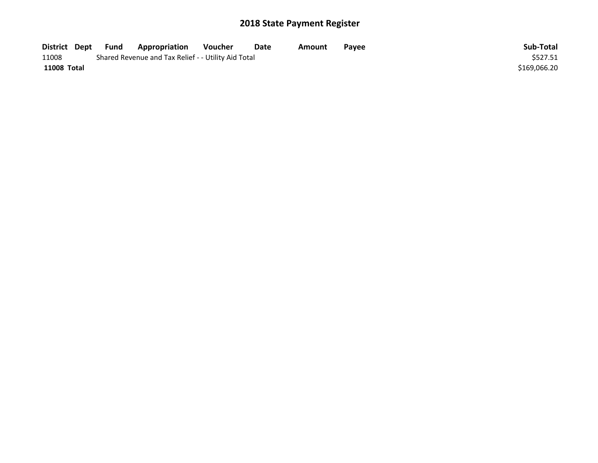| District Dept      | Fund | <b>Appropriation</b>                                | Voucher  | Date | Amount | <b>Pavee</b> | Sub-Total    |
|--------------------|------|-----------------------------------------------------|----------|------|--------|--------------|--------------|
| 11008              |      | Shared Revenue and Tax Relief - - Utility Aid Total | \$527.51 |      |        |              |              |
| <b>11008 Total</b> |      |                                                     |          |      |        |              | \$169,066.20 |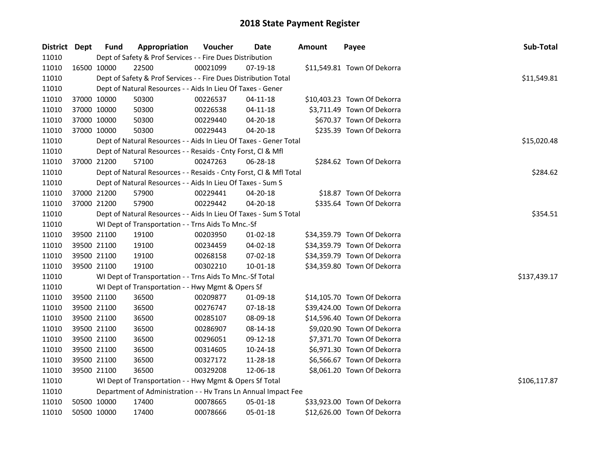| District Dept |             | <b>Fund</b> | Appropriation                                                      | Voucher     | <b>Date</b>    | <b>Amount</b> | Payee                       | Sub-Total    |
|---------------|-------------|-------------|--------------------------------------------------------------------|-------------|----------------|---------------|-----------------------------|--------------|
| 11010         |             |             | Dept of Safety & Prof Services - - Fire Dues Distribution          |             |                |               |                             |              |
| 11010         | 16500 10000 |             | 22500                                                              | 00021099    | 07-19-18       |               | \$11,549.81 Town Of Dekorra |              |
| 11010         |             |             | Dept of Safety & Prof Services - - Fire Dues Distribution Total    |             |                |               |                             | \$11,549.81  |
| 11010         |             |             | Dept of Natural Resources - - Aids In Lieu Of Taxes - Gener        |             |                |               |                             |              |
| 11010         | 37000 10000 |             | 50300                                                              | 00226537    | 04-11-18       |               | \$10,403.23 Town Of Dekorra |              |
| 11010         | 37000 10000 |             | 50300                                                              | 00226538    | $04 - 11 - 18$ |               | \$3,711.49 Town Of Dekorra  |              |
| 11010         | 37000 10000 |             | 50300                                                              | 00229440    | 04-20-18       |               | \$670.37 Town Of Dekorra    |              |
| 11010         | 37000 10000 |             | 50300                                                              | 00229443    | 04-20-18       |               | \$235.39 Town Of Dekorra    |              |
| 11010         |             |             | Dept of Natural Resources - - Aids In Lieu Of Taxes - Gener Total  | \$15,020.48 |                |               |                             |              |
| 11010         |             |             | Dept of Natural Resources - - Resaids - Cnty Forst, Cl & Mfl       |             |                |               |                             |              |
| 11010         | 37000 21200 |             | 57100                                                              | 00247263    | 06-28-18       |               | \$284.62 Town Of Dekorra    |              |
| 11010         |             |             | Dept of Natural Resources - - Resaids - Cnty Forst, Cl & Mfl Total |             |                |               |                             | \$284.62     |
| 11010         |             |             | Dept of Natural Resources - - Aids In Lieu Of Taxes - Sum S        |             |                |               |                             |              |
| 11010         |             | 37000 21200 | 57900                                                              | 00229441    | 04-20-18       |               | \$18.87 Town Of Dekorra     |              |
| 11010         | 37000 21200 |             | 57900                                                              | 00229442    | $04 - 20 - 18$ |               | \$335.64 Town Of Dekorra    |              |
| 11010         |             |             | Dept of Natural Resources - - Aids In Lieu Of Taxes - Sum S Total  | \$354.51    |                |               |                             |              |
| 11010         |             |             | WI Dept of Transportation - - Trns Aids To Mnc.-Sf                 |             |                |               |                             |              |
| 11010         | 39500 21100 |             | 19100                                                              | 00203950    | 01-02-18       |               | \$34,359.79 Town Of Dekorra |              |
| 11010         | 39500 21100 |             | 19100                                                              | 00234459    | 04-02-18       |               | \$34,359.79 Town Of Dekorra |              |
| 11010         | 39500 21100 |             | 19100                                                              | 00268158    | 07-02-18       |               | \$34,359.79 Town Of Dekorra |              |
| 11010         | 39500 21100 |             | 19100                                                              | 00302210    | 10-01-18       |               | \$34,359.80 Town Of Dekorra |              |
| 11010         |             |             | WI Dept of Transportation - - Trns Aids To Mnc.-Sf Total           |             |                |               |                             | \$137,439.17 |
| 11010         |             |             | WI Dept of Transportation - - Hwy Mgmt & Opers Sf                  |             |                |               |                             |              |
| 11010         | 39500 21100 |             | 36500                                                              | 00209877    | 01-09-18       |               | \$14,105.70 Town Of Dekorra |              |
| 11010         | 39500 21100 |             | 36500                                                              | 00276747    | 07-18-18       |               | \$39,424.00 Town Of Dekorra |              |
| 11010         | 39500 21100 |             | 36500                                                              | 00285107    | 08-09-18       |               | \$14,596.40 Town Of Dekorra |              |
| 11010         | 39500 21100 |             | 36500                                                              | 00286907    | 08-14-18       |               | \$9,020.90 Town Of Dekorra  |              |
| 11010         | 39500 21100 |             | 36500                                                              | 00296051    | 09-12-18       |               | \$7,371.70 Town Of Dekorra  |              |
| 11010         | 39500 21100 |             | 36500                                                              | 00314605    | $10-24-18$     |               | \$6,971.30 Town Of Dekorra  |              |
| 11010         | 39500 21100 |             | 36500                                                              | 00327172    | 11-28-18       |               | \$6,566.67 Town Of Dekorra  |              |
| 11010         | 39500 21100 |             | 36500                                                              | 00329208    | 12-06-18       |               | \$8,061.20 Town Of Dekorra  |              |
| 11010         |             |             | WI Dept of Transportation - - Hwy Mgmt & Opers Sf Total            |             |                |               |                             | \$106,117.87 |
| 11010         |             |             | Department of Administration - - Hv Trans Ln Annual Impact Fee     |             |                |               |                             |              |
| 11010         |             | 50500 10000 | 17400                                                              | 00078665    | 05-01-18       |               | \$33,923.00 Town Of Dekorra |              |
| 11010         | 50500 10000 |             | 17400                                                              | 00078666    | 05-01-18       |               | \$12,626.00 Town Of Dekorra |              |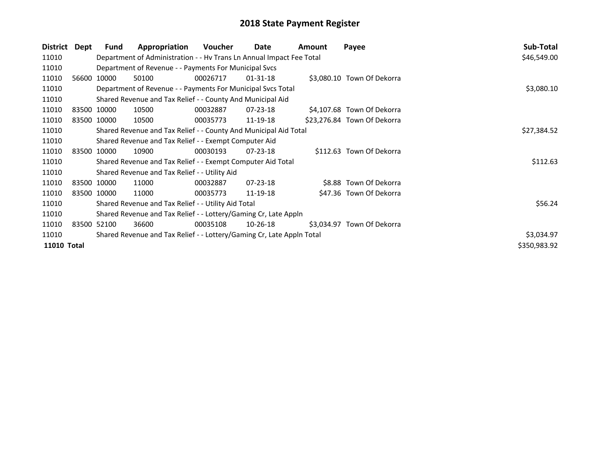| District           | Dept | Fund        | Appropriation                                                         | <b>Voucher</b> | Date           | Amount | Payee                       | Sub-Total    |
|--------------------|------|-------------|-----------------------------------------------------------------------|----------------|----------------|--------|-----------------------------|--------------|
| 11010              |      |             | Department of Administration - - Hv Trans Ln Annual Impact Fee Total  |                |                |        |                             | \$46,549.00  |
| 11010              |      |             | Department of Revenue - - Payments For Municipal Svcs                 |                |                |        |                             |              |
| 11010              |      | 56600 10000 | 50100                                                                 | 00026717       | 01-31-18       |        | \$3,080.10 Town Of Dekorra  |              |
| 11010              |      |             | Department of Revenue - - Payments For Municipal Svcs Total           | \$3,080.10     |                |        |                             |              |
| 11010              |      |             | Shared Revenue and Tax Relief - - County And Municipal Aid            |                |                |        |                             |              |
| 11010              |      | 83500 10000 | 10500                                                                 | 00032887       | 07-23-18       |        | \$4,107.68 Town Of Dekorra  |              |
| 11010              |      | 83500 10000 | 10500                                                                 | 00035773       | 11-19-18       |        | \$23,276.84 Town Of Dekorra |              |
| 11010              |      |             | Shared Revenue and Tax Relief - - County And Municipal Aid Total      |                |                |        |                             | \$27,384.52  |
| 11010              |      |             | Shared Revenue and Tax Relief - - Exempt Computer Aid                 |                |                |        |                             |              |
| 11010              |      | 83500 10000 | 10900                                                                 | 00030193       | $07 - 23 - 18$ |        | \$112.63 Town Of Dekorra    |              |
| 11010              |      |             | Shared Revenue and Tax Relief - - Exempt Computer Aid Total           |                |                |        |                             | \$112.63     |
| 11010              |      |             | Shared Revenue and Tax Relief - - Utility Aid                         |                |                |        |                             |              |
| 11010              |      | 83500 10000 | 11000                                                                 | 00032887       | $07 - 23 - 18$ |        | \$8.88 Town Of Dekorra      |              |
| 11010              |      | 83500 10000 | 11000                                                                 | 00035773       | 11-19-18       |        | \$47.36 Town Of Dekorra     |              |
| 11010              |      |             | Shared Revenue and Tax Relief - - Utility Aid Total                   |                |                |        |                             | \$56.24      |
| 11010              |      |             | Shared Revenue and Tax Relief - - Lottery/Gaming Cr, Late Appln       |                |                |        |                             |              |
| 11010              |      | 83500 52100 | 36600                                                                 | 00035108       | 10-26-18       |        | \$3,034.97 Town Of Dekorra  |              |
| 11010              |      |             | Shared Revenue and Tax Relief - - Lottery/Gaming Cr, Late Appln Total |                |                |        |                             | \$3,034.97   |
| <b>11010 Total</b> |      |             |                                                                       |                |                |        |                             | \$350,983.92 |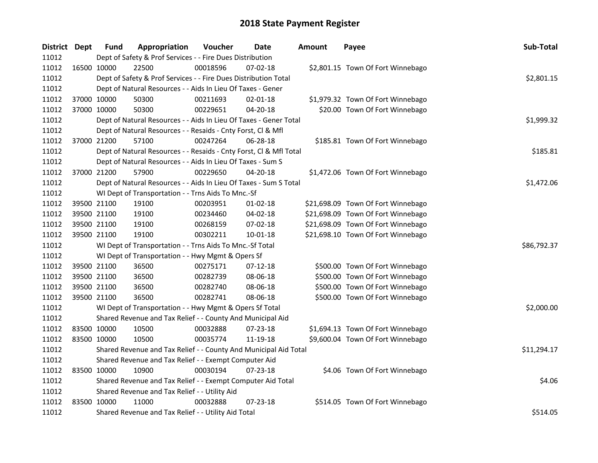| District Dept |             | <b>Fund</b>                                                      | Appropriation                                                      | Voucher  | <b>Date</b>    | <b>Amount</b> | Payee                              | Sub-Total   |
|---------------|-------------|------------------------------------------------------------------|--------------------------------------------------------------------|----------|----------------|---------------|------------------------------------|-------------|
| 11012         |             |                                                                  | Dept of Safety & Prof Services - - Fire Dues Distribution          |          |                |               |                                    |             |
| 11012         | 16500 10000 |                                                                  | 22500                                                              | 00018596 | $07 - 02 - 18$ |               | \$2,801.15 Town Of Fort Winnebago  |             |
| 11012         |             |                                                                  | Dept of Safety & Prof Services - - Fire Dues Distribution Total    |          |                |               |                                    | \$2,801.15  |
| 11012         |             |                                                                  | Dept of Natural Resources - - Aids In Lieu Of Taxes - Gener        |          |                |               |                                    |             |
| 11012         |             | 37000 10000                                                      | 50300                                                              | 00211693 | $02 - 01 - 18$ |               | \$1,979.32 Town Of Fort Winnebago  |             |
| 11012         |             | 37000 10000                                                      | 50300                                                              | 00229651 | 04-20-18       |               | \$20.00 Town Of Fort Winnebago     |             |
| 11012         |             |                                                                  | Dept of Natural Resources - - Aids In Lieu Of Taxes - Gener Total  |          |                |               |                                    | \$1,999.32  |
| 11012         |             |                                                                  | Dept of Natural Resources - - Resaids - Cnty Forst, Cl & Mfl       |          |                |               |                                    |             |
| 11012         |             | 37000 21200                                                      | 57100                                                              | 00247264 | 06-28-18       |               | \$185.81 Town Of Fort Winnebago    |             |
| 11012         |             |                                                                  | Dept of Natural Resources - - Resaids - Cnty Forst, Cl & Mfl Total |          |                |               |                                    | \$185.81    |
| 11012         |             |                                                                  | Dept of Natural Resources - - Aids In Lieu Of Taxes - Sum S        |          |                |               |                                    |             |
| 11012         |             | 37000 21200                                                      | 57900                                                              | 00229650 | 04-20-18       |               | \$1,472.06 Town Of Fort Winnebago  |             |
| 11012         |             |                                                                  | Dept of Natural Resources - - Aids In Lieu Of Taxes - Sum S Total  |          |                |               |                                    | \$1,472.06  |
| 11012         |             |                                                                  | WI Dept of Transportation - - Trns Aids To Mnc.-Sf                 |          |                |               |                                    |             |
| 11012         |             | 39500 21100                                                      | 19100                                                              | 00203951 | $01 - 02 - 18$ |               | \$21,698.09 Town Of Fort Winnebago |             |
| 11012         |             | 39500 21100                                                      | 19100                                                              | 00234460 | 04-02-18       |               | \$21,698.09 Town Of Fort Winnebago |             |
| 11012         |             | 39500 21100                                                      | 19100                                                              | 00268159 | 07-02-18       |               | \$21,698.09 Town Of Fort Winnebago |             |
| 11012         |             | 39500 21100                                                      | 19100                                                              | 00302211 | $10 - 01 - 18$ |               | \$21,698.10 Town Of Fort Winnebago |             |
| 11012         |             |                                                                  | WI Dept of Transportation - - Trns Aids To Mnc.-Sf Total           |          |                |               |                                    | \$86,792.37 |
| 11012         |             |                                                                  | WI Dept of Transportation - - Hwy Mgmt & Opers Sf                  |          |                |               |                                    |             |
| 11012         |             | 39500 21100                                                      | 36500                                                              | 00275171 | $07-12-18$     |               | \$500.00 Town Of Fort Winnebago    |             |
| 11012         |             | 39500 21100                                                      | 36500                                                              | 00282739 | 08-06-18       |               | \$500.00 Town Of Fort Winnebago    |             |
| 11012         |             | 39500 21100                                                      | 36500                                                              | 00282740 | 08-06-18       |               | \$500.00 Town Of Fort Winnebago    |             |
| 11012         |             | 39500 21100                                                      | 36500                                                              | 00282741 | 08-06-18       |               | \$500.00 Town Of Fort Winnebago    |             |
| 11012         |             |                                                                  | WI Dept of Transportation - - Hwy Mgmt & Opers Sf Total            |          |                |               |                                    | \$2,000.00  |
| 11012         |             |                                                                  | Shared Revenue and Tax Relief - - County And Municipal Aid         |          |                |               |                                    |             |
| 11012         |             | 83500 10000                                                      | 10500                                                              | 00032888 | 07-23-18       |               | \$1,694.13 Town Of Fort Winnebago  |             |
| 11012         |             | 83500 10000                                                      | 10500                                                              | 00035774 | 11-19-18       |               | \$9,600.04 Town Of Fort Winnebago  |             |
| 11012         |             | Shared Revenue and Tax Relief - - County And Municipal Aid Total | \$11,294.17                                                        |          |                |               |                                    |             |
| 11012         |             |                                                                  | Shared Revenue and Tax Relief - - Exempt Computer Aid              |          |                |               |                                    |             |
| 11012         |             | 83500 10000                                                      | 10900                                                              | 00030194 | $07 - 23 - 18$ |               | \$4.06 Town Of Fort Winnebago      |             |
| 11012         |             |                                                                  | Shared Revenue and Tax Relief - - Exempt Computer Aid Total        |          |                |               |                                    | \$4.06      |
| 11012         |             |                                                                  | Shared Revenue and Tax Relief - - Utility Aid                      |          |                |               |                                    |             |
| 11012         |             | 83500 10000                                                      | 11000                                                              | 00032888 | 07-23-18       |               | \$514.05 Town Of Fort Winnebago    |             |
| 11012         |             |                                                                  | Shared Revenue and Tax Relief - - Utility Aid Total                |          |                |               |                                    | \$514.05    |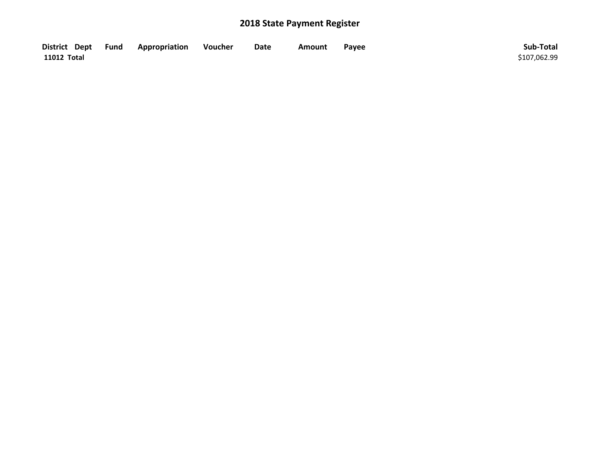| District Dept Fund | Appropriation | Voucher | Date | Amount | Payee | Sub-Total    |
|--------------------|---------------|---------|------|--------|-------|--------------|
| 11012 Total        |               |         |      |        |       | \$107,062.99 |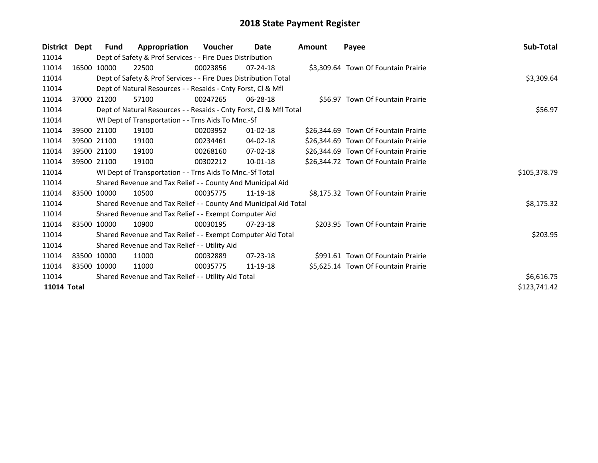| <b>District</b> | Dept        | Fund        | Appropriation                                                      | <b>Voucher</b> | <b>Date</b>    | Amount | Payee                                | Sub-Total    |
|-----------------|-------------|-------------|--------------------------------------------------------------------|----------------|----------------|--------|--------------------------------------|--------------|
| 11014           |             |             | Dept of Safety & Prof Services - - Fire Dues Distribution          |                |                |        |                                      |              |
| 11014           |             | 16500 10000 | 22500                                                              | 00023856       | $07 - 24 - 18$ |        | \$3,309.64 Town Of Fountain Prairie  |              |
| 11014           |             |             | Dept of Safety & Prof Services - - Fire Dues Distribution Total    |                |                |        |                                      | \$3,309.64   |
| 11014           |             |             | Dept of Natural Resources - - Resaids - Cnty Forst, CI & Mfl       |                |                |        |                                      |              |
| 11014           |             | 37000 21200 | 57100                                                              | 00247265       | 06-28-18       |        | \$56.97 Town Of Fountain Prairie     |              |
| 11014           |             |             | Dept of Natural Resources - - Resaids - Cnty Forst, CI & Mfl Total | \$56.97        |                |        |                                      |              |
| 11014           |             |             | WI Dept of Transportation - - Trns Aids To Mnc.-Sf                 |                |                |        |                                      |              |
| 11014           |             | 39500 21100 | 19100                                                              | 00203952       | 01-02-18       |        | \$26,344.69 Town Of Fountain Prairie |              |
| 11014           |             | 39500 21100 | 19100                                                              | 00234461       | 04-02-18       |        | \$26,344.69 Town Of Fountain Prairie |              |
| 11014           |             | 39500 21100 | 19100                                                              | 00268160       | $07 - 02 - 18$ |        | \$26,344.69 Town Of Fountain Prairie |              |
| 11014           |             | 39500 21100 | 19100                                                              | 00302212       | $10 - 01 - 18$ |        | \$26,344.72 Town Of Fountain Prairie |              |
| 11014           |             |             | WI Dept of Transportation - - Trns Aids To Mnc.-Sf Total           |                |                |        |                                      | \$105,378.79 |
| 11014           |             |             | Shared Revenue and Tax Relief - - County And Municipal Aid         |                |                |        |                                      |              |
| 11014           |             | 83500 10000 | 10500                                                              | 00035775       | 11-19-18       |        | \$8,175.32 Town Of Fountain Prairie  |              |
| 11014           |             |             | Shared Revenue and Tax Relief - - County And Municipal Aid Total   |                |                |        |                                      | \$8,175.32   |
| 11014           |             |             | Shared Revenue and Tax Relief - - Exempt Computer Aid              |                |                |        |                                      |              |
| 11014           |             | 83500 10000 | 10900                                                              | 00030195       | $07 - 23 - 18$ |        | \$203.95 Town Of Fountain Prairie    |              |
| 11014           |             |             | Shared Revenue and Tax Relief - - Exempt Computer Aid Total        |                |                |        |                                      | \$203.95     |
| 11014           |             |             | Shared Revenue and Tax Relief - - Utility Aid                      |                |                |        |                                      |              |
| 11014           |             | 83500 10000 | 11000                                                              | 00032889       | $07 - 23 - 18$ |        | \$991.61 Town Of Fountain Prairie    |              |
| 11014           | 83500 10000 |             | 11000                                                              | 00035775       | 11-19-18       |        | \$5,625.14 Town Of Fountain Prairie  |              |
| 11014           |             |             | Shared Revenue and Tax Relief - - Utility Aid Total                | \$6,616.75     |                |        |                                      |              |
| 11014 Total     |             |             |                                                                    |                |                |        |                                      | \$123,741.42 |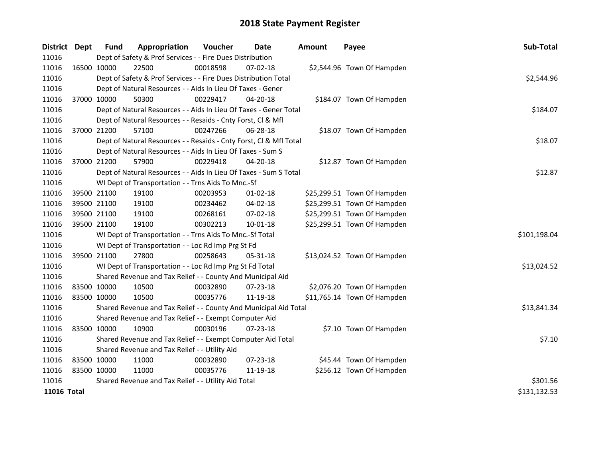| District Dept |             | <b>Fund</b> | Appropriation                                                      | Voucher  | <b>Date</b>    | Amount | Payee                       | Sub-Total    |
|---------------|-------------|-------------|--------------------------------------------------------------------|----------|----------------|--------|-----------------------------|--------------|
| 11016         |             |             | Dept of Safety & Prof Services - - Fire Dues Distribution          |          |                |        |                             |              |
| 11016         | 16500 10000 |             | 22500                                                              | 00018598 | 07-02-18       |        | \$2,544.96 Town Of Hampden  |              |
| 11016         |             |             | Dept of Safety & Prof Services - - Fire Dues Distribution Total    |          |                |        |                             | \$2,544.96   |
| 11016         |             |             | Dept of Natural Resources - - Aids In Lieu Of Taxes - Gener        |          |                |        |                             |              |
| 11016         |             | 37000 10000 | 50300                                                              | 00229417 | $04 - 20 - 18$ |        | \$184.07 Town Of Hampden    |              |
| 11016         |             |             | Dept of Natural Resources - - Aids In Lieu Of Taxes - Gener Total  |          |                |        |                             | \$184.07     |
| 11016         |             |             | Dept of Natural Resources - - Resaids - Cnty Forst, Cl & Mfl       |          |                |        |                             |              |
| 11016         |             | 37000 21200 | 57100                                                              | 00247266 | 06-28-18       |        | \$18.07 Town Of Hampden     |              |
| 11016         |             |             | Dept of Natural Resources - - Resaids - Cnty Forst, Cl & Mfl Total |          |                |        |                             | \$18.07      |
| 11016         |             |             | Dept of Natural Resources - - Aids In Lieu Of Taxes - Sum S        |          |                |        |                             |              |
| 11016         |             | 37000 21200 | 57900                                                              | 00229418 | 04-20-18       |        | \$12.87 Town Of Hampden     |              |
| 11016         |             |             | Dept of Natural Resources - - Aids In Lieu Of Taxes - Sum S Total  | \$12.87  |                |        |                             |              |
| 11016         |             |             | WI Dept of Transportation - - Trns Aids To Mnc.-Sf                 |          |                |        |                             |              |
| 11016         |             | 39500 21100 | 19100                                                              | 00203953 | $01 - 02 - 18$ |        | \$25,299.51 Town Of Hampden |              |
| 11016         |             | 39500 21100 | 19100                                                              | 00234462 | 04-02-18       |        | \$25,299.51 Town Of Hampden |              |
| 11016         |             | 39500 21100 | 19100                                                              | 00268161 | 07-02-18       |        | \$25,299.51 Town Of Hampden |              |
| 11016         |             | 39500 21100 | 19100                                                              | 00302213 | $10 - 01 - 18$ |        | \$25,299.51 Town Of Hampden |              |
| 11016         |             |             | WI Dept of Transportation - - Trns Aids To Mnc.-Sf Total           |          |                |        |                             | \$101,198.04 |
| 11016         |             |             | WI Dept of Transportation - - Loc Rd Imp Prg St Fd                 |          |                |        |                             |              |
| 11016         |             | 39500 21100 | 27800                                                              | 00258643 | 05-31-18       |        | \$13,024.52 Town Of Hampden |              |
| 11016         |             |             | WI Dept of Transportation - - Loc Rd Imp Prg St Fd Total           |          |                |        |                             | \$13,024.52  |
| 11016         |             |             | Shared Revenue and Tax Relief - - County And Municipal Aid         |          |                |        |                             |              |
| 11016         |             | 83500 10000 | 10500                                                              | 00032890 | 07-23-18       |        | \$2,076.20 Town Of Hampden  |              |
| 11016         | 83500 10000 |             | 10500                                                              | 00035776 | 11-19-18       |        | \$11,765.14 Town Of Hampden |              |
| 11016         |             |             | Shared Revenue and Tax Relief - - County And Municipal Aid Total   |          |                |        |                             | \$13,841.34  |
| 11016         |             |             | Shared Revenue and Tax Relief - - Exempt Computer Aid              |          |                |        |                             |              |
| 11016         | 83500 10000 |             | 10900                                                              | 00030196 | $07 - 23 - 18$ |        | \$7.10 Town Of Hampden      |              |
| 11016         |             |             | Shared Revenue and Tax Relief - - Exempt Computer Aid Total        |          |                |        |                             | \$7.10       |
| 11016         |             |             | Shared Revenue and Tax Relief - - Utility Aid                      |          |                |        |                             |              |
| 11016         | 83500 10000 |             | 11000                                                              | 00032890 | $07 - 23 - 18$ |        | \$45.44 Town Of Hampden     |              |
| 11016         | 83500 10000 |             | 11000                                                              | 00035776 | 11-19-18       |        | \$256.12 Town Of Hampden    |              |
| 11016         |             |             | Shared Revenue and Tax Relief - - Utility Aid Total                |          |                |        |                             | \$301.56     |
| 11016 Total   |             |             |                                                                    |          |                |        |                             | \$131,132.53 |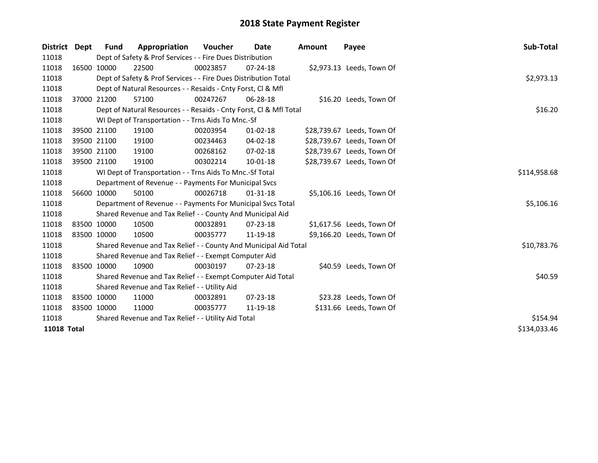| <b>District</b>    | <b>Dept</b> | <b>Fund</b>                                         | Appropriation                                                      | <b>Voucher</b> | Date           | Amount | Payee                      | Sub-Total    |
|--------------------|-------------|-----------------------------------------------------|--------------------------------------------------------------------|----------------|----------------|--------|----------------------------|--------------|
| 11018              |             |                                                     | Dept of Safety & Prof Services - - Fire Dues Distribution          |                |                |        |                            |              |
| 11018              |             | 16500 10000                                         | 22500                                                              | 00023857       | $07 - 24 - 18$ |        | \$2,973.13 Leeds, Town Of  |              |
| 11018              |             |                                                     | Dept of Safety & Prof Services - - Fire Dues Distribution Total    |                |                |        |                            | \$2,973.13   |
| 11018              |             |                                                     | Dept of Natural Resources - - Resaids - Cnty Forst, Cl & Mfl       |                |                |        |                            |              |
| 11018              |             | 37000 21200                                         | 57100                                                              | 00247267       | 06-28-18       |        | \$16.20 Leeds, Town Of     |              |
| 11018              |             |                                                     | Dept of Natural Resources - - Resaids - Cnty Forst, Cl & Mfl Total |                |                |        |                            | \$16.20      |
| 11018              |             |                                                     | WI Dept of Transportation - - Trns Aids To Mnc.-Sf                 |                |                |        |                            |              |
| 11018              |             | 39500 21100                                         | 19100                                                              | 00203954       | $01 - 02 - 18$ |        | \$28,739.67 Leeds, Town Of |              |
| 11018              |             | 39500 21100                                         | 19100                                                              | 00234463       | 04-02-18       |        | \$28,739.67 Leeds, Town Of |              |
| 11018              |             | 39500 21100                                         | 19100                                                              | 00268162       | $07 - 02 - 18$ |        | \$28,739.67 Leeds, Town Of |              |
| 11018              |             | 39500 21100                                         | 19100                                                              | 00302214       | $10 - 01 - 18$ |        | \$28,739.67 Leeds, Town Of |              |
| 11018              |             |                                                     | WI Dept of Transportation - - Trns Aids To Mnc.-Sf Total           | \$114,958.68   |                |        |                            |              |
| 11018              |             |                                                     | Department of Revenue - - Payments For Municipal Svcs              |                |                |        |                            |              |
| 11018              |             | 56600 10000                                         | 50100                                                              | 00026718       | $01-31-18$     |        | \$5,106.16 Leeds, Town Of  |              |
| 11018              |             |                                                     | Department of Revenue - - Payments For Municipal Svcs Total        |                |                |        |                            | \$5,106.16   |
| 11018              |             |                                                     | Shared Revenue and Tax Relief - - County And Municipal Aid         |                |                |        |                            |              |
| 11018              |             | 83500 10000                                         | 10500                                                              | 00032891       | $07 - 23 - 18$ |        | \$1,617.56 Leeds, Town Of  |              |
| 11018              |             | 83500 10000                                         | 10500                                                              | 00035777       | 11-19-18       |        | \$9,166.20 Leeds, Town Of  |              |
| 11018              |             |                                                     | Shared Revenue and Tax Relief - - County And Municipal Aid Total   |                |                |        |                            | \$10,783.76  |
| 11018              |             |                                                     | Shared Revenue and Tax Relief - - Exempt Computer Aid              |                |                |        |                            |              |
| 11018              |             | 83500 10000                                         | 10900                                                              | 00030197       | 07-23-18       |        | \$40.59 Leeds, Town Of     |              |
| 11018              |             |                                                     | Shared Revenue and Tax Relief - - Exempt Computer Aid Total        |                |                |        |                            | \$40.59      |
| 11018              |             |                                                     | Shared Revenue and Tax Relief - - Utility Aid                      |                |                |        |                            |              |
| 11018              |             | 83500 10000                                         | 11000                                                              | 00032891       | $07 - 23 - 18$ |        | \$23.28 Leeds, Town Of     |              |
| 11018              |             | 83500 10000                                         | 11000                                                              | 00035777       | 11-19-18       |        | \$131.66 Leeds, Town Of    |              |
| 11018              |             | Shared Revenue and Tax Relief - - Utility Aid Total | \$154.94                                                           |                |                |        |                            |              |
| <b>11018 Total</b> |             |                                                     |                                                                    |                |                |        |                            | \$134,033.46 |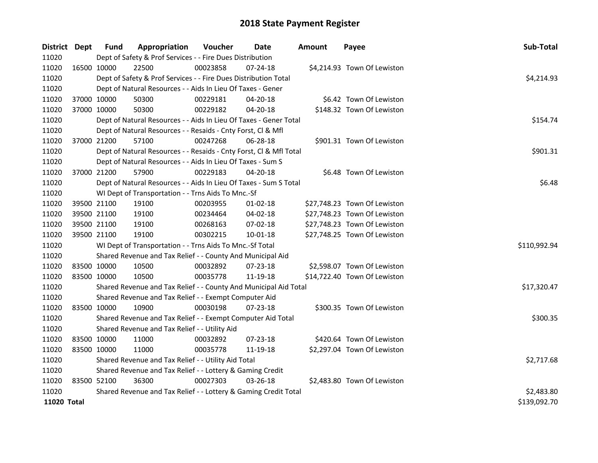| District Dept |             | Fund        | Appropriation                                                      | Voucher    | Date           | <b>Amount</b> | Payee                        | Sub-Total    |
|---------------|-------------|-------------|--------------------------------------------------------------------|------------|----------------|---------------|------------------------------|--------------|
| 11020         |             |             | Dept of Safety & Prof Services - - Fire Dues Distribution          |            |                |               |                              |              |
| 11020         | 16500 10000 |             | 22500                                                              | 00023858   | 07-24-18       |               | \$4,214.93 Town Of Lewiston  |              |
| 11020         |             |             | Dept of Safety & Prof Services - - Fire Dues Distribution Total    |            |                |               |                              | \$4,214.93   |
| 11020         |             |             | Dept of Natural Resources - - Aids In Lieu Of Taxes - Gener        |            |                |               |                              |              |
| 11020         |             | 37000 10000 | 50300                                                              | 00229181   | 04-20-18       |               | \$6.42 Town Of Lewiston      |              |
| 11020         | 37000 10000 |             | 50300                                                              | 00229182   | 04-20-18       |               | \$148.32 Town Of Lewiston    |              |
| 11020         |             |             | Dept of Natural Resources - - Aids In Lieu Of Taxes - Gener Total  |            |                |               |                              | \$154.74     |
| 11020         |             |             | Dept of Natural Resources - - Resaids - Cnty Forst, Cl & Mfl       |            |                |               |                              |              |
| 11020         | 37000 21200 |             | 57100                                                              | 00247268   | 06-28-18       |               | \$901.31 Town Of Lewiston    |              |
| 11020         |             |             | Dept of Natural Resources - - Resaids - Cnty Forst, Cl & Mfl Total |            |                |               |                              | \$901.31     |
| 11020         |             |             | Dept of Natural Resources - - Aids In Lieu Of Taxes - Sum S        |            |                |               |                              |              |
| 11020         | 37000 21200 |             | 57900                                                              | 00229183   | 04-20-18       |               | \$6.48 Town Of Lewiston      |              |
| 11020         |             |             | Dept of Natural Resources - - Aids In Lieu Of Taxes - Sum S Total  |            |                |               |                              | \$6.48       |
| 11020         |             |             | WI Dept of Transportation - - Trns Aids To Mnc.-Sf                 |            |                |               |                              |              |
| 11020         |             | 39500 21100 | 19100                                                              | 00203955   | $01 - 02 - 18$ |               | \$27,748.23 Town Of Lewiston |              |
| 11020         |             | 39500 21100 | 19100                                                              | 00234464   | 04-02-18       |               | \$27,748.23 Town Of Lewiston |              |
| 11020         |             | 39500 21100 | 19100                                                              | 00268163   | 07-02-18       |               | \$27,748.23 Town Of Lewiston |              |
| 11020         | 39500 21100 |             | 19100                                                              | 00302215   | $10 - 01 - 18$ |               | \$27,748.25 Town Of Lewiston |              |
| 11020         |             |             | WI Dept of Transportation - - Trns Aids To Mnc.-Sf Total           |            |                |               |                              | \$110,992.94 |
| 11020         |             |             | Shared Revenue and Tax Relief - - County And Municipal Aid         |            |                |               |                              |              |
| 11020         |             | 83500 10000 | 10500                                                              | 00032892   | 07-23-18       |               | \$2,598.07 Town Of Lewiston  |              |
| 11020         | 83500 10000 |             | 10500                                                              | 00035778   | 11-19-18       |               | \$14,722.40 Town Of Lewiston |              |
| 11020         |             |             | Shared Revenue and Tax Relief - - County And Municipal Aid Total   |            |                |               |                              | \$17,320.47  |
| 11020         |             |             | Shared Revenue and Tax Relief - - Exempt Computer Aid              |            |                |               |                              |              |
| 11020         | 83500 10000 |             | 10900                                                              | 00030198   | 07-23-18       |               | \$300.35 Town Of Lewiston    |              |
| 11020         |             |             | Shared Revenue and Tax Relief - - Exempt Computer Aid Total        |            |                |               |                              | \$300.35     |
| 11020         |             |             | Shared Revenue and Tax Relief - - Utility Aid                      |            |                |               |                              |              |
| 11020         |             | 83500 10000 | 11000                                                              | 00032892   | 07-23-18       |               | \$420.64 Town Of Lewiston    |              |
| 11020         | 83500 10000 |             | 11000                                                              | 00035778   | 11-19-18       |               | \$2,297.04 Town Of Lewiston  |              |
| 11020         |             |             | Shared Revenue and Tax Relief - - Utility Aid Total                | \$2,717.68 |                |               |                              |              |
| 11020         |             |             | Shared Revenue and Tax Relief - - Lottery & Gaming Credit          |            |                |               |                              |              |
| 11020         |             | 83500 52100 | 36300                                                              | 00027303   | 03-26-18       |               | \$2,483.80 Town Of Lewiston  |              |
| 11020         |             |             | Shared Revenue and Tax Relief - - Lottery & Gaming Credit Total    | \$2,483.80 |                |               |                              |              |
| 11020 Total   |             |             |                                                                    |            |                |               |                              | \$139,092.70 |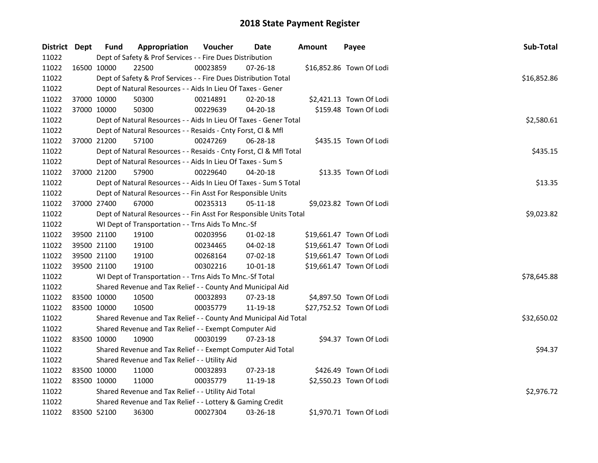| District Dept |             | <b>Fund</b> | Appropriation                                                      | Voucher  | <b>Date</b>    | <b>Amount</b> | Payee                    | Sub-Total   |
|---------------|-------------|-------------|--------------------------------------------------------------------|----------|----------------|---------------|--------------------------|-------------|
| 11022         |             |             | Dept of Safety & Prof Services - - Fire Dues Distribution          |          |                |               |                          |             |
| 11022         |             | 16500 10000 | 22500                                                              | 00023859 | $07 - 26 - 18$ |               | \$16,852.86 Town Of Lodi |             |
| 11022         |             |             | Dept of Safety & Prof Services - - Fire Dues Distribution Total    |          |                |               |                          | \$16,852.86 |
| 11022         |             |             | Dept of Natural Resources - - Aids In Lieu Of Taxes - Gener        |          |                |               |                          |             |
| 11022         | 37000 10000 |             | 50300                                                              | 00214891 | 02-20-18       |               | \$2,421.13 Town Of Lodi  |             |
| 11022         | 37000 10000 |             | 50300                                                              | 00229639 | 04-20-18       |               | \$159.48 Town Of Lodi    |             |
| 11022         |             |             | Dept of Natural Resources - - Aids In Lieu Of Taxes - Gener Total  |          |                |               |                          | \$2,580.61  |
| 11022         |             |             | Dept of Natural Resources - - Resaids - Cnty Forst, Cl & Mfl       |          |                |               |                          |             |
| 11022         | 37000 21200 |             | 57100                                                              | 00247269 | 06-28-18       |               | \$435.15 Town Of Lodi    |             |
| 11022         |             |             | Dept of Natural Resources - - Resaids - Cnty Forst, Cl & Mfl Total |          |                |               |                          | \$435.15    |
| 11022         |             |             | Dept of Natural Resources - - Aids In Lieu Of Taxes - Sum S        |          |                |               |                          |             |
| 11022         | 37000 21200 |             | 57900                                                              | 00229640 | 04-20-18       |               | \$13.35 Town Of Lodi     |             |
| 11022         |             |             | Dept of Natural Resources - - Aids In Lieu Of Taxes - Sum S Total  |          |                |               |                          | \$13.35     |
| 11022         |             |             | Dept of Natural Resources - - Fin Asst For Responsible Units       |          |                |               |                          |             |
| 11022         | 37000 27400 |             | 67000                                                              | 00235313 | 05-11-18       |               | \$9,023.82 Town Of Lodi  |             |
| 11022         |             |             | Dept of Natural Resources - - Fin Asst For Responsible Units Total |          |                |               |                          | \$9,023.82  |
| 11022         |             |             | WI Dept of Transportation - - Trns Aids To Mnc.-Sf                 |          |                |               |                          |             |
| 11022         | 39500 21100 |             | 19100                                                              | 00203956 | $01 - 02 - 18$ |               | \$19,661.47 Town Of Lodi |             |
| 11022         | 39500 21100 |             | 19100                                                              | 00234465 | 04-02-18       |               | \$19,661.47 Town Of Lodi |             |
| 11022         | 39500 21100 |             | 19100                                                              | 00268164 | 07-02-18       |               | \$19,661.47 Town Of Lodi |             |
| 11022         | 39500 21100 |             | 19100                                                              | 00302216 | 10-01-18       |               | \$19,661.47 Town Of Lodi |             |
| 11022         |             |             | WI Dept of Transportation - - Trns Aids To Mnc.-Sf Total           |          |                |               |                          | \$78,645.88 |
| 11022         |             |             | Shared Revenue and Tax Relief - - County And Municipal Aid         |          |                |               |                          |             |
| 11022         | 83500 10000 |             | 10500                                                              | 00032893 | 07-23-18       |               | \$4,897.50 Town Of Lodi  |             |
| 11022         | 83500 10000 |             | 10500                                                              | 00035779 | 11-19-18       |               | \$27,752.52 Town Of Lodi |             |
| 11022         |             |             | Shared Revenue and Tax Relief - - County And Municipal Aid Total   |          |                |               |                          | \$32,650.02 |
| 11022         |             |             | Shared Revenue and Tax Relief - - Exempt Computer Aid              |          |                |               |                          |             |
| 11022         | 83500 10000 |             | 10900                                                              | 00030199 | 07-23-18       |               | \$94.37 Town Of Lodi     |             |
| 11022         |             |             | Shared Revenue and Tax Relief - - Exempt Computer Aid Total        |          |                |               |                          | \$94.37     |
| 11022         |             |             | Shared Revenue and Tax Relief - - Utility Aid                      |          |                |               |                          |             |
| 11022         | 83500 10000 |             | 11000                                                              | 00032893 | 07-23-18       |               | \$426.49 Town Of Lodi    |             |
| 11022         | 83500 10000 |             | 11000                                                              | 00035779 | 11-19-18       |               | \$2,550.23 Town Of Lodi  |             |
| 11022         |             |             | Shared Revenue and Tax Relief - - Utility Aid Total                |          |                |               |                          | \$2,976.72  |
| 11022         |             |             | Shared Revenue and Tax Relief - - Lottery & Gaming Credit          |          |                |               |                          |             |
| 11022         | 83500 52100 |             | 36300                                                              | 00027304 | 03-26-18       |               | \$1,970.71 Town Of Lodi  |             |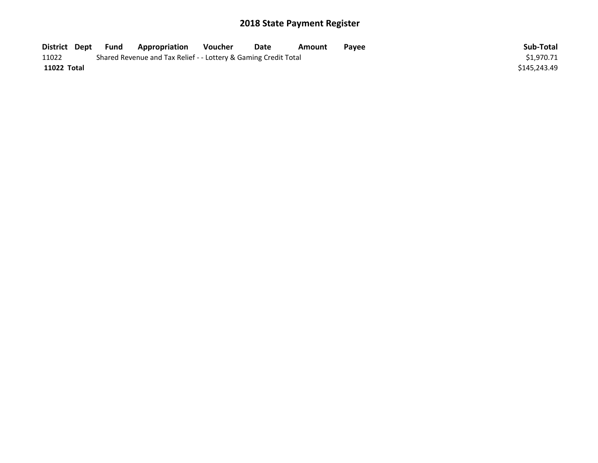| District Dept | Fund | <b>Appropriation</b>                                            | Voucher | Date | Amount | Payee | Sub-Total    |
|---------------|------|-----------------------------------------------------------------|---------|------|--------|-------|--------------|
| 11022         |      | Shared Revenue and Tax Relief - - Lottery & Gaming Credit Total |         |      |        |       | \$1,970.71   |
| 11022 Total   |      |                                                                 |         |      |        |       | \$145.243.49 |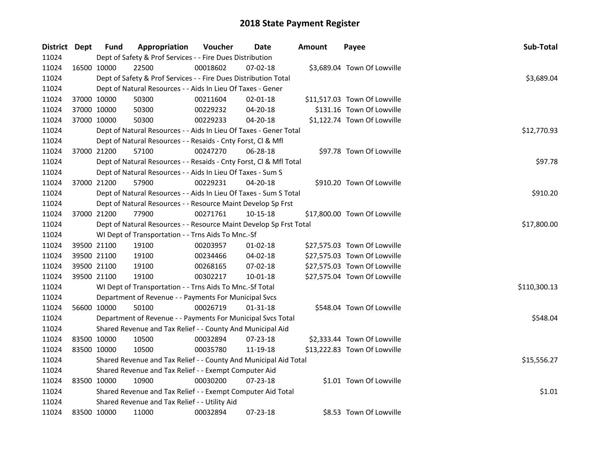| District Dept | <b>Fund</b> | Appropriation                                                      | Voucher  | Date           | <b>Amount</b> | Payee                        | Sub-Total    |  |  |
|---------------|-------------|--------------------------------------------------------------------|----------|----------------|---------------|------------------------------|--------------|--|--|
| 11024         |             | Dept of Safety & Prof Services - - Fire Dues Distribution          |          |                |               |                              |              |  |  |
| 11024         | 16500 10000 | 22500                                                              | 00018602 | 07-02-18       |               | \$3,689.04 Town Of Lowville  |              |  |  |
| 11024         |             | Dept of Safety & Prof Services - - Fire Dues Distribution Total    |          |                |               |                              | \$3,689.04   |  |  |
| 11024         |             | Dept of Natural Resources - - Aids In Lieu Of Taxes - Gener        |          |                |               |                              |              |  |  |
| 11024         | 37000 10000 | 50300                                                              | 00211604 | $02 - 01 - 18$ |               | \$11,517.03 Town Of Lowville |              |  |  |
| 11024         | 37000 10000 | 50300                                                              | 00229232 | 04-20-18       |               | \$131.16 Town Of Lowville    |              |  |  |
| 11024         | 37000 10000 | 50300                                                              | 00229233 | $04 - 20 - 18$ |               | \$1,122.74 Town Of Lowville  |              |  |  |
| 11024         |             | Dept of Natural Resources - - Aids In Lieu Of Taxes - Gener Total  |          |                |               |                              | \$12,770.93  |  |  |
| 11024         |             | Dept of Natural Resources - - Resaids - Cnty Forst, Cl & Mfl       |          |                |               |                              |              |  |  |
| 11024         | 37000 21200 | 57100                                                              | 00247270 | 06-28-18       |               | \$97.78 Town Of Lowville     |              |  |  |
| 11024         |             | Dept of Natural Resources - - Resaids - Cnty Forst, Cl & Mfl Total |          |                |               |                              | \$97.78      |  |  |
| 11024         |             | Dept of Natural Resources - - Aids In Lieu Of Taxes - Sum S        |          |                |               |                              |              |  |  |
| 11024         | 37000 21200 | 57900                                                              | 00229231 | 04-20-18       |               | \$910.20 Town Of Lowville    |              |  |  |
| 11024         |             | Dept of Natural Resources - - Aids In Lieu Of Taxes - Sum S Total  |          |                |               |                              | \$910.20     |  |  |
| 11024         |             | Dept of Natural Resources - - Resource Maint Develop Sp Frst       |          |                |               |                              |              |  |  |
| 11024         | 37000 21200 | 77900                                                              | 00271761 | 10-15-18       |               | \$17,800.00 Town Of Lowville |              |  |  |
| 11024         |             | Dept of Natural Resources - - Resource Maint Develop Sp Frst Total |          | \$17,800.00    |               |                              |              |  |  |
| 11024         |             | WI Dept of Transportation - - Trns Aids To Mnc.-Sf                 |          |                |               |                              |              |  |  |
| 11024         | 39500 21100 | 19100                                                              | 00203957 | $01-02-18$     |               | \$27,575.03 Town Of Lowville |              |  |  |
| 11024         | 39500 21100 | 19100                                                              | 00234466 | 04-02-18       |               | \$27,575.03 Town Of Lowville |              |  |  |
| 11024         | 39500 21100 | 19100                                                              | 00268165 | 07-02-18       |               | \$27,575.03 Town Of Lowville |              |  |  |
| 11024         | 39500 21100 | 19100                                                              | 00302217 | $10 - 01 - 18$ |               | \$27,575.04 Town Of Lowville |              |  |  |
| 11024         |             | WI Dept of Transportation - - Trns Aids To Mnc.-Sf Total           |          |                |               |                              | \$110,300.13 |  |  |
| 11024         |             | Department of Revenue - - Payments For Municipal Svcs              |          |                |               |                              |              |  |  |
| 11024         | 56600 10000 | 50100                                                              | 00026719 | 01-31-18       |               | \$548.04 Town Of Lowville    |              |  |  |
| 11024         |             | Department of Revenue - - Payments For Municipal Svcs Total        |          |                |               |                              | \$548.04     |  |  |
| 11024         |             | Shared Revenue and Tax Relief - - County And Municipal Aid         |          |                |               |                              |              |  |  |
| 11024         | 83500 10000 | 10500                                                              | 00032894 | 07-23-18       |               | \$2,333.44 Town Of Lowville  |              |  |  |
| 11024         | 83500 10000 | 10500                                                              | 00035780 | 11-19-18       |               | \$13,222.83 Town Of Lowville |              |  |  |
| 11024         |             | Shared Revenue and Tax Relief - - County And Municipal Aid Total   |          |                |               |                              | \$15,556.27  |  |  |
| 11024         |             | Shared Revenue and Tax Relief - - Exempt Computer Aid              |          |                |               |                              |              |  |  |
| 11024         | 83500 10000 | 10900                                                              | 00030200 | $07 - 23 - 18$ |               | \$1.01 Town Of Lowville      |              |  |  |
| 11024         |             | Shared Revenue and Tax Relief - - Exempt Computer Aid Total        |          |                |               |                              | \$1.01       |  |  |
| 11024         |             | Shared Revenue and Tax Relief - - Utility Aid                      |          |                |               |                              |              |  |  |
| 11024         | 83500 10000 | 11000                                                              | 00032894 | 07-23-18       |               | \$8.53 Town Of Lowville      |              |  |  |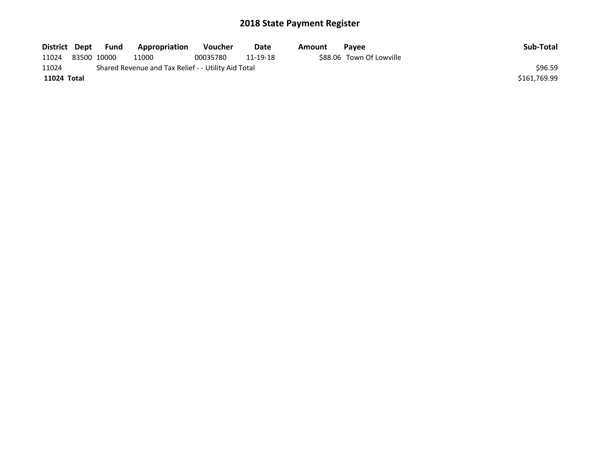| District Dept | Fund        | Appropriation                                       | <b>Voucher</b> | Date     | Amount | Pavee                    | Sub-Total    |
|---------------|-------------|-----------------------------------------------------|----------------|----------|--------|--------------------------|--------------|
| 11024         | 83500 10000 | 11000                                               | 00035780       | 11-19-18 |        | \$88.06 Town Of Lowville |              |
| 11024         |             | Shared Revenue and Tax Relief - - Utility Aid Total |                |          |        |                          | \$96.59      |
| 11024 Total   |             |                                                     |                |          |        |                          | \$161,769.99 |
|               |             |                                                     |                |          |        |                          |              |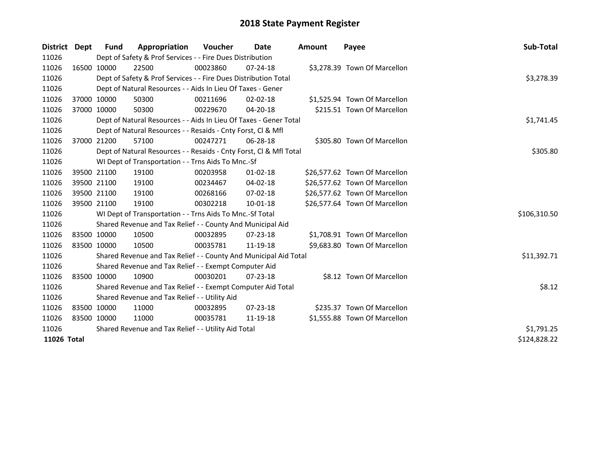| District Dept | Fund                                                | Appropriation                                                      | <b>Voucher</b> | Date           | Amount | Payee                         | Sub-Total    |
|---------------|-----------------------------------------------------|--------------------------------------------------------------------|----------------|----------------|--------|-------------------------------|--------------|
| 11026         |                                                     | Dept of Safety & Prof Services - - Fire Dues Distribution          |                |                |        |                               |              |
| 11026         | 16500 10000                                         | 22500                                                              | 00023860       | $07 - 24 - 18$ |        | \$3,278.39 Town Of Marcellon  |              |
| 11026         |                                                     | Dept of Safety & Prof Services - - Fire Dues Distribution Total    |                |                |        |                               | \$3,278.39   |
| 11026         |                                                     | Dept of Natural Resources - - Aids In Lieu Of Taxes - Gener        |                |                |        |                               |              |
| 11026         | 37000 10000                                         | 50300                                                              | 00211696       | $02 - 02 - 18$ |        | \$1,525.94 Town Of Marcellon  |              |
| 11026         | 37000 10000                                         | 50300                                                              | 00229670       | 04-20-18       |        | \$215.51 Town Of Marcellon    |              |
| 11026         |                                                     | Dept of Natural Resources - - Aids In Lieu Of Taxes - Gener Total  |                |                |        |                               | \$1,741.45   |
| 11026         |                                                     | Dept of Natural Resources - - Resaids - Cnty Forst, Cl & Mfl       |                |                |        |                               |              |
| 11026         | 37000 21200                                         | 57100                                                              | 00247271       | 06-28-18       |        | \$305.80 Town Of Marcellon    |              |
| 11026         |                                                     | Dept of Natural Resources - - Resaids - Cnty Forst, CI & Mfl Total |                |                |        |                               | \$305.80     |
| 11026         |                                                     | WI Dept of Transportation - - Trns Aids To Mnc.-Sf                 |                |                |        |                               |              |
| 11026         | 39500 21100                                         | 19100                                                              | 00203958       | $01-02-18$     |        | \$26,577.62 Town Of Marcellon |              |
| 11026         | 39500 21100                                         | 19100                                                              | 00234467       | 04-02-18       |        | \$26,577.62 Town Of Marcellon |              |
| 11026         | 39500 21100                                         | 19100                                                              | 00268166       | 07-02-18       |        | \$26,577.62 Town Of Marcellon |              |
| 11026         | 39500 21100                                         | 19100                                                              | 00302218       | $10 - 01 - 18$ |        | \$26,577.64 Town Of Marcellon |              |
| 11026         |                                                     | WI Dept of Transportation - - Trns Aids To Mnc.-Sf Total           |                |                |        |                               | \$106,310.50 |
| 11026         |                                                     | Shared Revenue and Tax Relief - - County And Municipal Aid         |                |                |        |                               |              |
| 11026         | 83500 10000                                         | 10500                                                              | 00032895       | $07 - 23 - 18$ |        | \$1,708.91 Town Of Marcellon  |              |
| 11026         | 83500 10000                                         | 10500                                                              | 00035781       | 11-19-18       |        | \$9,683.80 Town Of Marcellon  |              |
| 11026         |                                                     | Shared Revenue and Tax Relief - - County And Municipal Aid Total   |                |                |        |                               | \$11,392.71  |
| 11026         |                                                     | Shared Revenue and Tax Relief - - Exempt Computer Aid              |                |                |        |                               |              |
| 11026         | 83500 10000                                         | 10900                                                              | 00030201       | $07 - 23 - 18$ |        | \$8.12 Town Of Marcellon      |              |
| 11026         |                                                     | Shared Revenue and Tax Relief - - Exempt Computer Aid Total        |                |                |        |                               | \$8.12       |
| 11026         |                                                     | Shared Revenue and Tax Relief - - Utility Aid                      |                |                |        |                               |              |
| 11026         | 83500 10000                                         | 11000                                                              | 00032895       | $07 - 23 - 18$ |        | \$235.37 Town Of Marcellon    |              |
| 11026         | 83500 10000                                         | 11000                                                              | 00035781       | 11-19-18       |        | \$1,555.88 Town Of Marcellon  |              |
| 11026         | Shared Revenue and Tax Relief - - Utility Aid Total | \$1,791.25                                                         |                |                |        |                               |              |
| 11026 Total   |                                                     |                                                                    |                |                |        |                               | \$124,828.22 |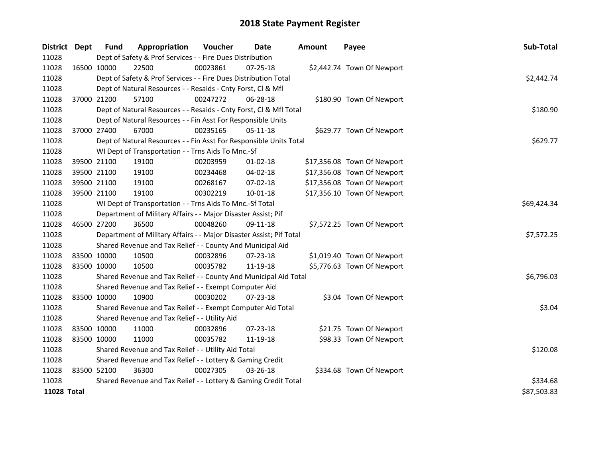| District Dept      | <b>Fund</b> | Appropriation                                                       | Voucher     | <b>Date</b>    | <b>Amount</b> | Payee                       | Sub-Total   |
|--------------------|-------------|---------------------------------------------------------------------|-------------|----------------|---------------|-----------------------------|-------------|
| 11028              |             | Dept of Safety & Prof Services - - Fire Dues Distribution           |             |                |               |                             |             |
| 11028              | 16500 10000 | 22500                                                               | 00023861    | 07-25-18       |               | \$2,442.74 Town Of Newport  |             |
| 11028              |             | Dept of Safety & Prof Services - - Fire Dues Distribution Total     |             |                |               |                             | \$2,442.74  |
| 11028              |             | Dept of Natural Resources - - Resaids - Cnty Forst, Cl & Mfl        |             |                |               |                             |             |
| 11028              | 37000 21200 | 57100                                                               | 00247272    | 06-28-18       |               | \$180.90 Town Of Newport    |             |
| 11028              |             | Dept of Natural Resources - - Resaids - Cnty Forst, Cl & Mfl Total  |             |                |               |                             | \$180.90    |
| 11028              |             | Dept of Natural Resources - - Fin Asst For Responsible Units        |             |                |               |                             |             |
| 11028              | 37000 27400 | 67000                                                               | 00235165    | 05-11-18       |               | \$629.77 Town Of Newport    |             |
| 11028              |             | Dept of Natural Resources - - Fin Asst For Responsible Units Total  | \$629.77    |                |               |                             |             |
| 11028              |             | WI Dept of Transportation - - Trns Aids To Mnc.-Sf                  |             |                |               |                             |             |
| 11028              | 39500 21100 | 19100                                                               | 00203959    | $01 - 02 - 18$ |               | \$17,356.08 Town Of Newport |             |
| 11028              | 39500 21100 | 19100                                                               | 00234468    | 04-02-18       |               | \$17,356.08 Town Of Newport |             |
| 11028              | 39500 21100 | 19100                                                               | 00268167    | 07-02-18       |               | \$17,356.08 Town Of Newport |             |
| 11028              | 39500 21100 | 19100                                                               | 00302219    | $10 - 01 - 18$ |               | \$17,356.10 Town Of Newport |             |
| 11028              |             | WI Dept of Transportation - - Trns Aids To Mnc.-Sf Total            | \$69,424.34 |                |               |                             |             |
| 11028              |             | Department of Military Affairs - - Major Disaster Assist; Pif       |             |                |               |                             |             |
| 11028              | 46500 27200 | 36500                                                               | 00048260    | 09-11-18       |               | \$7,572.25 Town Of Newport  |             |
| 11028              |             | Department of Military Affairs - - Major Disaster Assist; Pif Total |             |                |               |                             | \$7,572.25  |
| 11028              |             | Shared Revenue and Tax Relief - - County And Municipal Aid          |             |                |               |                             |             |
| 11028              | 83500 10000 | 10500                                                               | 00032896    | 07-23-18       |               | \$1,019.40 Town Of Newport  |             |
| 11028              | 83500 10000 | 10500                                                               | 00035782    | 11-19-18       |               | \$5,776.63 Town Of Newport  |             |
| 11028              |             | Shared Revenue and Tax Relief - - County And Municipal Aid Total    |             |                |               |                             | \$6,796.03  |
| 11028              |             | Shared Revenue and Tax Relief - - Exempt Computer Aid               |             |                |               |                             |             |
| 11028              | 83500 10000 | 10900                                                               | 00030202    | 07-23-18       |               | \$3.04 Town Of Newport      |             |
| 11028              |             | Shared Revenue and Tax Relief - - Exempt Computer Aid Total         |             |                |               |                             | \$3.04      |
| 11028              |             | Shared Revenue and Tax Relief - - Utility Aid                       |             |                |               |                             |             |
| 11028              | 83500 10000 | 11000                                                               | 00032896    | 07-23-18       |               | \$21.75 Town Of Newport     |             |
| 11028              | 83500 10000 | 11000                                                               | 00035782    | 11-19-18       |               | \$98.33 Town Of Newport     |             |
| 11028              |             | Shared Revenue and Tax Relief - - Utility Aid Total                 | \$120.08    |                |               |                             |             |
| 11028              |             | Shared Revenue and Tax Relief - - Lottery & Gaming Credit           |             |                |               |                             |             |
| 11028              | 83500 52100 | 36300                                                               | 00027305    | 03-26-18       |               | \$334.68 Town Of Newport    |             |
| 11028              |             | Shared Revenue and Tax Relief - - Lottery & Gaming Credit Total     |             |                |               |                             | \$334.68    |
| <b>11028 Total</b> |             |                                                                     |             |                |               |                             | \$87,503.83 |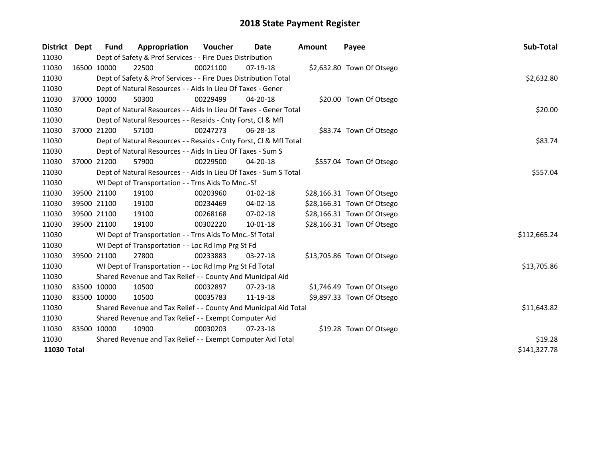| <b>District</b> | Dept        | <b>Fund</b> | Appropriation                                                      | <b>Voucher</b> | Date           | <b>Amount</b> | Payee                      | Sub-Total    |
|-----------------|-------------|-------------|--------------------------------------------------------------------|----------------|----------------|---------------|----------------------------|--------------|
| 11030           |             |             | Dept of Safety & Prof Services - - Fire Dues Distribution          |                |                |               |                            |              |
| 11030           |             | 16500 10000 | 22500                                                              | 00021100       | 07-19-18       |               | \$2,632.80 Town Of Otsego  |              |
| 11030           |             |             | Dept of Safety & Prof Services - - Fire Dues Distribution Total    |                |                |               |                            | \$2,632.80   |
| 11030           |             |             | Dept of Natural Resources - - Aids In Lieu Of Taxes - Gener        |                |                |               |                            |              |
| 11030           |             | 37000 10000 | 50300                                                              | 00229499       | $04 - 20 - 18$ |               | \$20.00 Town Of Otsego     |              |
| 11030           |             |             | Dept of Natural Resources - - Aids In Lieu Of Taxes - Gener Total  |                |                |               |                            | \$20.00      |
| 11030           |             |             | Dept of Natural Resources - - Resaids - Cnty Forst, Cl & Mfl       |                |                |               |                            |              |
| 11030           |             | 37000 21200 | 57100                                                              | 00247273       | 06-28-18       |               | \$83.74 Town Of Otsego     |              |
| 11030           |             |             | Dept of Natural Resources - - Resaids - Cnty Forst, Cl & Mfl Total |                |                |               |                            | \$83.74      |
| 11030           |             |             | Dept of Natural Resources - - Aids In Lieu Of Taxes - Sum S        |                |                |               |                            |              |
| 11030           |             | 37000 21200 | 57900                                                              | 00229500       | 04-20-18       |               | \$557.04 Town Of Otsego    |              |
| 11030           |             |             | Dept of Natural Resources - - Aids In Lieu Of Taxes - Sum S Total  |                |                |               |                            | \$557.04     |
| 11030           |             |             | WI Dept of Transportation - - Trns Aids To Mnc.-Sf                 |                |                |               |                            |              |
| 11030           |             | 39500 21100 | 19100                                                              | 00203960       | 01-02-18       |               | \$28,166.31 Town Of Otsego |              |
| 11030           |             | 39500 21100 | 19100                                                              | 00234469       | 04-02-18       |               | \$28,166.31 Town Of Otsego |              |
| 11030           |             | 39500 21100 | 19100                                                              | 00268168       | 07-02-18       |               | \$28,166.31 Town Of Otsego |              |
| 11030           |             | 39500 21100 | 19100                                                              | 00302220       | 10-01-18       |               | \$28,166.31 Town Of Otsego |              |
| 11030           |             |             | WI Dept of Transportation - - Trns Aids To Mnc.-Sf Total           |                |                |               |                            | \$112,665.24 |
| 11030           |             |             | WI Dept of Transportation - - Loc Rd Imp Prg St Fd                 |                |                |               |                            |              |
| 11030           |             | 39500 21100 | 27800                                                              | 00233883       | 03-27-18       |               | \$13,705.86 Town Of Otsego |              |
| 11030           |             |             | WI Dept of Transportation - - Loc Rd Imp Prg St Fd Total           |                |                |               |                            | \$13,705.86  |
| 11030           |             |             | Shared Revenue and Tax Relief - - County And Municipal Aid         |                |                |               |                            |              |
| 11030           | 83500 10000 |             | 10500                                                              | 00032897       | 07-23-18       |               | \$1,746.49 Town Of Otsego  |              |
| 11030           | 83500 10000 |             | 10500                                                              | 00035783       | 11-19-18       |               | \$9,897.33 Town Of Otsego  |              |
| 11030           |             |             | Shared Revenue and Tax Relief - - County And Municipal Aid Total   |                |                |               |                            | \$11,643.82  |
| 11030           |             |             | Shared Revenue and Tax Relief - - Exempt Computer Aid              |                |                |               |                            |              |
| 11030           | 83500 10000 |             | 10900                                                              | 00030203       | $07 - 23 - 18$ |               | \$19.28 Town Of Otsego     |              |
| 11030           |             |             | Shared Revenue and Tax Relief - - Exempt Computer Aid Total        | \$19.28        |                |               |                            |              |
| 11030 Total     |             |             |                                                                    |                |                |               |                            | \$141,327.78 |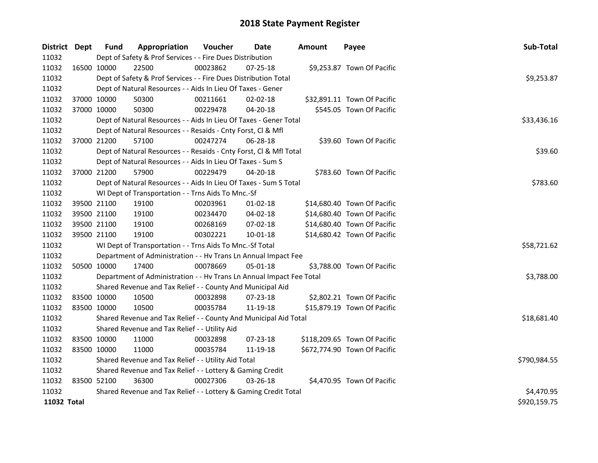| District Dept | <b>Fund</b> | Appropriation                                                        | Voucher     | Date           | <b>Amount</b> | Payee                        | Sub-Total    |
|---------------|-------------|----------------------------------------------------------------------|-------------|----------------|---------------|------------------------------|--------------|
| 11032         |             | Dept of Safety & Prof Services - - Fire Dues Distribution            |             |                |               |                              |              |
| 11032         | 16500 10000 | 22500                                                                | 00023862    | 07-25-18       |               | \$9,253.87 Town Of Pacific   |              |
| 11032         |             | Dept of Safety & Prof Services - - Fire Dues Distribution Total      |             |                |               |                              | \$9,253.87   |
| 11032         |             | Dept of Natural Resources - - Aids In Lieu Of Taxes - Gener          |             |                |               |                              |              |
| 11032         | 37000 10000 | 50300                                                                | 00211661    | 02-02-18       |               | \$32,891.11 Town Of Pacific  |              |
| 11032         | 37000 10000 | 50300                                                                | 00229478    | 04-20-18       |               | \$545.05 Town Of Pacific     |              |
| 11032         |             | Dept of Natural Resources - - Aids In Lieu Of Taxes - Gener Total    | \$33,436.16 |                |               |                              |              |
| 11032         |             | Dept of Natural Resources - - Resaids - Cnty Forst, Cl & Mfl         |             |                |               |                              |              |
| 11032         | 37000 21200 | 57100                                                                | 00247274    | 06-28-18       |               | \$39.60 Town Of Pacific      |              |
| 11032         |             | Dept of Natural Resources - - Resaids - Cnty Forst, Cl & Mfl Total   |             |                |               |                              | \$39.60      |
| 11032         |             | Dept of Natural Resources - - Aids In Lieu Of Taxes - Sum S          |             |                |               |                              |              |
| 11032         | 37000 21200 | 57900                                                                | 00229479    | 04-20-18       |               | \$783.60 Town Of Pacific     |              |
| 11032         |             | Dept of Natural Resources - - Aids In Lieu Of Taxes - Sum S Total    |             |                |               |                              | \$783.60     |
| 11032         |             | WI Dept of Transportation - - Trns Aids To Mnc.-Sf                   |             |                |               |                              |              |
| 11032         | 39500 21100 | 19100                                                                | 00203961    | $01-02-18$     |               | \$14,680.40 Town Of Pacific  |              |
| 11032         | 39500 21100 | 19100                                                                | 00234470    | 04-02-18       |               | \$14,680.40 Town Of Pacific  |              |
| 11032         | 39500 21100 | 19100                                                                | 00268169    | 07-02-18       |               | \$14,680.40 Town Of Pacific  |              |
| 11032         | 39500 21100 | 19100                                                                | 00302221    | $10 - 01 - 18$ |               | \$14,680.42 Town Of Pacific  |              |
| 11032         |             | WI Dept of Transportation - - Trns Aids To Mnc.-Sf Total             |             |                |               |                              | \$58,721.62  |
| 11032         |             | Department of Administration - - Hv Trans Ln Annual Impact Fee       |             |                |               |                              |              |
| 11032         | 50500 10000 | 17400                                                                | 00078669    | 05-01-18       |               | \$3,788.00 Town Of Pacific   |              |
| 11032         |             | Department of Administration - - Hv Trans Ln Annual Impact Fee Total |             |                |               |                              | \$3,788.00   |
| 11032         |             | Shared Revenue and Tax Relief - - County And Municipal Aid           |             |                |               |                              |              |
| 11032         | 83500 10000 | 10500                                                                | 00032898    | 07-23-18       |               | \$2,802.21 Town Of Pacific   |              |
| 11032         | 83500 10000 | 10500                                                                | 00035784    | 11-19-18       |               | \$15,879.19 Town Of Pacific  |              |
| 11032         |             | Shared Revenue and Tax Relief - - County And Municipal Aid Total     |             |                |               |                              | \$18,681.40  |
| 11032         |             | Shared Revenue and Tax Relief - - Utility Aid                        |             |                |               |                              |              |
| 11032         | 83500 10000 | 11000                                                                | 00032898    | 07-23-18       |               | \$118,209.65 Town Of Pacific |              |
| 11032         | 83500 10000 | 11000                                                                | 00035784    | 11-19-18       |               | \$672,774.90 Town Of Pacific |              |
| 11032         |             | Shared Revenue and Tax Relief - - Utility Aid Total                  |             |                |               |                              | \$790,984.55 |
| 11032         |             | Shared Revenue and Tax Relief - - Lottery & Gaming Credit            |             |                |               |                              |              |
| 11032         | 83500 52100 | 36300                                                                | 00027306    | $03 - 26 - 18$ |               | \$4,470.95 Town Of Pacific   |              |
| 11032         |             | Shared Revenue and Tax Relief - - Lottery & Gaming Credit Total      |             |                |               |                              | \$4,470.95   |
| 11032 Total   |             |                                                                      |             |                |               |                              | \$920,159.75 |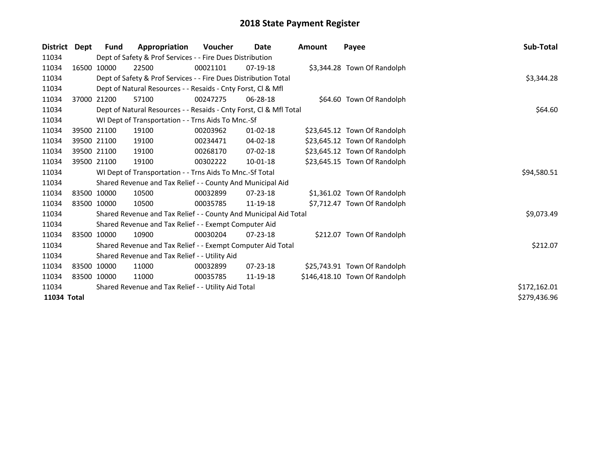| <b>District</b> | Dept | Fund                                                | Appropriation                                                      | <b>Voucher</b> | Date           | <b>Amount</b> | Payee                         | Sub-Total    |
|-----------------|------|-----------------------------------------------------|--------------------------------------------------------------------|----------------|----------------|---------------|-------------------------------|--------------|
| 11034           |      |                                                     | Dept of Safety & Prof Services - - Fire Dues Distribution          |                |                |               |                               |              |
| 11034           |      | 16500 10000                                         | 22500                                                              | 00021101       | 07-19-18       |               | \$3,344.28 Town Of Randolph   |              |
| 11034           |      |                                                     | Dept of Safety & Prof Services - - Fire Dues Distribution Total    | \$3,344.28     |                |               |                               |              |
| 11034           |      |                                                     | Dept of Natural Resources - - Resaids - Cnty Forst, CI & Mfl       |                |                |               |                               |              |
| 11034           |      | 37000 21200                                         | 57100                                                              | 00247275       | 06-28-18       |               | \$64.60 Town Of Randolph      |              |
| 11034           |      |                                                     | Dept of Natural Resources - - Resaids - Cnty Forst, CI & Mfl Total |                |                |               |                               | \$64.60      |
| 11034           |      |                                                     | WI Dept of Transportation - - Trns Aids To Mnc.-Sf                 |                |                |               |                               |              |
| 11034           |      | 39500 21100                                         | 19100                                                              | 00203962       | $01 - 02 - 18$ |               | \$23,645.12 Town Of Randolph  |              |
| 11034           |      | 39500 21100                                         | 19100                                                              | 00234471       | 04-02-18       |               | \$23,645.12 Town Of Randolph  |              |
| 11034           |      | 39500 21100                                         | 19100                                                              | 00268170       | 07-02-18       |               | \$23,645.12 Town Of Randolph  |              |
| 11034           |      | 39500 21100                                         | 19100                                                              | 00302222       | $10 - 01 - 18$ |               | \$23,645.15 Town Of Randolph  |              |
| 11034           |      |                                                     | WI Dept of Transportation - - Trns Aids To Mnc.-Sf Total           |                |                |               |                               | \$94,580.51  |
| 11034           |      |                                                     | Shared Revenue and Tax Relief - - County And Municipal Aid         |                |                |               |                               |              |
| 11034           |      | 83500 10000                                         | 10500                                                              | 00032899       | $07 - 23 - 18$ |               | \$1,361.02 Town Of Randolph   |              |
| 11034           |      | 83500 10000                                         | 10500                                                              | 00035785       | 11-19-18       |               | \$7,712.47 Town Of Randolph   |              |
| 11034           |      |                                                     | Shared Revenue and Tax Relief - - County And Municipal Aid Total   |                |                |               |                               | \$9,073.49   |
| 11034           |      |                                                     | Shared Revenue and Tax Relief - - Exempt Computer Aid              |                |                |               |                               |              |
| 11034           |      | 83500 10000                                         | 10900                                                              | 00030204       | $07 - 23 - 18$ |               | \$212.07 Town Of Randolph     |              |
| 11034           |      |                                                     | Shared Revenue and Tax Relief - - Exempt Computer Aid Total        |                |                |               |                               | \$212.07     |
| 11034           |      |                                                     | Shared Revenue and Tax Relief - - Utility Aid                      |                |                |               |                               |              |
| 11034           |      | 83500 10000                                         | 11000                                                              | 00032899       | $07 - 23 - 18$ |               | \$25,743.91 Town Of Randolph  |              |
| 11034           |      | 83500 10000                                         | 11000                                                              | 00035785       | 11-19-18       |               | \$146,418.10 Town Of Randolph |              |
| 11034           |      | Shared Revenue and Tax Relief - - Utility Aid Total | \$172,162.01                                                       |                |                |               |                               |              |
| 11034 Total     |      |                                                     |                                                                    |                |                |               |                               | \$279,436.96 |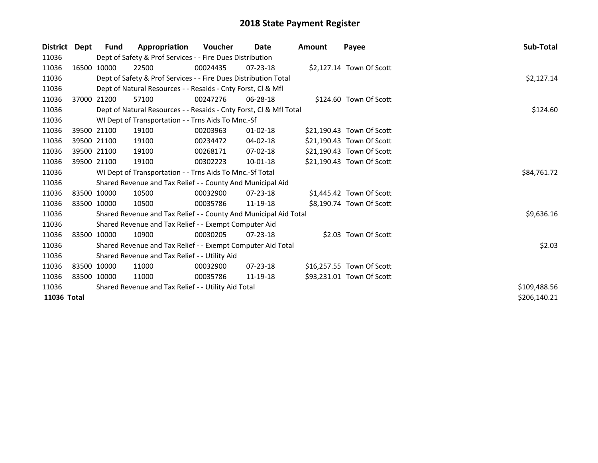| <b>District</b> | Dept | <b>Fund</b>                                         | Appropriation                                                      | <b>Voucher</b> | Date           | <b>Amount</b> | Payee                     | Sub-Total    |
|-----------------|------|-----------------------------------------------------|--------------------------------------------------------------------|----------------|----------------|---------------|---------------------------|--------------|
| 11036           |      |                                                     | Dept of Safety & Prof Services - - Fire Dues Distribution          |                |                |               |                           |              |
| 11036           |      | 16500 10000                                         | 22500                                                              | 00024435       | $07 - 23 - 18$ |               | \$2,127.14 Town Of Scott  |              |
| 11036           |      |                                                     | Dept of Safety & Prof Services - - Fire Dues Distribution Total    | \$2,127.14     |                |               |                           |              |
| 11036           |      |                                                     | Dept of Natural Resources - - Resaids - Cnty Forst, CI & Mfl       |                |                |               |                           |              |
| 11036           |      | 37000 21200                                         | 57100                                                              | 00247276       | 06-28-18       |               | \$124.60 Town Of Scott    |              |
| 11036           |      |                                                     | Dept of Natural Resources - - Resaids - Cnty Forst, Cl & Mfl Total |                |                |               |                           | \$124.60     |
| 11036           |      |                                                     | WI Dept of Transportation - - Trns Aids To Mnc.-Sf                 |                |                |               |                           |              |
| 11036           |      | 39500 21100                                         | 19100                                                              | 00203963       | $01 - 02 - 18$ |               | \$21,190.43 Town Of Scott |              |
| 11036           |      | 39500 21100                                         | 19100                                                              | 00234472       | 04-02-18       |               | \$21,190.43 Town Of Scott |              |
| 11036           |      | 39500 21100                                         | 19100                                                              | 00268171       | 07-02-18       |               | \$21,190.43 Town Of Scott |              |
| 11036           |      | 39500 21100                                         | 19100                                                              | 00302223       | 10-01-18       |               | \$21,190.43 Town Of Scott |              |
| 11036           |      |                                                     | WI Dept of Transportation - - Trns Aids To Mnc.-Sf Total           | \$84,761.72    |                |               |                           |              |
| 11036           |      |                                                     | Shared Revenue and Tax Relief - - County And Municipal Aid         |                |                |               |                           |              |
| 11036           |      | 83500 10000                                         | 10500                                                              | 00032900       | $07 - 23 - 18$ |               | \$1,445.42 Town Of Scott  |              |
| 11036           |      | 83500 10000                                         | 10500                                                              | 00035786       | 11-19-18       |               | \$8,190.74 Town Of Scott  |              |
| 11036           |      |                                                     | Shared Revenue and Tax Relief - - County And Municipal Aid Total   |                |                |               |                           | \$9,636.16   |
| 11036           |      |                                                     | Shared Revenue and Tax Relief - - Exempt Computer Aid              |                |                |               |                           |              |
| 11036           |      | 83500 10000                                         | 10900                                                              | 00030205       | $07 - 23 - 18$ |               | \$2.03 Town Of Scott      |              |
| 11036           |      |                                                     | Shared Revenue and Tax Relief - - Exempt Computer Aid Total        |                |                |               |                           | \$2.03       |
| 11036           |      |                                                     | Shared Revenue and Tax Relief - - Utility Aid                      |                |                |               |                           |              |
| 11036           |      | 83500 10000                                         | 11000                                                              | 00032900       | $07 - 23 - 18$ |               | \$16,257.55 Town Of Scott |              |
| 11036           |      | 83500 10000                                         | 11000                                                              | 00035786       | 11-19-18       |               | \$93,231.01 Town Of Scott |              |
| 11036           |      | Shared Revenue and Tax Relief - - Utility Aid Total | \$109,488.56                                                       |                |                |               |                           |              |
| 11036 Total     |      |                                                     |                                                                    |                |                |               |                           | \$206,140.21 |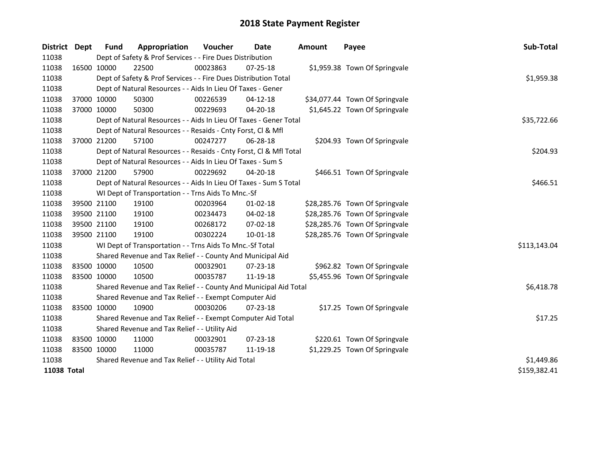| <b>District</b> | Dept        | <b>Fund</b>                                         | Appropriation                                                      | Voucher  | <b>Date</b>    | Amount | Payee                          | Sub-Total    |
|-----------------|-------------|-----------------------------------------------------|--------------------------------------------------------------------|----------|----------------|--------|--------------------------------|--------------|
| 11038           |             |                                                     | Dept of Safety & Prof Services - - Fire Dues Distribution          |          |                |        |                                |              |
| 11038           | 16500 10000 |                                                     | 22500                                                              | 00023863 | $07 - 25 - 18$ |        | \$1,959.38 Town Of Springvale  |              |
| 11038           |             |                                                     | Dept of Safety & Prof Services - - Fire Dues Distribution Total    |          |                |        |                                | \$1,959.38   |
| 11038           |             |                                                     | Dept of Natural Resources - - Aids In Lieu Of Taxes - Gener        |          |                |        |                                |              |
| 11038           | 37000 10000 |                                                     | 50300                                                              | 00226539 | $04-12-18$     |        | \$34,077.44 Town Of Springvale |              |
| 11038           | 37000 10000 |                                                     | 50300                                                              | 00229693 | $04 - 20 - 18$ |        | \$1,645.22 Town Of Springvale  |              |
| 11038           |             |                                                     | Dept of Natural Resources - - Aids In Lieu Of Taxes - Gener Total  |          |                |        |                                | \$35,722.66  |
| 11038           |             |                                                     | Dept of Natural Resources - - Resaids - Cnty Forst, Cl & Mfl       |          |                |        |                                |              |
| 11038           | 37000 21200 |                                                     | 57100                                                              | 00247277 | 06-28-18       |        | \$204.93 Town Of Springvale    |              |
| 11038           |             |                                                     | Dept of Natural Resources - - Resaids - Cnty Forst, Cl & Mfl Total |          |                |        |                                | \$204.93     |
| 11038           |             |                                                     | Dept of Natural Resources - - Aids In Lieu Of Taxes - Sum S        |          |                |        |                                |              |
| 11038           | 37000 21200 |                                                     | 57900                                                              | 00229692 | 04-20-18       |        | \$466.51 Town Of Springvale    |              |
| 11038           |             |                                                     | Dept of Natural Resources - - Aids In Lieu Of Taxes - Sum S Total  |          |                |        |                                | \$466.51     |
| 11038           |             |                                                     | WI Dept of Transportation - - Trns Aids To Mnc.-Sf                 |          |                |        |                                |              |
| 11038           | 39500 21100 |                                                     | 19100                                                              | 00203964 | $01 - 02 - 18$ |        | \$28,285.76 Town Of Springvale |              |
| 11038           | 39500 21100 |                                                     | 19100                                                              | 00234473 | 04-02-18       |        | \$28,285.76 Town Of Springvale |              |
| 11038           | 39500 21100 |                                                     | 19100                                                              | 00268172 | 07-02-18       |        | \$28,285.76 Town Of Springvale |              |
| 11038           | 39500 21100 |                                                     | 19100                                                              | 00302224 | $10 - 01 - 18$ |        | \$28,285.76 Town Of Springvale |              |
| 11038           |             |                                                     | WI Dept of Transportation - - Trns Aids To Mnc.-Sf Total           |          |                |        |                                | \$113,143.04 |
| 11038           |             |                                                     | Shared Revenue and Tax Relief - - County And Municipal Aid         |          |                |        |                                |              |
| 11038           | 83500 10000 |                                                     | 10500                                                              | 00032901 | 07-23-18       |        | \$962.82 Town Of Springvale    |              |
| 11038           | 83500 10000 |                                                     | 10500                                                              | 00035787 | 11-19-18       |        | \$5,455.96 Town Of Springvale  |              |
| 11038           |             |                                                     | Shared Revenue and Tax Relief - - County And Municipal Aid Total   |          |                |        |                                | \$6,418.78   |
| 11038           |             |                                                     | Shared Revenue and Tax Relief - - Exempt Computer Aid              |          |                |        |                                |              |
| 11038           | 83500 10000 |                                                     | 10900                                                              | 00030206 | $07 - 23 - 18$ |        | \$17.25 Town Of Springvale     |              |
| 11038           |             |                                                     | Shared Revenue and Tax Relief - - Exempt Computer Aid Total        |          |                |        |                                | \$17.25      |
| 11038           |             |                                                     | Shared Revenue and Tax Relief - - Utility Aid                      |          |                |        |                                |              |
| 11038           | 83500 10000 |                                                     | 11000                                                              | 00032901 | 07-23-18       |        | \$220.61 Town Of Springvale    |              |
| 11038           | 83500 10000 |                                                     | 11000                                                              | 00035787 | 11-19-18       |        | \$1,229.25 Town Of Springvale  |              |
| 11038           |             | Shared Revenue and Tax Relief - - Utility Aid Total | \$1,449.86                                                         |          |                |        |                                |              |
| 11038 Total     |             |                                                     |                                                                    |          |                |        |                                | \$159,382.41 |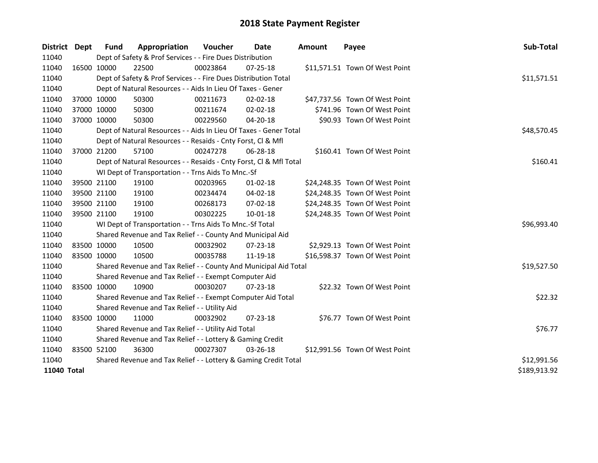| District Dept |             | <b>Fund</b>                                                     | Appropriation                                                      | Voucher     | Date           | <b>Amount</b> | Payee                          | Sub-Total    |
|---------------|-------------|-----------------------------------------------------------------|--------------------------------------------------------------------|-------------|----------------|---------------|--------------------------------|--------------|
| 11040         |             |                                                                 | Dept of Safety & Prof Services - - Fire Dues Distribution          |             |                |               |                                |              |
| 11040         |             | 16500 10000                                                     | 22500                                                              | 00023864    | $07 - 25 - 18$ |               | \$11,571.51 Town Of West Point |              |
| 11040         |             |                                                                 | Dept of Safety & Prof Services - - Fire Dues Distribution Total    |             |                |               |                                | \$11,571.51  |
| 11040         |             |                                                                 | Dept of Natural Resources - - Aids In Lieu Of Taxes - Gener        |             |                |               |                                |              |
| 11040         |             | 37000 10000                                                     | 50300                                                              | 00211673    | 02-02-18       |               | \$47,737.56 Town Of West Point |              |
| 11040         |             | 37000 10000                                                     | 50300                                                              | 00211674    | 02-02-18       |               | \$741.96 Town Of West Point    |              |
| 11040         |             | 37000 10000                                                     | 50300                                                              | 00229560    | 04-20-18       |               | \$90.93 Town Of West Point     |              |
| 11040         |             |                                                                 | Dept of Natural Resources - - Aids In Lieu Of Taxes - Gener Total  |             |                |               |                                | \$48,570.45  |
| 11040         |             |                                                                 | Dept of Natural Resources - - Resaids - Cnty Forst, Cl & Mfl       |             |                |               |                                |              |
| 11040         |             | 37000 21200                                                     | 57100                                                              | 00247278    | 06-28-18       |               | \$160.41 Town Of West Point    |              |
| 11040         |             |                                                                 | Dept of Natural Resources - - Resaids - Cnty Forst, Cl & Mfl Total |             |                |               |                                | \$160.41     |
| 11040         |             |                                                                 | WI Dept of Transportation - - Trns Aids To Mnc.-Sf                 |             |                |               |                                |              |
| 11040         |             | 39500 21100                                                     | 19100                                                              | 00203965    | $01 - 02 - 18$ |               | \$24,248.35 Town Of West Point |              |
| 11040         |             | 39500 21100                                                     | 19100                                                              | 00234474    | 04-02-18       |               | \$24,248.35 Town Of West Point |              |
| 11040         |             | 39500 21100                                                     | 19100                                                              | 00268173    | 07-02-18       |               | \$24,248.35 Town Of West Point |              |
| 11040         |             | 39500 21100                                                     | 19100                                                              | 00302225    | $10 - 01 - 18$ |               | \$24,248.35 Town Of West Point |              |
| 11040         |             |                                                                 | WI Dept of Transportation - - Trns Aids To Mnc.-Sf Total           |             |                |               |                                | \$96,993.40  |
| 11040         |             |                                                                 | Shared Revenue and Tax Relief - - County And Municipal Aid         |             |                |               |                                |              |
| 11040         |             | 83500 10000                                                     | 10500                                                              | 00032902    | $07 - 23 - 18$ |               | \$2,929.13 Town Of West Point  |              |
| 11040         |             | 83500 10000                                                     | 10500                                                              | 00035788    | 11-19-18       |               | \$16,598.37 Town Of West Point |              |
| 11040         |             |                                                                 | Shared Revenue and Tax Relief - - County And Municipal Aid Total   |             |                |               |                                | \$19,527.50  |
| 11040         |             |                                                                 | Shared Revenue and Tax Relief - - Exempt Computer Aid              |             |                |               |                                |              |
| 11040         |             | 83500 10000                                                     | 10900                                                              | 00030207    | $07 - 23 - 18$ |               | \$22.32 Town Of West Point     |              |
| 11040         |             |                                                                 | Shared Revenue and Tax Relief - - Exempt Computer Aid Total        |             |                |               |                                | \$22.32      |
| 11040         |             |                                                                 | Shared Revenue and Tax Relief - - Utility Aid                      |             |                |               |                                |              |
| 11040         |             | 83500 10000                                                     | 11000                                                              | 00032902    | $07 - 23 - 18$ |               | \$76.77 Town Of West Point     |              |
| 11040         |             |                                                                 | Shared Revenue and Tax Relief - - Utility Aid Total                |             |                |               |                                | \$76.77      |
| 11040         |             |                                                                 | Shared Revenue and Tax Relief - - Lottery & Gaming Credit          |             |                |               |                                |              |
| 11040         | 83500 52100 |                                                                 | 36300                                                              | 00027307    | 03-26-18       |               | \$12,991.56 Town Of West Point |              |
| 11040         |             | Shared Revenue and Tax Relief - - Lottery & Gaming Credit Total |                                                                    | \$12,991.56 |                |               |                                |              |
| 11040 Total   |             |                                                                 |                                                                    |             |                |               |                                | \$189,913.92 |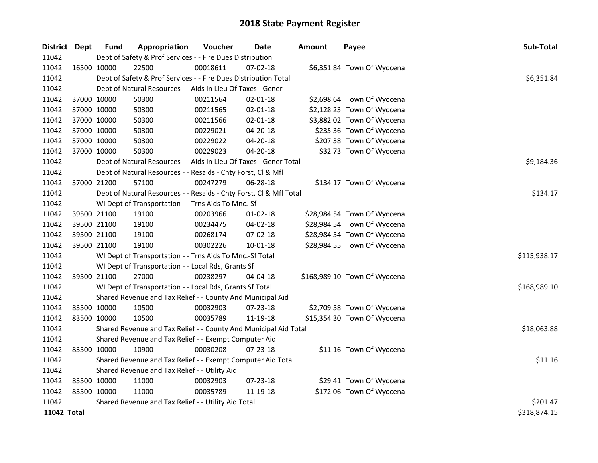| District Dept |             | <b>Fund</b> | Appropriation                                                      | Voucher  | <b>Date</b>    | <b>Amount</b> | Payee                        | Sub-Total    |
|---------------|-------------|-------------|--------------------------------------------------------------------|----------|----------------|---------------|------------------------------|--------------|
| 11042         |             |             | Dept of Safety & Prof Services - - Fire Dues Distribution          |          |                |               |                              |              |
| 11042         | 16500 10000 |             | 22500                                                              | 00018611 | 07-02-18       |               | \$6,351.84 Town Of Wyocena   |              |
| 11042         |             |             | Dept of Safety & Prof Services - - Fire Dues Distribution Total    |          |                |               |                              | \$6,351.84   |
| 11042         |             |             | Dept of Natural Resources - - Aids In Lieu Of Taxes - Gener        |          |                |               |                              |              |
| 11042         |             | 37000 10000 | 50300                                                              | 00211564 | $02 - 01 - 18$ |               | \$2,698.64 Town Of Wyocena   |              |
| 11042         |             | 37000 10000 | 50300                                                              | 00211565 | $02 - 01 - 18$ |               | \$2,128.23 Town Of Wyocena   |              |
| 11042         |             | 37000 10000 | 50300                                                              | 00211566 | $02 - 01 - 18$ |               | \$3,882.02 Town Of Wyocena   |              |
| 11042         |             | 37000 10000 | 50300                                                              | 00229021 | 04-20-18       |               | \$235.36 Town Of Wyocena     |              |
| 11042         | 37000 10000 |             | 50300                                                              | 00229022 | 04-20-18       |               | \$207.38 Town Of Wyocena     |              |
| 11042         | 37000 10000 |             | 50300                                                              | 00229023 | 04-20-18       |               | \$32.73 Town Of Wyocena      |              |
| 11042         |             |             | Dept of Natural Resources - - Aids In Lieu Of Taxes - Gener Total  |          |                |               |                              | \$9,184.36   |
| 11042         |             |             | Dept of Natural Resources - - Resaids - Cnty Forst, Cl & Mfl       |          |                |               |                              |              |
| 11042         |             | 37000 21200 | 57100                                                              | 00247279 | 06-28-18       |               | \$134.17 Town Of Wyocena     |              |
| 11042         |             |             | Dept of Natural Resources - - Resaids - Cnty Forst, Cl & Mfl Total |          |                |               |                              | \$134.17     |
| 11042         |             |             | WI Dept of Transportation - - Trns Aids To Mnc.-Sf                 |          |                |               |                              |              |
| 11042         |             | 39500 21100 | 19100                                                              | 00203966 | $01-02-18$     |               | \$28,984.54 Town Of Wyocena  |              |
| 11042         |             | 39500 21100 | 19100                                                              | 00234475 | 04-02-18       |               | \$28,984.54 Town Of Wyocena  |              |
| 11042         | 39500 21100 |             | 19100                                                              | 00268174 | $07 - 02 - 18$ |               | \$28,984.54 Town Of Wyocena  |              |
| 11042         |             | 39500 21100 | 19100                                                              | 00302226 | 10-01-18       |               | \$28,984.55 Town Of Wyocena  |              |
| 11042         |             |             | WI Dept of Transportation - - Trns Aids To Mnc.-Sf Total           |          |                |               |                              | \$115,938.17 |
| 11042         |             |             | WI Dept of Transportation - - Local Rds, Grants Sf                 |          |                |               |                              |              |
| 11042         |             | 39500 21100 | 27000                                                              | 00238297 | 04-04-18       |               | \$168,989.10 Town Of Wyocena |              |
| 11042         |             |             | WI Dept of Transportation - - Local Rds, Grants Sf Total           |          |                |               |                              | \$168,989.10 |
| 11042         |             |             | Shared Revenue and Tax Relief - - County And Municipal Aid         |          |                |               |                              |              |
| 11042         |             | 83500 10000 | 10500                                                              | 00032903 | 07-23-18       |               | \$2,709.58 Town Of Wyocena   |              |
| 11042         |             | 83500 10000 | 10500                                                              | 00035789 | 11-19-18       |               | \$15,354.30 Town Of Wyocena  |              |
| 11042         |             |             | Shared Revenue and Tax Relief - - County And Municipal Aid Total   |          |                |               |                              | \$18,063.88  |
| 11042         |             |             | Shared Revenue and Tax Relief - - Exempt Computer Aid              |          |                |               |                              |              |
| 11042         | 83500 10000 |             | 10900                                                              | 00030208 | 07-23-18       |               | \$11.16 Town Of Wyocena      |              |
| 11042         |             |             | Shared Revenue and Tax Relief - - Exempt Computer Aid Total        |          |                |               |                              | \$11.16      |
| 11042         |             |             | Shared Revenue and Tax Relief - - Utility Aid                      |          |                |               |                              |              |
| 11042         |             | 83500 10000 | 11000                                                              | 00032903 | $07 - 23 - 18$ |               | \$29.41 Town Of Wyocena      |              |
| 11042         | 83500 10000 |             | 11000                                                              | 00035789 | 11-19-18       |               | \$172.06 Town Of Wyocena     |              |
| 11042         |             |             | Shared Revenue and Tax Relief - - Utility Aid Total                |          |                |               |                              | \$201.47     |
| 11042 Total   |             |             |                                                                    |          |                |               |                              | \$318,874.15 |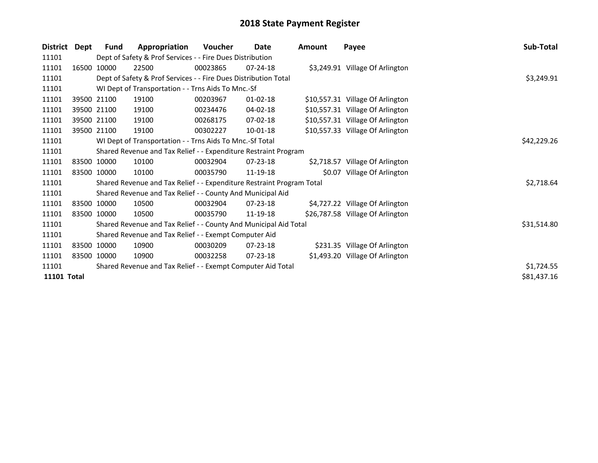| <b>District</b>    | Dept | <b>Fund</b> | Appropriation                                                         | <b>Voucher</b> | Date           | Amount | Payee                            | Sub-Total   |
|--------------------|------|-------------|-----------------------------------------------------------------------|----------------|----------------|--------|----------------------------------|-------------|
| 11101              |      |             | Dept of Safety & Prof Services - - Fire Dues Distribution             |                |                |        |                                  |             |
| 11101              |      | 16500 10000 | 22500                                                                 | 00023865       | $07 - 24 - 18$ |        | \$3,249.91 Village Of Arlington  |             |
| 11101              |      |             | Dept of Safety & Prof Services - - Fire Dues Distribution Total       |                |                |        |                                  | \$3,249.91  |
| 11101              |      |             | WI Dept of Transportation - - Trns Aids To Mnc.-Sf                    |                |                |        |                                  |             |
| 11101              |      | 39500 21100 | 19100                                                                 | 00203967       | 01-02-18       |        | \$10,557.31 Village Of Arlington |             |
| 11101              |      | 39500 21100 | 19100                                                                 | 00234476       | 04-02-18       |        | \$10,557.31 Village Of Arlington |             |
| 11101              |      | 39500 21100 | 19100                                                                 | 00268175       | 07-02-18       |        | \$10,557.31 Village Of Arlington |             |
| 11101              |      | 39500 21100 | 19100                                                                 | 00302227       | 10-01-18       |        | \$10,557.33 Village Of Arlington |             |
| 11101              |      |             | WI Dept of Transportation - - Trns Aids To Mnc.-Sf Total              |                |                |        |                                  | \$42,229.26 |
| 11101              |      |             | Shared Revenue and Tax Relief - - Expenditure Restraint Program       |                |                |        |                                  |             |
| 11101              |      | 83500 10000 | 10100                                                                 | 00032904       | 07-23-18       |        | \$2,718.57 Village Of Arlington  |             |
| 11101              |      | 83500 10000 | 10100                                                                 | 00035790       | 11-19-18       |        | \$0.07 Village Of Arlington      |             |
| 11101              |      |             | Shared Revenue and Tax Relief - - Expenditure Restraint Program Total |                |                |        |                                  | \$2,718.64  |
| 11101              |      |             | Shared Revenue and Tax Relief - - County And Municipal Aid            |                |                |        |                                  |             |
| 11101              |      | 83500 10000 | 10500                                                                 | 00032904       | $07 - 23 - 18$ |        | \$4,727.22 Village Of Arlington  |             |
| 11101              |      | 83500 10000 | 10500                                                                 | 00035790       | 11-19-18       |        | \$26,787.58 Village Of Arlington |             |
| 11101              |      |             | Shared Revenue and Tax Relief - - County And Municipal Aid Total      |                |                |        |                                  | \$31,514.80 |
| 11101              |      |             | Shared Revenue and Tax Relief - - Exempt Computer Aid                 |                |                |        |                                  |             |
| 11101              |      | 83500 10000 | 10900                                                                 | 00030209       | 07-23-18       |        | \$231.35 Village Of Arlington    |             |
| 11101              |      | 83500 10000 | 10900                                                                 | 00032258       | $07 - 23 - 18$ |        | \$1,493.20 Village Of Arlington  |             |
| 11101              |      |             | Shared Revenue and Tax Relief - - Exempt Computer Aid Total           |                |                |        |                                  | \$1,724.55  |
| <b>11101 Total</b> |      |             |                                                                       |                |                |        |                                  | \$81,437.16 |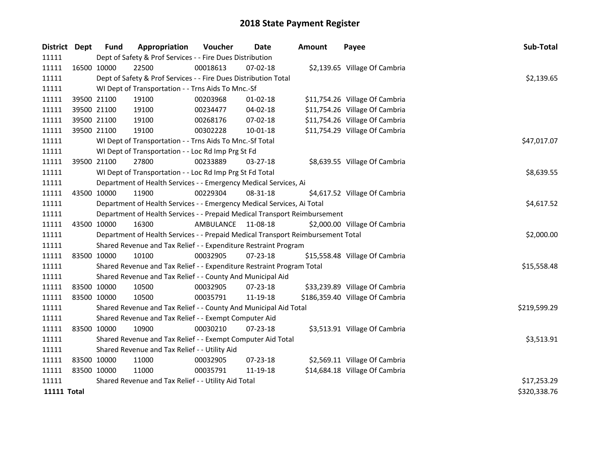| District Dept      | <b>Fund</b> | Appropriation                                                                   | Voucher            | <b>Date</b>    | <b>Amount</b> | Payee                           | Sub-Total    |
|--------------------|-------------|---------------------------------------------------------------------------------|--------------------|----------------|---------------|---------------------------------|--------------|
| 11111              |             | Dept of Safety & Prof Services - - Fire Dues Distribution                       |                    |                |               |                                 |              |
| 11111              | 16500 10000 | 22500                                                                           | 00018613           | $07 - 02 - 18$ |               | \$2,139.65 Village Of Cambria   |              |
| 11111              |             | Dept of Safety & Prof Services - - Fire Dues Distribution Total                 |                    |                |               |                                 | \$2,139.65   |
| 11111              |             | WI Dept of Transportation - - Trns Aids To Mnc.-Sf                              |                    |                |               |                                 |              |
| 11111              | 39500 21100 | 19100                                                                           | 00203968           | $01 - 02 - 18$ |               | \$11,754.26 Village Of Cambria  |              |
| 11111              | 39500 21100 | 19100                                                                           | 00234477           | 04-02-18       |               | \$11,754.26 Village Of Cambria  |              |
| 11111              | 39500 21100 | 19100                                                                           | 00268176           | 07-02-18       |               | \$11,754.26 Village Of Cambria  |              |
| 11111              | 39500 21100 | 19100                                                                           | 00302228           | 10-01-18       |               | \$11,754.29 Village Of Cambria  |              |
| 11111              |             | WI Dept of Transportation - - Trns Aids To Mnc.-Sf Total                        |                    |                |               |                                 | \$47,017.07  |
| 11111              |             | WI Dept of Transportation - - Loc Rd Imp Prg St Fd                              |                    |                |               |                                 |              |
| 11111              | 39500 21100 | 27800                                                                           | 00233889           | 03-27-18       |               | \$8,639.55 Village Of Cambria   |              |
| 11111              |             | WI Dept of Transportation - - Loc Rd Imp Prg St Fd Total                        |                    |                |               |                                 | \$8,639.55   |
| 11111              |             | Department of Health Services - - Emergency Medical Services, Ai                |                    |                |               |                                 |              |
| 11111              | 43500 10000 | 11900                                                                           | 00229304           | 08-31-18       |               | \$4,617.52 Village Of Cambria   |              |
| 11111              |             | Department of Health Services - - Emergency Medical Services, Ai Total          | \$4,617.52         |                |               |                                 |              |
| 11111              |             | Department of Health Services - - Prepaid Medical Transport Reimbursement       |                    |                |               |                                 |              |
| 11111              | 43500 10000 | 16300                                                                           | AMBULANCE 11-08-18 |                |               | \$2,000.00 Village Of Cambria   |              |
| 11111              |             | Department of Health Services - - Prepaid Medical Transport Reimbursement Total |                    |                |               |                                 | \$2,000.00   |
| 11111              |             | Shared Revenue and Tax Relief - - Expenditure Restraint Program                 |                    |                |               |                                 |              |
| 11111              | 83500 10000 | 10100                                                                           | 00032905           | $07 - 23 - 18$ |               | \$15,558.48 Village Of Cambria  |              |
| 11111              |             | Shared Revenue and Tax Relief - - Expenditure Restraint Program Total           |                    |                |               |                                 | \$15,558.48  |
| 11111              |             | Shared Revenue and Tax Relief - - County And Municipal Aid                      |                    |                |               |                                 |              |
| 11111              | 83500 10000 | 10500                                                                           | 00032905           | 07-23-18       |               | \$33,239.89 Village Of Cambria  |              |
| 11111              | 83500 10000 | 10500                                                                           | 00035791           | 11-19-18       |               | \$186,359.40 Village Of Cambria |              |
| 11111              |             | Shared Revenue and Tax Relief - - County And Municipal Aid Total                |                    |                |               |                                 | \$219,599.29 |
| 11111              |             | Shared Revenue and Tax Relief - - Exempt Computer Aid                           |                    |                |               |                                 |              |
| 11111              | 83500 10000 | 10900                                                                           | 00030210           | $07 - 23 - 18$ |               | \$3,513.91 Village Of Cambria   |              |
| 11111              |             | Shared Revenue and Tax Relief - - Exempt Computer Aid Total                     |                    |                |               |                                 | \$3,513.91   |
| 11111              |             | Shared Revenue and Tax Relief - - Utility Aid                                   |                    |                |               |                                 |              |
| 11111              | 83500 10000 | 11000                                                                           | 00032905           | 07-23-18       |               | \$2,569.11 Village Of Cambria   |              |
| 11111              | 83500 10000 | 11000                                                                           | 00035791           | 11-19-18       |               | \$14,684.18 Village Of Cambria  |              |
| 11111              |             | Shared Revenue and Tax Relief - - Utility Aid Total                             | \$17,253.29        |                |               |                                 |              |
| <b>11111 Total</b> |             |                                                                                 |                    |                |               |                                 | \$320,338.76 |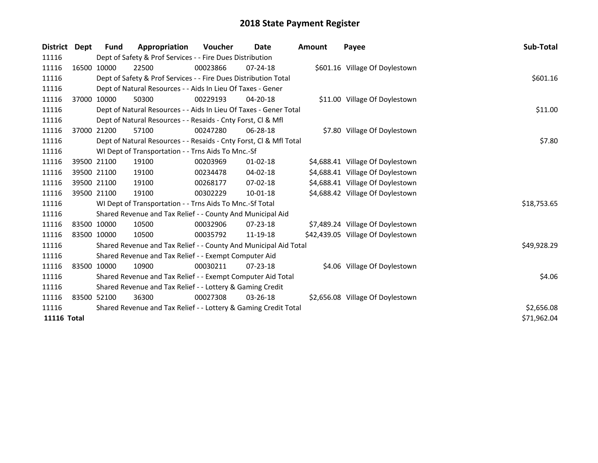| District                                                                 | Dept        | <b>Fund</b> | Appropriation                                                      | <b>Voucher</b> | Date           | <b>Amount</b> | Payee                             | Sub-Total   |
|--------------------------------------------------------------------------|-------------|-------------|--------------------------------------------------------------------|----------------|----------------|---------------|-----------------------------------|-------------|
| 11116                                                                    |             |             | Dept of Safety & Prof Services - - Fire Dues Distribution          |                |                |               |                                   |             |
| 11116                                                                    | 16500 10000 |             | 22500                                                              | 00023866       | $07 - 24 - 18$ |               | \$601.16 Village Of Doylestown    |             |
| 11116                                                                    |             |             | Dept of Safety & Prof Services - - Fire Dues Distribution Total    |                |                |               |                                   | \$601.16    |
| 11116                                                                    |             |             | Dept of Natural Resources - - Aids In Lieu Of Taxes - Gener        |                |                |               |                                   |             |
| 11116                                                                    |             | 37000 10000 | 50300                                                              | 00229193       | $04 - 20 - 18$ |               | \$11.00 Village Of Doylestown     |             |
| 11116                                                                    |             |             | Dept of Natural Resources - - Aids In Lieu Of Taxes - Gener Total  |                |                |               |                                   | \$11.00     |
| 11116                                                                    |             |             | Dept of Natural Resources - - Resaids - Cnty Forst, Cl & Mfl       |                |                |               |                                   |             |
| 11116                                                                    |             | 37000 21200 | 57100                                                              | 00247280       | $06 - 28 - 18$ |               | \$7.80 Village Of Doylestown      |             |
| 11116                                                                    |             |             | Dept of Natural Resources - - Resaids - Cnty Forst, Cl & Mfl Total |                |                |               |                                   | \$7.80      |
| 11116                                                                    |             |             | WI Dept of Transportation - - Trns Aids To Mnc.-Sf                 |                |                |               |                                   |             |
| 11116                                                                    |             | 39500 21100 | 19100                                                              | 00203969       | $01 - 02 - 18$ |               | \$4,688.41 Village Of Doylestown  |             |
| 11116                                                                    |             | 39500 21100 | 19100                                                              | 00234478       | 04-02-18       |               | \$4,688.41 Village Of Doylestown  |             |
| 11116                                                                    |             | 39500 21100 | 19100                                                              | 00268177       | $07 - 02 - 18$ |               | \$4,688.41 Village Of Doylestown  |             |
| 11116                                                                    | 39500 21100 |             | 19100                                                              | 00302229       | 10-01-18       |               | \$4,688.42 Village Of Doylestown  |             |
| 11116                                                                    |             |             | WI Dept of Transportation - - Trns Aids To Mnc.-Sf Total           |                |                |               |                                   | \$18,753.65 |
| 11116                                                                    |             |             | Shared Revenue and Tax Relief - - County And Municipal Aid         |                |                |               |                                   |             |
| 11116                                                                    |             | 83500 10000 | 10500                                                              | 00032906       | 07-23-18       |               | \$7,489.24 Village Of Doylestown  |             |
| 11116                                                                    | 83500 10000 |             | 10500                                                              | 00035792       | 11-19-18       |               | \$42,439.05 Village Of Doylestown |             |
| 11116                                                                    |             |             | Shared Revenue and Tax Relief - - County And Municipal Aid Total   |                |                |               |                                   | \$49,928.29 |
| 11116                                                                    |             |             | Shared Revenue and Tax Relief - - Exempt Computer Aid              |                |                |               |                                   |             |
| 11116                                                                    |             | 83500 10000 | 10900                                                              | 00030211       | $07 - 23 - 18$ |               | \$4.06 Village Of Doylestown      |             |
| 11116                                                                    |             |             | Shared Revenue and Tax Relief - - Exempt Computer Aid Total        | \$4.06         |                |               |                                   |             |
| 11116                                                                    |             |             | Shared Revenue and Tax Relief - - Lottery & Gaming Credit          |                |                |               |                                   |             |
| 11116                                                                    |             | 83500 52100 | 36300                                                              | 00027308       | $03 - 26 - 18$ |               | \$2,656.08 Village Of Doylestown  |             |
| 11116<br>Shared Revenue and Tax Relief - - Lottery & Gaming Credit Total |             |             |                                                                    |                |                |               |                                   | \$2,656.08  |
| <b>11116 Total</b>                                                       |             |             |                                                                    |                |                |               |                                   | \$71,962.04 |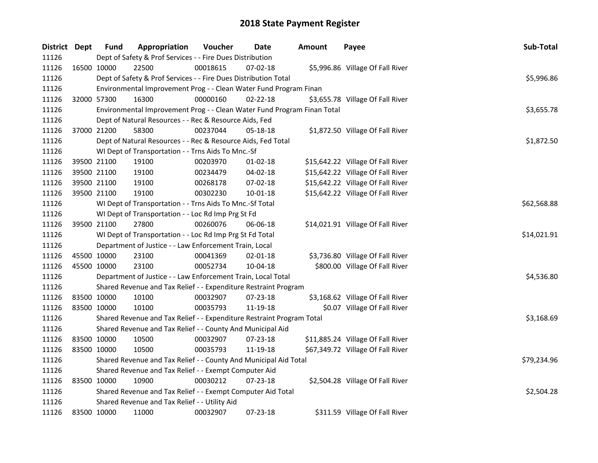| District Dept | <b>Fund</b> | Appropriation                                                           | Voucher  | Date           | <b>Amount</b> | Payee                             | Sub-Total   |
|---------------|-------------|-------------------------------------------------------------------------|----------|----------------|---------------|-----------------------------------|-------------|
| 11126         |             | Dept of Safety & Prof Services - - Fire Dues Distribution               |          |                |               |                                   |             |
| 11126         | 16500 10000 | 22500                                                                   | 00018615 | 07-02-18       |               | \$5,996.86 Village Of Fall River  |             |
| 11126         |             | Dept of Safety & Prof Services - - Fire Dues Distribution Total         |          |                |               |                                   | \$5,996.86  |
| 11126         |             | Environmental Improvement Prog - - Clean Water Fund Program Finan       |          |                |               |                                   |             |
| 11126         | 32000 57300 | 16300                                                                   | 00000160 | $02 - 22 - 18$ |               | \$3,655.78 Village Of Fall River  |             |
| 11126         |             | Environmental Improvement Prog - - Clean Water Fund Program Finan Total |          |                |               |                                   | \$3,655.78  |
| 11126         |             | Dept of Natural Resources - - Rec & Resource Aids, Fed                  |          |                |               |                                   |             |
| 11126         | 37000 21200 | 58300                                                                   | 00237044 | 05-18-18       |               | \$1,872.50 Village Of Fall River  |             |
| 11126         |             | Dept of Natural Resources - - Rec & Resource Aids, Fed Total            |          |                |               |                                   | \$1,872.50  |
| 11126         |             | WI Dept of Transportation - - Trns Aids To Mnc.-Sf                      |          |                |               |                                   |             |
| 11126         | 39500 21100 | 19100                                                                   | 00203970 | 01-02-18       |               | \$15,642.22 Village Of Fall River |             |
| 11126         | 39500 21100 | 19100                                                                   | 00234479 | 04-02-18       |               | \$15,642.22 Village Of Fall River |             |
| 11126         | 39500 21100 | 19100                                                                   | 00268178 | 07-02-18       |               | \$15,642.22 Village Of Fall River |             |
| 11126         | 39500 21100 | 19100                                                                   | 00302230 | $10 - 01 - 18$ |               | \$15,642.22 Village Of Fall River |             |
| 11126         |             | WI Dept of Transportation - - Trns Aids To Mnc.-Sf Total                |          |                |               |                                   | \$62,568.88 |
| 11126         |             | WI Dept of Transportation - - Loc Rd Imp Prg St Fd                      |          |                |               |                                   |             |
| 11126         | 39500 21100 | 27800                                                                   | 00260076 | 06-06-18       |               | \$14,021.91 Village Of Fall River |             |
| 11126         |             | WI Dept of Transportation - - Loc Rd Imp Prg St Fd Total                |          |                |               |                                   | \$14,021.91 |
| 11126         |             | Department of Justice - - Law Enforcement Train, Local                  |          |                |               |                                   |             |
| 11126         | 45500 10000 | 23100                                                                   | 00041369 | $02 - 01 - 18$ |               | \$3,736.80 Village Of Fall River  |             |
| 11126         | 45500 10000 | 23100                                                                   | 00052734 | 10-04-18       |               | \$800.00 Village Of Fall River    |             |
| 11126         |             | Department of Justice - - Law Enforcement Train, Local Total            |          |                |               |                                   | \$4,536.80  |
| 11126         |             | Shared Revenue and Tax Relief - - Expenditure Restraint Program         |          |                |               |                                   |             |
| 11126         | 83500 10000 | 10100                                                                   | 00032907 | 07-23-18       |               | \$3,168.62 Village Of Fall River  |             |
| 11126         | 83500 10000 | 10100                                                                   | 00035793 | 11-19-18       |               | \$0.07 Village Of Fall River      |             |
| 11126         |             | Shared Revenue and Tax Relief - - Expenditure Restraint Program Total   |          |                |               |                                   | \$3,168.69  |
| 11126         |             | Shared Revenue and Tax Relief - - County And Municipal Aid              |          |                |               |                                   |             |
| 11126         | 83500 10000 | 10500                                                                   | 00032907 | 07-23-18       |               | \$11,885.24 Village Of Fall River |             |
| 11126         | 83500 10000 | 10500                                                                   | 00035793 | 11-19-18       |               | \$67,349.72 Village Of Fall River |             |
| 11126         |             | Shared Revenue and Tax Relief - - County And Municipal Aid Total        |          |                |               |                                   | \$79,234.96 |
| 11126         |             | Shared Revenue and Tax Relief - - Exempt Computer Aid                   |          |                |               |                                   |             |
| 11126         | 83500 10000 | 10900                                                                   | 00030212 | $07 - 23 - 18$ |               | \$2,504.28 Village Of Fall River  |             |
| 11126         |             | Shared Revenue and Tax Relief - - Exempt Computer Aid Total             |          |                |               |                                   | \$2,504.28  |
| 11126         |             | Shared Revenue and Tax Relief - - Utility Aid                           |          |                |               |                                   |             |
| 11126         | 83500 10000 | 11000                                                                   | 00032907 | 07-23-18       |               | \$311.59 Village Of Fall River    |             |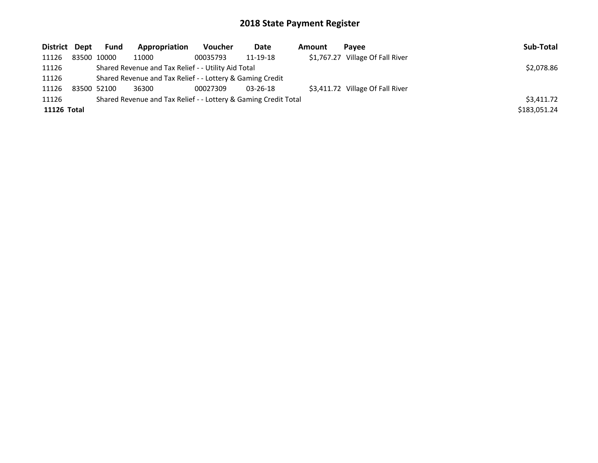| District Dept | Fund                                                      | Appropriation                                                   | Voucher    | Date           | Amount | Pavee                            | Sub-Total    |
|---------------|-----------------------------------------------------------|-----------------------------------------------------------------|------------|----------------|--------|----------------------------------|--------------|
| 11126         | 83500 10000                                               | 11000                                                           | 00035793   | 11-19-18       |        | \$1,767.27 Village Of Fall River |              |
| 11126         |                                                           | Shared Revenue and Tax Relief - - Utility Aid Total             | \$2,078.86 |                |        |                                  |              |
| 11126         | Shared Revenue and Tax Relief - - Lottery & Gaming Credit |                                                                 |            |                |        |                                  |              |
| 11126         | 83500 52100                                               | 36300                                                           | 00027309   | $03 - 26 - 18$ |        | \$3,411.72 Village Of Fall River |              |
| 11126         |                                                           | Shared Revenue and Tax Relief - - Lottery & Gaming Credit Total |            |                |        |                                  | \$3,411.72   |
| 11126 Total   |                                                           |                                                                 |            |                |        |                                  | \$183,051.24 |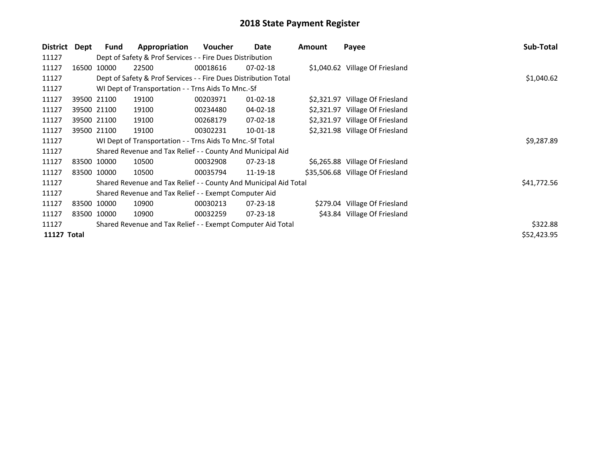| District    | Dept | <b>Fund</b> | Appropriation                                                    | <b>Voucher</b> | Date           | Amount | Payee                            | Sub-Total   |
|-------------|------|-------------|------------------------------------------------------------------|----------------|----------------|--------|----------------------------------|-------------|
| 11127       |      |             | Dept of Safety & Prof Services - - Fire Dues Distribution        |                |                |        |                                  |             |
| 11127       |      | 16500 10000 | 22500                                                            | 00018616       | $07-02-18$     |        | \$1,040.62 Village Of Friesland  |             |
| 11127       |      |             | Dept of Safety & Prof Services - - Fire Dues Distribution Total  | \$1,040.62     |                |        |                                  |             |
| 11127       |      |             | WI Dept of Transportation - - Trns Aids To Mnc.-Sf               |                |                |        |                                  |             |
| 11127       |      | 39500 21100 | 19100                                                            | 00203971       | $01 - 02 - 18$ |        | \$2,321.97 Village Of Friesland  |             |
| 11127       |      | 39500 21100 | 19100                                                            | 00234480       | 04-02-18       |        | \$2,321.97 Village Of Friesland  |             |
| 11127       |      | 39500 21100 | 19100                                                            | 00268179       | $07-02-18$     |        | \$2,321.97 Village Of Friesland  |             |
| 11127       |      | 39500 21100 | 19100                                                            | 00302231       | $10-01-18$     |        | \$2,321.98 Village Of Friesland  |             |
| 11127       |      |             | WI Dept of Transportation - - Trns Aids To Mnc.-Sf Total         |                |                |        |                                  | \$9,287.89  |
| 11127       |      |             | Shared Revenue and Tax Relief - - County And Municipal Aid       |                |                |        |                                  |             |
| 11127       |      | 83500 10000 | 10500                                                            | 00032908       | $07 - 23 - 18$ |        | \$6,265.88 Village Of Friesland  |             |
| 11127       |      | 83500 10000 | 10500                                                            | 00035794       | 11-19-18       |        | \$35,506.68 Village Of Friesland |             |
| 11127       |      |             | Shared Revenue and Tax Relief - - County And Municipal Aid Total |                |                |        |                                  | \$41,772.56 |
| 11127       |      |             | Shared Revenue and Tax Relief - - Exempt Computer Aid            |                |                |        |                                  |             |
| 11127       |      | 83500 10000 | 10900                                                            | 00030213       | $07 - 23 - 18$ |        | \$279.04 Village Of Friesland    |             |
| 11127       |      | 83500 10000 | 10900                                                            | 00032259       | 07-23-18       |        | \$43.84 Village Of Friesland     |             |
| 11127       |      |             | Shared Revenue and Tax Relief - - Exempt Computer Aid Total      |                |                |        |                                  | \$322.88    |
| 11127 Total |      |             |                                                                  |                |                |        |                                  | \$52,423.95 |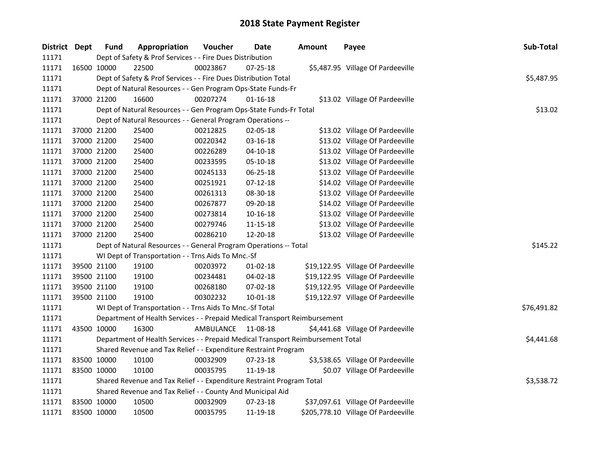| District Dept |             | <b>Fund</b> | Appropriation                                                                   | Voucher   | Date           | Amount | Payee                               | Sub-Total   |
|---------------|-------------|-------------|---------------------------------------------------------------------------------|-----------|----------------|--------|-------------------------------------|-------------|
| 11171         |             |             | Dept of Safety & Prof Services - - Fire Dues Distribution                       |           |                |        |                                     |             |
| 11171         |             | 16500 10000 | 22500                                                                           | 00023867  | $07 - 25 - 18$ |        | \$5,487.95 Village Of Pardeeville   |             |
| 11171         |             |             | Dept of Safety & Prof Services - - Fire Dues Distribution Total                 |           |                |        |                                     | \$5,487.95  |
| 11171         |             |             | Dept of Natural Resources - - Gen Program Ops-State Funds-Fr                    |           |                |        |                                     |             |
| 11171         |             | 37000 21200 | 16600                                                                           | 00207274  | $01 - 16 - 18$ |        | \$13.02 Village Of Pardeeville      |             |
| 11171         |             |             | Dept of Natural Resources - - Gen Program Ops-State Funds-Fr Total              |           |                |        |                                     | \$13.02     |
| 11171         |             |             | Dept of Natural Resources - - General Program Operations --                     |           |                |        |                                     |             |
| 11171         |             | 37000 21200 | 25400                                                                           | 00212825  | 02-05-18       |        | \$13.02 Village Of Pardeeville      |             |
| 11171         | 37000 21200 |             | 25400                                                                           | 00220342  | 03-16-18       |        | \$13.02 Village Of Pardeeville      |             |
| 11171         | 37000 21200 |             | 25400                                                                           | 00226289  | $04 - 10 - 18$ |        | \$13.02 Village Of Pardeeville      |             |
| 11171         | 37000 21200 |             | 25400                                                                           | 00233595  | 05-10-18       |        | \$13.02 Village Of Pardeeville      |             |
| 11171         |             | 37000 21200 | 25400                                                                           | 00245133  | 06-25-18       |        | \$13.02 Village Of Pardeeville      |             |
| 11171         |             | 37000 21200 | 25400                                                                           | 00251921  | $07-12-18$     |        | \$14.02 Village Of Pardeeville      |             |
| 11171         |             | 37000 21200 | 25400                                                                           | 00261313  | 08-30-18       |        | \$13.02 Village Of Pardeeville      |             |
| 11171         |             | 37000 21200 | 25400                                                                           | 00267877  | 09-20-18       |        | \$14.02 Village Of Pardeeville      |             |
| 11171         |             | 37000 21200 | 25400                                                                           | 00273814  | 10-16-18       |        | \$13.02 Village Of Pardeeville      |             |
| 11171         |             | 37000 21200 | 25400                                                                           | 00279746  | 11-15-18       |        | \$13.02 Village Of Pardeeville      |             |
| 11171         |             | 37000 21200 | 25400                                                                           | 00286210  | 12-20-18       |        | \$13.02 Village Of Pardeeville      |             |
| 11171         |             |             | Dept of Natural Resources - - General Program Operations -- Total               |           |                |        |                                     | \$145.22    |
| 11171         |             |             | WI Dept of Transportation - - Trns Aids To Mnc.-Sf                              |           |                |        |                                     |             |
| 11171         |             | 39500 21100 | 19100                                                                           | 00203972  | 01-02-18       |        | \$19,122.95 Village Of Pardeeville  |             |
| 11171         |             | 39500 21100 | 19100                                                                           | 00234481  | 04-02-18       |        | \$19,122.95 Village Of Pardeeville  |             |
| 11171         |             | 39500 21100 | 19100                                                                           | 00268180  | 07-02-18       |        | \$19,122.95 Village Of Pardeeville  |             |
| 11171         |             | 39500 21100 | 19100                                                                           | 00302232  | 10-01-18       |        | \$19,122.97 Village Of Pardeeville  |             |
| 11171         |             |             | WI Dept of Transportation - - Trns Aids To Mnc.-Sf Total                        |           |                |        |                                     | \$76,491.82 |
| 11171         |             |             | Department of Health Services - - Prepaid Medical Transport Reimbursement       |           |                |        |                                     |             |
| 11171         | 43500 10000 |             | 16300                                                                           | AMBULANCE | 11-08-18       |        | \$4,441.68 Village Of Pardeeville   |             |
| 11171         |             |             | Department of Health Services - - Prepaid Medical Transport Reimbursement Total |           |                |        |                                     | \$4,441.68  |
| 11171         |             |             | Shared Revenue and Tax Relief - - Expenditure Restraint Program                 |           |                |        |                                     |             |
| 11171         | 83500 10000 |             | 10100                                                                           | 00032909  | 07-23-18       |        | \$3,538.65 Village Of Pardeeville   |             |
| 11171         |             | 83500 10000 | 10100                                                                           | 00035795  | 11-19-18       |        | \$0.07 Village Of Pardeeville       |             |
| 11171         |             |             | Shared Revenue and Tax Relief - - Expenditure Restraint Program Total           |           |                |        |                                     | \$3,538.72  |
| 11171         |             |             | Shared Revenue and Tax Relief - - County And Municipal Aid                      |           |                |        |                                     |             |
| 11171         | 83500 10000 |             | 10500                                                                           | 00032909  | 07-23-18       |        | \$37,097.61 Village Of Pardeeville  |             |
| 11171         | 83500 10000 |             | 10500                                                                           | 00035795  | 11-19-18       |        | \$205,778.10 Village Of Pardeeville |             |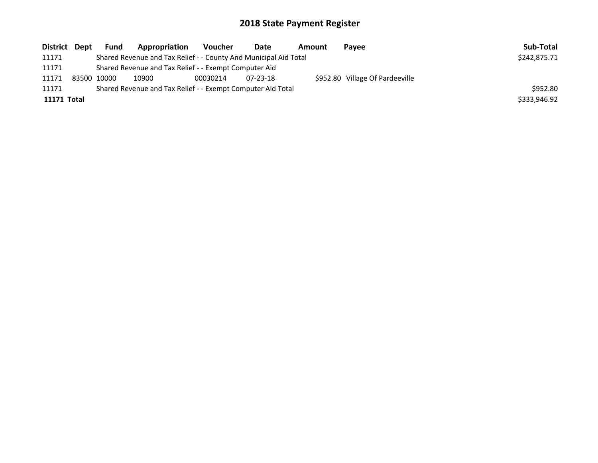| District Dept | Fund        | Appropriation                                                    | Voucher  | Date     | Amount | Payee                           | Sub-Total    |
|---------------|-------------|------------------------------------------------------------------|----------|----------|--------|---------------------------------|--------------|
| 11171         |             | Shared Revenue and Tax Relief - - County And Municipal Aid Total |          |          |        |                                 | \$242,875.71 |
| 11171         |             | Shared Revenue and Tax Relief - - Exempt Computer Aid            |          |          |        |                                 |              |
| 11171         | 83500 10000 | 10900                                                            | 00030214 | 07-23-18 |        | \$952.80 Village Of Pardeeville |              |
| 11171         |             | Shared Revenue and Tax Relief - - Exempt Computer Aid Total      |          |          |        |                                 | \$952.80     |
| 11171 Total   |             |                                                                  |          |          |        |                                 | \$333,946.92 |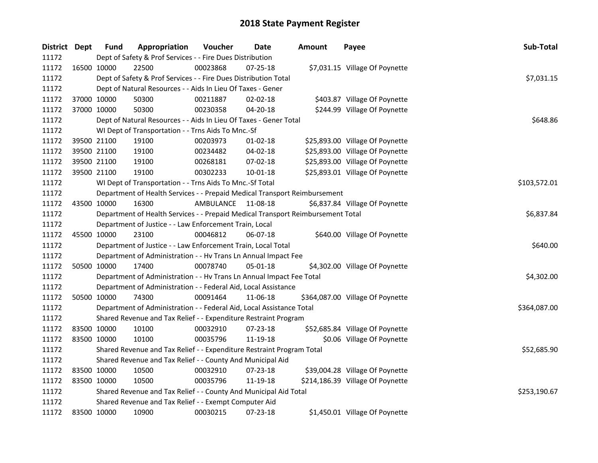| District Dept |             | <b>Fund</b> | Appropriation                                                                   | Voucher   | Date           | Amount | Payee                            | Sub-Total    |
|---------------|-------------|-------------|---------------------------------------------------------------------------------|-----------|----------------|--------|----------------------------------|--------------|
| 11172         |             |             | Dept of Safety & Prof Services - - Fire Dues Distribution                       |           |                |        |                                  |              |
| 11172         |             | 16500 10000 | 22500                                                                           | 00023868  | 07-25-18       |        | \$7,031.15 Village Of Poynette   |              |
| 11172         |             |             | Dept of Safety & Prof Services - - Fire Dues Distribution Total                 |           |                |        |                                  | \$7,031.15   |
| 11172         |             |             | Dept of Natural Resources - - Aids In Lieu Of Taxes - Gener                     |           |                |        |                                  |              |
| 11172         |             | 37000 10000 | 50300                                                                           | 00211887  | $02 - 02 - 18$ |        | \$403.87 Village Of Poynette     |              |
| 11172         | 37000 10000 |             | 50300                                                                           | 00230358  | $04 - 20 - 18$ |        | \$244.99 Village Of Poynette     |              |
| 11172         |             |             | Dept of Natural Resources - - Aids In Lieu Of Taxes - Gener Total               |           |                |        |                                  | \$648.86     |
| 11172         |             |             | WI Dept of Transportation - - Trns Aids To Mnc.-Sf                              |           |                |        |                                  |              |
| 11172         |             | 39500 21100 | 19100                                                                           | 00203973  | $01 - 02 - 18$ |        | \$25,893.00 Village Of Poynette  |              |
| 11172         |             | 39500 21100 | 19100                                                                           | 00234482  | 04-02-18       |        | \$25,893.00 Village Of Poynette  |              |
| 11172         |             | 39500 21100 | 19100                                                                           | 00268181  | 07-02-18       |        | \$25,893.00 Village Of Poynette  |              |
| 11172         |             | 39500 21100 | 19100                                                                           | 00302233  | 10-01-18       |        | \$25,893.01 Village Of Poynette  |              |
| 11172         |             |             | WI Dept of Transportation - - Trns Aids To Mnc.-Sf Total                        |           |                |        |                                  | \$103,572.01 |
| 11172         |             |             | Department of Health Services - - Prepaid Medical Transport Reimbursement       |           |                |        |                                  |              |
| 11172         |             | 43500 10000 | 16300                                                                           | AMBULANCE | 11-08-18       |        | \$6,837.84 Village Of Poynette   |              |
| 11172         |             |             | Department of Health Services - - Prepaid Medical Transport Reimbursement Total |           |                |        |                                  | \$6,837.84   |
| 11172         |             |             | Department of Justice - - Law Enforcement Train, Local                          |           |                |        |                                  |              |
| 11172         |             | 45500 10000 | 23100                                                                           | 00046812  | 06-07-18       |        | \$640.00 Village Of Poynette     |              |
| 11172         |             |             | Department of Justice - - Law Enforcement Train, Local Total                    |           |                |        |                                  | \$640.00     |
| 11172         |             |             | Department of Administration - - Hv Trans Ln Annual Impact Fee                  |           |                |        |                                  |              |
| 11172         | 50500 10000 |             | 17400                                                                           | 00078740  | 05-01-18       |        | \$4,302.00 Village Of Poynette   |              |
| 11172         |             |             | Department of Administration - - Hv Trans Ln Annual Impact Fee Total            |           |                |        |                                  | \$4,302.00   |
| 11172         |             |             | Department of Administration - - Federal Aid, Local Assistance                  |           |                |        |                                  |              |
| 11172         |             | 50500 10000 | 74300                                                                           | 00091464  | 11-06-18       |        | \$364,087.00 Village Of Poynette |              |
| 11172         |             |             | Department of Administration - - Federal Aid, Local Assistance Total            |           |                |        |                                  | \$364,087.00 |
| 11172         |             |             | Shared Revenue and Tax Relief - - Expenditure Restraint Program                 |           |                |        |                                  |              |
| 11172         |             | 83500 10000 | 10100                                                                           | 00032910  | $07 - 23 - 18$ |        | \$52,685.84 Village Of Poynette  |              |
| 11172         | 83500 10000 |             | 10100                                                                           | 00035796  | 11-19-18       |        | \$0.06 Village Of Poynette       |              |
| 11172         |             |             | Shared Revenue and Tax Relief - - Expenditure Restraint Program Total           |           |                |        |                                  | \$52,685.90  |
| 11172         |             |             | Shared Revenue and Tax Relief - - County And Municipal Aid                      |           |                |        |                                  |              |
| 11172         | 83500 10000 |             | 10500                                                                           | 00032910  | $07 - 23 - 18$ |        | \$39,004.28 Village Of Poynette  |              |
| 11172         | 83500 10000 |             | 10500                                                                           | 00035796  | 11-19-18       |        | \$214,186.39 Village Of Poynette |              |
| 11172         |             |             | Shared Revenue and Tax Relief - - County And Municipal Aid Total                |           |                |        |                                  | \$253,190.67 |
| 11172         |             |             | Shared Revenue and Tax Relief - - Exempt Computer Aid                           |           |                |        |                                  |              |
| 11172         |             | 83500 10000 | 10900                                                                           | 00030215  | 07-23-18       |        | \$1,450.01 Village Of Poynette   |              |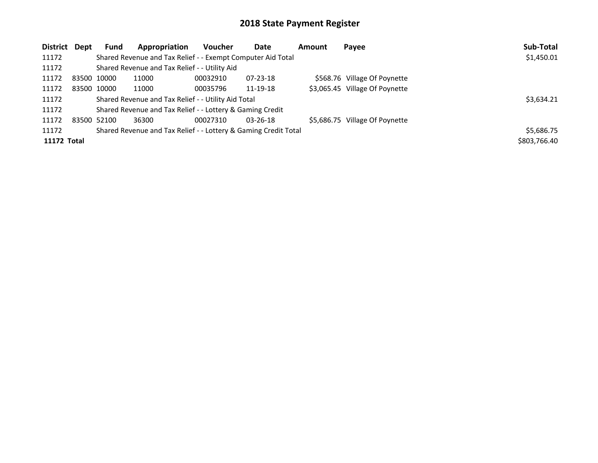| District Dept |             | <b>Fund</b> | Appropriation                                                   | <b>Voucher</b> | Date           | <b>Amount</b> | Payee                          | Sub-Total    |
|---------------|-------------|-------------|-----------------------------------------------------------------|----------------|----------------|---------------|--------------------------------|--------------|
| 11172         |             |             | Shared Revenue and Tax Relief - - Exempt Computer Aid Total     |                |                |               |                                | \$1,450.01   |
| 11172         |             |             | Shared Revenue and Tax Relief - - Utility Aid                   |                |                |               |                                |              |
| 11172         | 83500 10000 |             | 11000                                                           | 00032910       | 07-23-18       |               | \$568.76 Village Of Poynette   |              |
| 11172         |             | 83500 10000 | 11000                                                           | 00035796       | 11-19-18       |               | \$3,065.45 Village Of Poynette |              |
| 11172         |             |             | Shared Revenue and Tax Relief - - Utility Aid Total             |                |                |               |                                | \$3,634.21   |
| 11172         |             |             | Shared Revenue and Tax Relief - - Lottery & Gaming Credit       |                |                |               |                                |              |
| 11172         | 83500 52100 |             | 36300                                                           | 00027310       | $03 - 26 - 18$ |               | \$5,686.75 Village Of Poynette |              |
| 11172         |             |             | Shared Revenue and Tax Relief - - Lottery & Gaming Credit Total |                |                |               |                                | \$5,686.75   |
| 11172 Total   |             |             |                                                                 |                |                |               |                                | \$803,766.40 |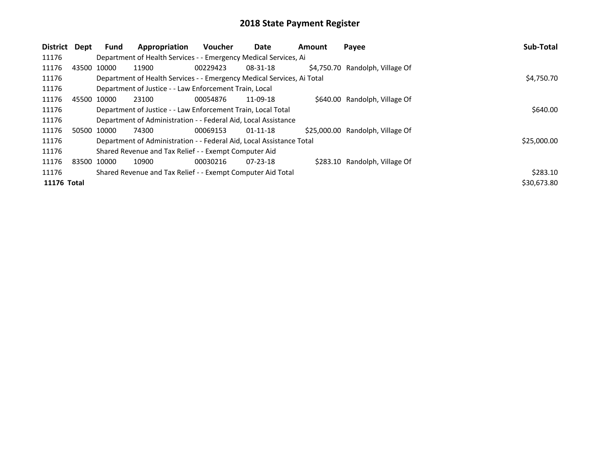| District Dept |             | <b>Fund</b>                                                 | Appropriation                                                          | <b>Voucher</b> | Date           | <b>Amount</b> | Payee                            | Sub-Total   |
|---------------|-------------|-------------------------------------------------------------|------------------------------------------------------------------------|----------------|----------------|---------------|----------------------------------|-------------|
| 11176         |             |                                                             | Department of Health Services - - Emergency Medical Services, Ai       |                |                |               |                                  |             |
| 11176         |             | 43500 10000                                                 | 11900                                                                  | 00229423       | 08-31-18       |               | \$4,750.70 Randolph, Village Of  |             |
| 11176         |             |                                                             | Department of Health Services - - Emergency Medical Services, Ai Total |                |                |               |                                  | \$4,750.70  |
| 11176         |             |                                                             | Department of Justice - - Law Enforcement Train, Local                 |                |                |               |                                  |             |
| 11176         |             | 45500 10000                                                 | 23100                                                                  | 00054876       | 11-09-18       |               | \$640.00 Randolph, Village Of    |             |
| 11176         |             |                                                             | Department of Justice - - Law Enforcement Train, Local Total           |                |                |               |                                  | \$640.00    |
| 11176         |             |                                                             | Department of Administration - - Federal Aid, Local Assistance         |                |                |               |                                  |             |
| 11176         |             | 50500 10000                                                 | 74300                                                                  | 00069153       | $01 - 11 - 18$ |               | \$25,000.00 Randolph, Village Of |             |
| 11176         |             |                                                             | Department of Administration - - Federal Aid, Local Assistance Total   |                |                |               |                                  | \$25,000.00 |
| 11176         |             |                                                             | Shared Revenue and Tax Relief - - Exempt Computer Aid                  |                |                |               |                                  |             |
| 11176         | 83500 10000 |                                                             | 10900                                                                  | 00030216       | $07 - 23 - 18$ |               | \$283.10 Randolph, Village Of    |             |
| 11176         |             | Shared Revenue and Tax Relief - - Exempt Computer Aid Total |                                                                        |                |                |               |                                  |             |
| 11176 Total   |             |                                                             |                                                                        |                |                |               |                                  | \$30,673.80 |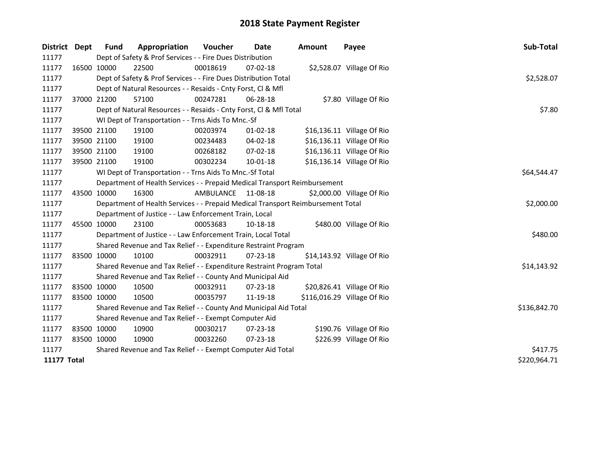| District    | Dept        | Fund        | Appropriation                                                                   | Voucher      | Date           | <b>Amount</b> | Payee                       | Sub-Total    |
|-------------|-------------|-------------|---------------------------------------------------------------------------------|--------------|----------------|---------------|-----------------------------|--------------|
| 11177       |             |             | Dept of Safety & Prof Services - - Fire Dues Distribution                       |              |                |               |                             |              |
| 11177       | 16500 10000 |             | 22500                                                                           | 00018619     | $07 - 02 - 18$ |               | \$2,528.07 Village Of Rio   |              |
| 11177       |             |             | Dept of Safety & Prof Services - - Fire Dues Distribution Total                 |              |                |               |                             | \$2,528.07   |
| 11177       |             |             | Dept of Natural Resources - - Resaids - Cnty Forst, Cl & Mfl                    |              |                |               |                             |              |
| 11177       | 37000 21200 |             | 57100                                                                           | 00247281     | 06-28-18       |               | \$7.80 Village Of Rio       |              |
| 11177       |             |             | Dept of Natural Resources - - Resaids - Cnty Forst, CI & Mfl Total              | \$7.80       |                |               |                             |              |
| 11177       |             |             | WI Dept of Transportation - - Trns Aids To Mnc.-Sf                              |              |                |               |                             |              |
| 11177       |             | 39500 21100 | 19100                                                                           | 00203974     | $01-02-18$     |               | \$16,136.11 Village Of Rio  |              |
| 11177       |             | 39500 21100 | 19100                                                                           | 00234483     | 04-02-18       |               | \$16,136.11 Village Of Rio  |              |
| 11177       |             | 39500 21100 | 19100                                                                           | 00268182     | 07-02-18       |               | \$16,136.11 Village Of Rio  |              |
| 11177       | 39500 21100 |             | 19100                                                                           | 00302234     | 10-01-18       |               | \$16,136.14 Village Of Rio  |              |
| 11177       |             |             | WI Dept of Transportation - - Trns Aids To Mnc.-Sf Total                        |              |                |               |                             | \$64,544.47  |
| 11177       |             |             | Department of Health Services - - Prepaid Medical Transport Reimbursement       |              |                |               |                             |              |
| 11177       | 43500 10000 |             | 16300                                                                           | AMBULANCE    | 11-08-18       |               | \$2,000.00 Village Of Rio   |              |
| 11177       |             |             | Department of Health Services - - Prepaid Medical Transport Reimbursement Total |              |                |               |                             | \$2,000.00   |
| 11177       |             |             | Department of Justice - - Law Enforcement Train, Local                          |              |                |               |                             |              |
| 11177       | 45500 10000 |             | 23100                                                                           | 00053683     | 10-18-18       |               | \$480.00 Village Of Rio     |              |
| 11177       |             |             | Department of Justice - - Law Enforcement Train, Local Total                    |              |                |               |                             | \$480.00     |
| 11177       |             |             | Shared Revenue and Tax Relief - - Expenditure Restraint Program                 |              |                |               |                             |              |
| 11177       |             | 83500 10000 | 10100                                                                           | 00032911     | $07 - 23 - 18$ |               | \$14,143.92 Village Of Rio  |              |
| 11177       |             |             | Shared Revenue and Tax Relief - - Expenditure Restraint Program Total           |              |                |               |                             | \$14,143.92  |
| 11177       |             |             | Shared Revenue and Tax Relief - - County And Municipal Aid                      |              |                |               |                             |              |
| 11177       |             | 83500 10000 | 10500                                                                           | 00032911     | $07 - 23 - 18$ |               | \$20,826.41 Village Of Rio  |              |
| 11177       | 83500 10000 |             | 10500                                                                           | 00035797     | 11-19-18       |               | \$116,016.29 Village Of Rio |              |
| 11177       |             |             | Shared Revenue and Tax Relief - - County And Municipal Aid Total                | \$136,842.70 |                |               |                             |              |
| 11177       |             |             | Shared Revenue and Tax Relief - - Exempt Computer Aid                           |              |                |               |                             |              |
| 11177       | 83500 10000 |             | 10900                                                                           | 00030217     | 07-23-18       |               | \$190.76 Village Of Rio     |              |
| 11177       | 83500 10000 |             | 10900                                                                           | 00032260     | $07 - 23 - 18$ |               | \$226.99 Village Of Rio     |              |
| 11177       |             |             | Shared Revenue and Tax Relief - - Exempt Computer Aid Total                     | \$417.75     |                |               |                             |              |
| 11177 Total |             |             |                                                                                 |              |                |               |                             | \$220,964.71 |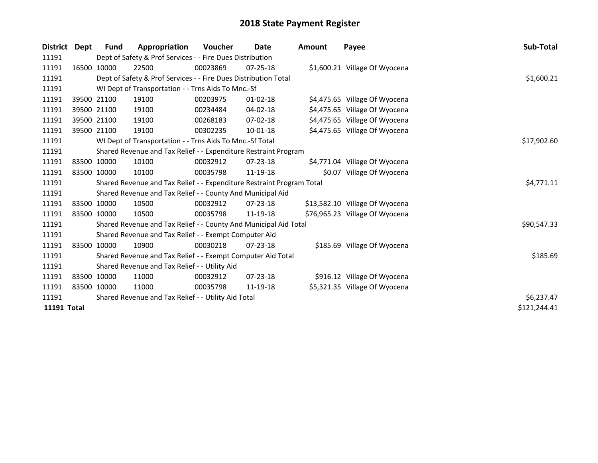| <b>District</b> | Dept | Fund        | Appropriation                                                         | Voucher  | Date           | Amount | Payee                          | Sub-Total    |
|-----------------|------|-------------|-----------------------------------------------------------------------|----------|----------------|--------|--------------------------------|--------------|
| 11191           |      |             | Dept of Safety & Prof Services - - Fire Dues Distribution             |          |                |        |                                |              |
| 11191           |      | 16500 10000 | 22500                                                                 | 00023869 | $07 - 25 - 18$ |        | \$1,600.21 Village Of Wyocena  |              |
| 11191           |      |             | Dept of Safety & Prof Services - - Fire Dues Distribution Total       |          |                |        |                                | \$1,600.21   |
| 11191           |      |             | WI Dept of Transportation - - Trns Aids To Mnc.-Sf                    |          |                |        |                                |              |
| 11191           |      | 39500 21100 | 19100                                                                 | 00203975 | $01 - 02 - 18$ |        | \$4,475.65 Village Of Wyocena  |              |
| 11191           |      | 39500 21100 | 19100                                                                 | 00234484 | 04-02-18       |        | \$4,475.65 Village Of Wyocena  |              |
| 11191           |      | 39500 21100 | 19100                                                                 | 00268183 | $07 - 02 - 18$ |        | \$4,475.65 Village Of Wyocena  |              |
| 11191           |      | 39500 21100 | 19100                                                                 | 00302235 | 10-01-18       |        | \$4,475.65 Village Of Wyocena  |              |
| 11191           |      |             | WI Dept of Transportation - - Trns Aids To Mnc.-Sf Total              |          |                |        |                                | \$17,902.60  |
| 11191           |      |             | Shared Revenue and Tax Relief - - Expenditure Restraint Program       |          |                |        |                                |              |
| 11191           |      | 83500 10000 | 10100                                                                 | 00032912 | 07-23-18       |        | \$4,771.04 Village Of Wyocena  |              |
| 11191           |      | 83500 10000 | 10100                                                                 | 00035798 | 11-19-18       |        | \$0.07 Village Of Wyocena      |              |
| 11191           |      |             | Shared Revenue and Tax Relief - - Expenditure Restraint Program Total |          |                |        |                                | \$4,771.11   |
| 11191           |      |             | Shared Revenue and Tax Relief - - County And Municipal Aid            |          |                |        |                                |              |
| 11191           |      | 83500 10000 | 10500                                                                 | 00032912 | 07-23-18       |        | \$13,582.10 Village Of Wyocena |              |
| 11191           |      | 83500 10000 | 10500                                                                 | 00035798 | 11-19-18       |        | \$76,965.23 Village Of Wyocena |              |
| 11191           |      |             | Shared Revenue and Tax Relief - - County And Municipal Aid Total      |          |                |        |                                | \$90,547.33  |
| 11191           |      |             | Shared Revenue and Tax Relief - - Exempt Computer Aid                 |          |                |        |                                |              |
| 11191           |      | 83500 10000 | 10900                                                                 | 00030218 | $07 - 23 - 18$ |        | \$185.69 Village Of Wyocena    |              |
| 11191           |      |             | Shared Revenue and Tax Relief - - Exempt Computer Aid Total           |          |                |        |                                | \$185.69     |
| 11191           |      |             | Shared Revenue and Tax Relief - - Utility Aid                         |          |                |        |                                |              |
| 11191           |      | 83500 10000 | 11000                                                                 | 00032912 | $07 - 23 - 18$ |        | \$916.12 Village Of Wyocena    |              |
| 11191           |      | 83500 10000 | 11000                                                                 | 00035798 | 11-19-18       |        | \$5,321.35 Village Of Wyocena  |              |
| 11191           |      |             | Shared Revenue and Tax Relief - - Utility Aid Total                   |          |                |        |                                | \$6,237.47   |
| 11191 Total     |      |             |                                                                       |          |                |        |                                | \$121,244.41 |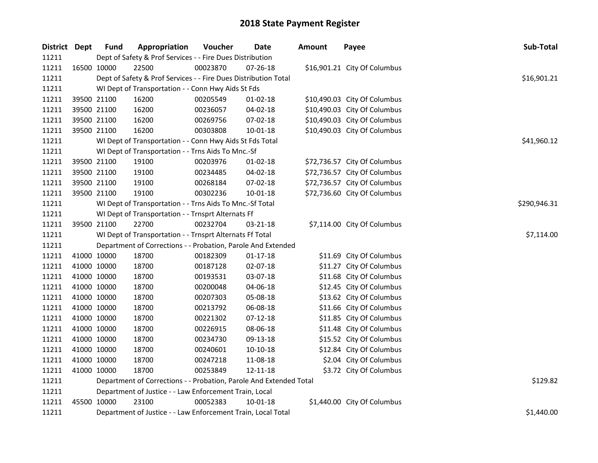| District Dept |             | <b>Fund</b> | Appropriation                                                      | Voucher      | <b>Date</b>    | <b>Amount</b> | Payee                        | Sub-Total   |
|---------------|-------------|-------------|--------------------------------------------------------------------|--------------|----------------|---------------|------------------------------|-------------|
| 11211         |             |             | Dept of Safety & Prof Services - - Fire Dues Distribution          |              |                |               |                              |             |
| 11211         |             | 16500 10000 | 22500                                                              | 00023870     | $07 - 26 - 18$ |               | \$16,901.21 City Of Columbus |             |
| 11211         |             |             | Dept of Safety & Prof Services - - Fire Dues Distribution Total    |              |                |               |                              | \$16,901.21 |
| 11211         |             |             | WI Dept of Transportation - - Conn Hwy Aids St Fds                 |              |                |               |                              |             |
| 11211         |             | 39500 21100 | 16200                                                              | 00205549     | $01 - 02 - 18$ |               | \$10,490.03 City Of Columbus |             |
| 11211         |             | 39500 21100 | 16200                                                              | 00236057     | 04-02-18       |               | \$10,490.03 City Of Columbus |             |
| 11211         |             | 39500 21100 | 16200                                                              | 00269756     | 07-02-18       |               | \$10,490.03 City Of Columbus |             |
| 11211         | 39500 21100 |             | 16200                                                              | 00303808     | 10-01-18       |               | \$10,490.03 City Of Columbus |             |
| 11211         |             |             | WI Dept of Transportation - - Conn Hwy Aids St Fds Total           |              |                |               |                              | \$41,960.12 |
| 11211         |             |             | WI Dept of Transportation - - Trns Aids To Mnc.-Sf                 |              |                |               |                              |             |
| 11211         |             | 39500 21100 | 19100                                                              | 00203976     | $01-02-18$     |               | \$72,736.57 City Of Columbus |             |
| 11211         |             | 39500 21100 | 19100                                                              | 00234485     | 04-02-18       |               | \$72,736.57 City Of Columbus |             |
| 11211         |             | 39500 21100 | 19100                                                              | 00268184     | 07-02-18       |               | \$72,736.57 City Of Columbus |             |
| 11211         |             | 39500 21100 | 19100                                                              | 00302236     | 10-01-18       |               | \$72,736.60 City Of Columbus |             |
| 11211         |             |             | WI Dept of Transportation - - Trns Aids To Mnc.-Sf Total           | \$290,946.31 |                |               |                              |             |
| 11211         |             |             | WI Dept of Transportation - - Trnsprt Alternats Ff                 |              |                |               |                              |             |
| 11211         |             | 39500 21100 | 22700                                                              | 00232704     | 03-21-18       |               | \$7,114.00 City Of Columbus  |             |
| 11211         |             |             | WI Dept of Transportation - - Trnsprt Alternats Ff Total           |              |                |               |                              | \$7,114.00  |
| 11211         |             |             | Department of Corrections - - Probation, Parole And Extended       |              |                |               |                              |             |
| 11211         |             | 41000 10000 | 18700                                                              | 00182309     | $01 - 17 - 18$ |               | \$11.69 City Of Columbus     |             |
| 11211         |             | 41000 10000 | 18700                                                              | 00187128     | 02-07-18       |               | \$11.27 City Of Columbus     |             |
| 11211         |             | 41000 10000 | 18700                                                              | 00193531     | 03-07-18       |               | \$11.68 City Of Columbus     |             |
| 11211         |             | 41000 10000 | 18700                                                              | 00200048     | 04-06-18       |               | \$12.45 City Of Columbus     |             |
| 11211         |             | 41000 10000 | 18700                                                              | 00207303     | 05-08-18       |               | \$13.62 City Of Columbus     |             |
| 11211         |             | 41000 10000 | 18700                                                              | 00213792     | 06-08-18       |               | \$11.66 City Of Columbus     |             |
| 11211         |             | 41000 10000 | 18700                                                              | 00221302     | $07-12-18$     |               | \$11.85 City Of Columbus     |             |
| 11211         |             | 41000 10000 | 18700                                                              | 00226915     | 08-06-18       |               | \$11.48 City Of Columbus     |             |
| 11211         |             | 41000 10000 | 18700                                                              | 00234730     | 09-13-18       |               | \$15.52 City Of Columbus     |             |
| 11211         |             | 41000 10000 | 18700                                                              | 00240601     | 10-10-18       |               | \$12.84 City Of Columbus     |             |
| 11211         |             | 41000 10000 | 18700                                                              | 00247218     | 11-08-18       |               | \$2.04 City Of Columbus      |             |
| 11211         | 41000 10000 |             | 18700                                                              | 00253849     | 12-11-18       |               | \$3.72 City Of Columbus      |             |
| 11211         |             |             | Department of Corrections - - Probation, Parole And Extended Total | \$129.82     |                |               |                              |             |
| 11211         |             |             | Department of Justice - - Law Enforcement Train, Local             |              |                |               |                              |             |
| 11211         |             | 45500 10000 | 23100                                                              | 00052383     | 10-01-18       |               | \$1,440.00 City Of Columbus  |             |
| 11211         |             |             | Department of Justice - - Law Enforcement Train, Local Total       |              |                |               |                              | \$1,440.00  |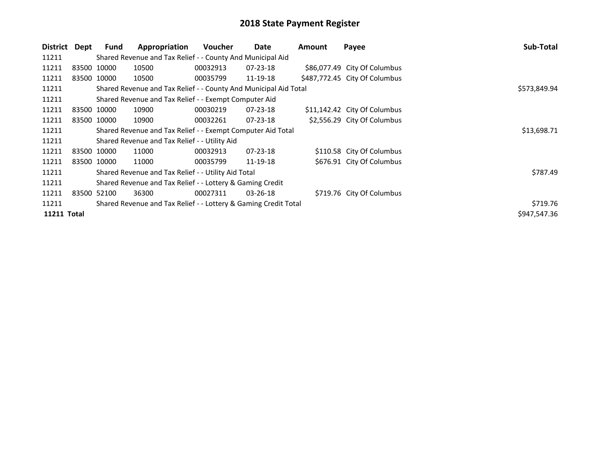| District           | Dept        | <b>Fund</b>                                                     | Appropriation                                                    | <b>Voucher</b> | Date           | Amount | Payee                         | Sub-Total    |
|--------------------|-------------|-----------------------------------------------------------------|------------------------------------------------------------------|----------------|----------------|--------|-------------------------------|--------------|
| 11211              |             |                                                                 | Shared Revenue and Tax Relief - - County And Municipal Aid       |                |                |        |                               |              |
| 11211              | 83500 10000 |                                                                 | 10500                                                            | 00032913       | $07 - 23 - 18$ |        | \$86,077.49 City Of Columbus  |              |
| 11211              |             | 83500 10000                                                     | 10500                                                            | 00035799       | 11-19-18       |        | \$487,772.45 City Of Columbus |              |
| 11211              |             |                                                                 | Shared Revenue and Tax Relief - - County And Municipal Aid Total |                |                |        |                               | \$573,849.94 |
| 11211              |             |                                                                 | Shared Revenue and Tax Relief - - Exempt Computer Aid            |                |                |        |                               |              |
| 11211              |             | 83500 10000                                                     | 10900                                                            | 00030219       | $07 - 23 - 18$ |        | \$11,142.42 City Of Columbus  |              |
| 11211              |             | 83500 10000                                                     | 10900                                                            | 00032261       | $07 - 23 - 18$ |        | \$2,556.29 City Of Columbus   |              |
| 11211              |             |                                                                 | Shared Revenue and Tax Relief - - Exempt Computer Aid Total      | \$13,698.71    |                |        |                               |              |
| 11211              |             |                                                                 | Shared Revenue and Tax Relief - - Utility Aid                    |                |                |        |                               |              |
| 11211              |             | 83500 10000                                                     | 11000                                                            | 00032913       | $07 - 23 - 18$ |        | \$110.58 City Of Columbus     |              |
| 11211              |             | 83500 10000                                                     | 11000                                                            | 00035799       | 11-19-18       |        | \$676.91 City Of Columbus     |              |
| 11211              |             |                                                                 | Shared Revenue and Tax Relief - - Utility Aid Total              |                |                |        |                               | \$787.49     |
| 11211              |             |                                                                 | Shared Revenue and Tax Relief - - Lottery & Gaming Credit        |                |                |        |                               |              |
| 11211              | 83500 52100 |                                                                 | 36300                                                            | 00027311       | $03 - 26 - 18$ |        | \$719.76 City Of Columbus     |              |
| 11211              |             | Shared Revenue and Tax Relief - - Lottery & Gaming Credit Total | \$719.76                                                         |                |                |        |                               |              |
| <b>11211 Total</b> |             |                                                                 |                                                                  |                |                |        |                               | \$947,547.36 |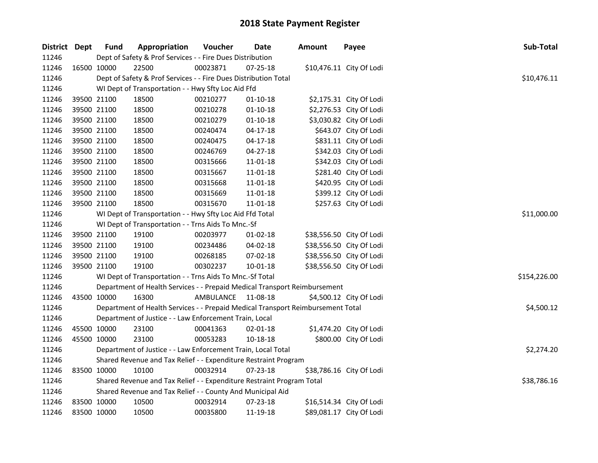| District Dept | <b>Fund</b>                                                           | Appropriation                                                                   | Voucher            | <b>Date</b>    | <b>Amount</b> | Payee                    | Sub-Total    |
|---------------|-----------------------------------------------------------------------|---------------------------------------------------------------------------------|--------------------|----------------|---------------|--------------------------|--------------|
| 11246         |                                                                       | Dept of Safety & Prof Services - - Fire Dues Distribution                       |                    |                |               |                          |              |
| 11246         | 16500 10000                                                           | 22500                                                                           | 00023871           | $07 - 25 - 18$ |               | \$10,476.11 City Of Lodi |              |
| 11246         |                                                                       | Dept of Safety & Prof Services - - Fire Dues Distribution Total                 |                    |                |               |                          | \$10,476.11  |
| 11246         |                                                                       | WI Dept of Transportation - - Hwy Sfty Loc Aid Ffd                              |                    |                |               |                          |              |
| 11246         | 39500 21100                                                           | 18500                                                                           | 00210277           | $01-10-18$     |               | \$2,175.31 City Of Lodi  |              |
| 11246         | 39500 21100                                                           | 18500                                                                           | 00210278           | $01 - 10 - 18$ |               | \$2,276.53 City Of Lodi  |              |
| 11246         | 39500 21100                                                           | 18500                                                                           | 00210279           | $01 - 10 - 18$ |               | \$3,030.82 City Of Lodi  |              |
| 11246         | 39500 21100                                                           | 18500                                                                           | 00240474           | $04 - 17 - 18$ |               | \$643.07 City Of Lodi    |              |
| 11246         | 39500 21100                                                           | 18500                                                                           | 00240475           | $04-17-18$     |               | \$831.11 City Of Lodi    |              |
| 11246         | 39500 21100                                                           | 18500                                                                           | 00246769           | 04-27-18       |               | \$342.03 City Of Lodi    |              |
| 11246         | 39500 21100                                                           | 18500                                                                           | 00315666           | 11-01-18       |               | \$342.03 City Of Lodi    |              |
| 11246         | 39500 21100                                                           | 18500                                                                           | 00315667           | 11-01-18       |               | \$281.40 City Of Lodi    |              |
| 11246         | 39500 21100                                                           | 18500                                                                           | 00315668           | $11 - 01 - 18$ |               | \$420.95 City Of Lodi    |              |
| 11246         | 39500 21100                                                           | 18500                                                                           | 00315669           | 11-01-18       |               | \$399.12 City Of Lodi    |              |
| 11246         | 39500 21100                                                           | 18500                                                                           | 00315670           | 11-01-18       |               | \$257.63 City Of Lodi    |              |
| 11246         |                                                                       | WI Dept of Transportation - - Hwy Sfty Loc Aid Ffd Total                        | \$11,000.00        |                |               |                          |              |
| 11246         |                                                                       | WI Dept of Transportation - - Trns Aids To Mnc.-Sf                              |                    |                |               |                          |              |
| 11246         | 39500 21100                                                           | 19100                                                                           | 00203977           | 01-02-18       |               | \$38,556.50 City Of Lodi |              |
| 11246         | 39500 21100                                                           | 19100                                                                           | 00234486           | 04-02-18       |               | \$38,556.50 City Of Lodi |              |
| 11246         | 39500 21100                                                           | 19100                                                                           | 00268185           | 07-02-18       |               | \$38,556.50 City Of Lodi |              |
| 11246         | 39500 21100                                                           | 19100                                                                           | 00302237           | $10 - 01 - 18$ |               | \$38,556.50 City Of Lodi |              |
| 11246         |                                                                       | WI Dept of Transportation - - Trns Aids To Mnc.-Sf Total                        |                    |                |               |                          | \$154,226.00 |
| 11246         |                                                                       | Department of Health Services - - Prepaid Medical Transport Reimbursement       |                    |                |               |                          |              |
| 11246         | 43500 10000                                                           | 16300                                                                           | AMBULANCE 11-08-18 |                |               | \$4,500.12 City Of Lodi  |              |
| 11246         |                                                                       | Department of Health Services - - Prepaid Medical Transport Reimbursement Total |                    |                |               |                          | \$4,500.12   |
| 11246         |                                                                       | Department of Justice - - Law Enforcement Train, Local                          |                    |                |               |                          |              |
| 11246         | 45500 10000                                                           | 23100                                                                           | 00041363           | 02-01-18       |               | \$1,474.20 City Of Lodi  |              |
| 11246         | 45500 10000                                                           | 23100                                                                           | 00053283           | 10-18-18       |               | \$800.00 City Of Lodi    |              |
| 11246         |                                                                       | Department of Justice - - Law Enforcement Train, Local Total                    |                    |                |               |                          | \$2,274.20   |
| 11246         |                                                                       | Shared Revenue and Tax Relief - - Expenditure Restraint Program                 |                    |                |               |                          |              |
| 11246         | 83500 10000                                                           | 10100                                                                           | 00032914           | $07 - 23 - 18$ |               | \$38,786.16 City Of Lodi |              |
| 11246         | Shared Revenue and Tax Relief - - Expenditure Restraint Program Total |                                                                                 |                    |                |               |                          |              |
| 11246         |                                                                       | Shared Revenue and Tax Relief - - County And Municipal Aid                      |                    |                |               |                          |              |
| 11246         | 83500 10000                                                           | 10500                                                                           | 00032914           | 07-23-18       |               | \$16,514.34 City Of Lodi |              |
| 11246         | 83500 10000                                                           | 10500                                                                           | 00035800           | 11-19-18       |               | \$89,081.17 City Of Lodi |              |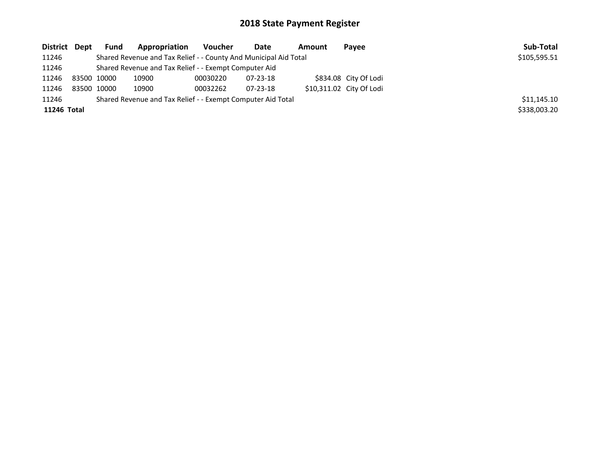| District Dept | <b>Fund</b> | Appropriation                                                    | Voucher  | Date     | Amount | Payee                    | Sub-Total    |
|---------------|-------------|------------------------------------------------------------------|----------|----------|--------|--------------------------|--------------|
| 11246         |             | Shared Revenue and Tax Relief - - County And Municipal Aid Total |          |          |        |                          | \$105,595.51 |
| 11246         |             | Shared Revenue and Tax Relief - - Exempt Computer Aid            |          |          |        |                          |              |
| 11246         | 83500 10000 | 10900                                                            | 00030220 | 07-23-18 |        | \$834.08 City Of Lodi    |              |
| 11246         | 83500 10000 | 10900                                                            | 00032262 | 07-23-18 |        | \$10,311.02 City Of Lodi |              |
| 11246         |             | Shared Revenue and Tax Relief - - Exempt Computer Aid Total      |          |          |        |                          | \$11,145.10  |
| 11246 Total   |             |                                                                  |          |          |        |                          | \$338,003.20 |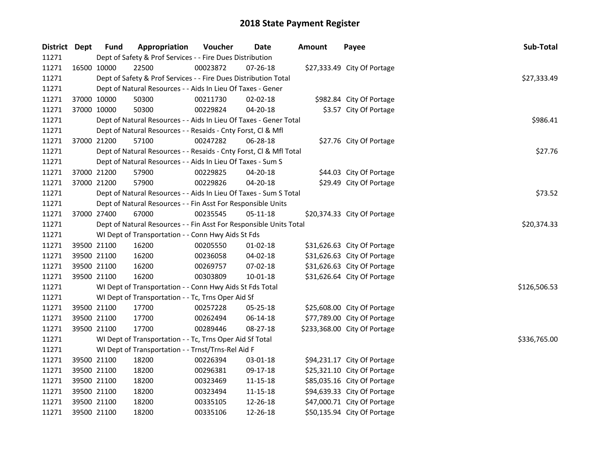| District Dept |             | <b>Fund</b> | Appropriation                                                      | Voucher     | Date           | <b>Amount</b> | Payee                        | Sub-Total    |
|---------------|-------------|-------------|--------------------------------------------------------------------|-------------|----------------|---------------|------------------------------|--------------|
| 11271         |             |             | Dept of Safety & Prof Services - - Fire Dues Distribution          |             |                |               |                              |              |
| 11271         | 16500 10000 |             | 22500                                                              | 00023872    | 07-26-18       |               | \$27,333.49 City Of Portage  |              |
| 11271         |             |             | Dept of Safety & Prof Services - - Fire Dues Distribution Total    |             |                |               |                              | \$27,333.49  |
| 11271         |             |             | Dept of Natural Resources - - Aids In Lieu Of Taxes - Gener        |             |                |               |                              |              |
| 11271         |             | 37000 10000 | 50300                                                              | 00211730    | 02-02-18       |               | \$982.84 City Of Portage     |              |
| 11271         | 37000 10000 |             | 50300                                                              | 00229824    | 04-20-18       |               | \$3.57 City Of Portage       |              |
| 11271         |             |             | Dept of Natural Resources - - Aids In Lieu Of Taxes - Gener Total  |             |                |               |                              | \$986.41     |
| 11271         |             |             | Dept of Natural Resources - - Resaids - Cnty Forst, Cl & Mfl       |             |                |               |                              |              |
| 11271         | 37000 21200 |             | 57100                                                              | 00247282    | 06-28-18       |               | \$27.76 City Of Portage      |              |
| 11271         |             |             | Dept of Natural Resources - - Resaids - Cnty Forst, Cl & Mfl Total |             |                |               |                              | \$27.76      |
| 11271         |             |             | Dept of Natural Resources - - Aids In Lieu Of Taxes - Sum S        |             |                |               |                              |              |
| 11271         |             | 37000 21200 | 57900                                                              | 00229825    | 04-20-18       |               | \$44.03 City Of Portage      |              |
| 11271         |             | 37000 21200 | 57900                                                              | 00229826    | 04-20-18       |               | \$29.49 City Of Portage      |              |
| 11271         |             |             | Dept of Natural Resources - - Aids In Lieu Of Taxes - Sum S Total  |             |                |               |                              | \$73.52      |
| 11271         |             |             | Dept of Natural Resources - - Fin Asst For Responsible Units       |             |                |               |                              |              |
| 11271         |             | 37000 27400 | 67000                                                              | 00235545    | 05-11-18       |               | \$20,374.33 City Of Portage  |              |
| 11271         |             |             | Dept of Natural Resources - - Fin Asst For Responsible Units Total | \$20,374.33 |                |               |                              |              |
| 11271         |             |             | WI Dept of Transportation - - Conn Hwy Aids St Fds                 |             |                |               |                              |              |
| 11271         |             | 39500 21100 | 16200                                                              | 00205550    | $01 - 02 - 18$ |               | \$31,626.63 City Of Portage  |              |
| 11271         | 39500 21100 |             | 16200                                                              | 00236058    | 04-02-18       |               | \$31,626.63 City Of Portage  |              |
| 11271         | 39500 21100 |             | 16200                                                              | 00269757    | 07-02-18       |               | \$31,626.63 City Of Portage  |              |
| 11271         | 39500 21100 |             | 16200                                                              | 00303809    | $10 - 01 - 18$ |               | \$31,626.64 City Of Portage  |              |
| 11271         |             |             | WI Dept of Transportation - - Conn Hwy Aids St Fds Total           |             |                |               |                              | \$126,506.53 |
| 11271         |             |             | WI Dept of Transportation - - Tc, Trns Oper Aid Sf                 |             |                |               |                              |              |
| 11271         | 39500 21100 |             | 17700                                                              | 00257228    | 05-25-18       |               | \$25,608.00 City Of Portage  |              |
| 11271         | 39500 21100 |             | 17700                                                              | 00262494    | 06-14-18       |               | \$77,789.00 City Of Portage  |              |
| 11271         |             | 39500 21100 | 17700                                                              | 00289446    | 08-27-18       |               | \$233,368.00 City Of Portage |              |
| 11271         |             |             | WI Dept of Transportation - - Tc, Trns Oper Aid Sf Total           |             |                |               |                              | \$336,765.00 |
| 11271         |             |             | WI Dept of Transportation - - Trnst/Trns-Rel Aid F                 |             |                |               |                              |              |
| 11271         | 39500 21100 |             | 18200                                                              | 00226394    | 03-01-18       |               | \$94,231.17 City Of Portage  |              |
| 11271         | 39500 21100 |             | 18200                                                              | 00296381    | 09-17-18       |               | \$25,321.10 City Of Portage  |              |
| 11271         | 39500 21100 |             | 18200                                                              | 00323469    | 11-15-18       |               | \$85,035.16 City Of Portage  |              |
| 11271         | 39500 21100 |             | 18200                                                              | 00323494    | 11-15-18       |               | \$94,639.33 City Of Portage  |              |
| 11271         | 39500 21100 |             | 18200                                                              | 00335105    | 12-26-18       |               | \$47,000.71 City Of Portage  |              |
| 11271         |             | 39500 21100 | 18200                                                              | 00335106    | 12-26-18       |               | \$50,135.94 City Of Portage  |              |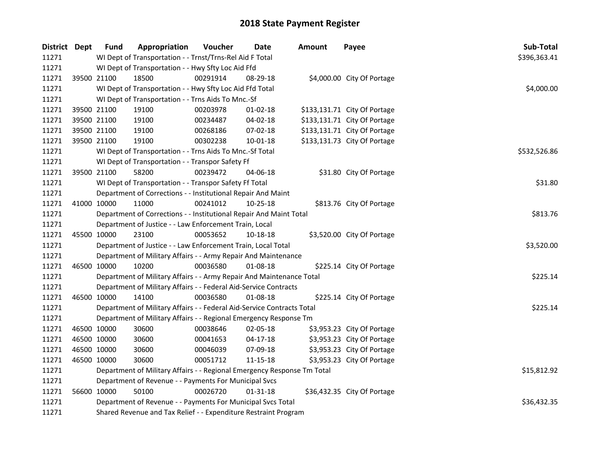| District Dept |             | <b>Fund</b>                                                             | Appropriation                                                  | Voucher  | <b>Date</b>    | <b>Amount</b> | Payee                        | Sub-Total    |  |
|---------------|-------------|-------------------------------------------------------------------------|----------------------------------------------------------------|----------|----------------|---------------|------------------------------|--------------|--|
| 11271         |             | WI Dept of Transportation - - Trnst/Trns-Rel Aid F Total                | \$396,363.41                                                   |          |                |               |                              |              |  |
| 11271         |             | WI Dept of Transportation - - Hwy Sfty Loc Aid Ffd                      |                                                                |          |                |               |                              |              |  |
| 11271         |             | 39500 21100                                                             | 18500                                                          | 00291914 | 08-29-18       |               | \$4,000.00 City Of Portage   |              |  |
| 11271         |             |                                                                         | WI Dept of Transportation - - Hwy Sfty Loc Aid Ffd Total       |          |                |               |                              | \$4,000.00   |  |
| 11271         |             | WI Dept of Transportation - - Trns Aids To Mnc.-Sf                      |                                                                |          |                |               |                              |              |  |
| 11271         |             | 39500 21100                                                             | 19100                                                          | 00203978 | $01 - 02 - 18$ |               | \$133,131.71 City Of Portage |              |  |
| 11271         |             | 39500 21100                                                             | 19100                                                          | 00234487 | 04-02-18       |               | \$133,131.71 City Of Portage |              |  |
| 11271         |             | 39500 21100                                                             | 19100                                                          | 00268186 | 07-02-18       |               | \$133,131.71 City Of Portage |              |  |
| 11271         |             | 39500 21100                                                             | 19100                                                          | 00302238 | 10-01-18       |               | \$133,131.73 City Of Portage |              |  |
| 11271         |             |                                                                         | WI Dept of Transportation - - Trns Aids To Mnc.-Sf Total       |          |                |               |                              | \$532,526.86 |  |
| 11271         |             |                                                                         | WI Dept of Transportation - - Transpor Safety Ff               |          |                |               |                              |              |  |
| 11271         |             | 39500 21100                                                             | 58200                                                          | 00239472 | 04-06-18       |               | \$31.80 City Of Portage      |              |  |
| 11271         |             |                                                                         | WI Dept of Transportation - - Transpor Safety Ff Total         |          |                |               |                              | \$31.80      |  |
| 11271         |             |                                                                         | Department of Corrections - - Institutional Repair And Maint   |          |                |               |                              |              |  |
| 11271         |             | 41000 10000                                                             | 11000                                                          | 00241012 | 10-25-18       |               | \$813.76 City Of Portage     |              |  |
| 11271         |             | Department of Corrections - - Institutional Repair And Maint Total      | \$813.76                                                       |          |                |               |                              |              |  |
| 11271         |             | Department of Justice - - Law Enforcement Train, Local                  |                                                                |          |                |               |                              |              |  |
| 11271         |             | 45500 10000                                                             | 23100                                                          | 00053652 | 10-18-18       |               | \$3,520.00 City Of Portage   |              |  |
| 11271         |             | Department of Justice - - Law Enforcement Train, Local Total            |                                                                |          |                |               |                              |              |  |
| 11271         |             |                                                                         | Department of Military Affairs - - Army Repair And Maintenance |          |                |               |                              |              |  |
| 11271         | 46500 10000 |                                                                         | 10200                                                          | 00036580 | 01-08-18       |               | \$225.14 City Of Portage     |              |  |
| 11271         |             | Department of Military Affairs - - Army Repair And Maintenance Total    |                                                                |          |                |               |                              |              |  |
| 11271         |             | Department of Military Affairs - - Federal Aid-Service Contracts        |                                                                |          |                |               |                              |              |  |
| 11271         | 46500 10000 |                                                                         | 14100                                                          | 00036580 | 01-08-18       |               | \$225.14 City Of Portage     |              |  |
| 11271         |             | Department of Military Affairs - - Federal Aid-Service Contracts Total  |                                                                |          |                |               |                              |              |  |
| 11271         |             | Department of Military Affairs - - Regional Emergency Response Tm       |                                                                |          |                |               |                              |              |  |
| 11271         |             | 46500 10000                                                             | 30600                                                          | 00038646 | 02-05-18       |               | \$3,953.23 City Of Portage   |              |  |
| 11271         |             | 46500 10000                                                             | 30600                                                          | 00041653 | $04 - 17 - 18$ |               | \$3,953.23 City Of Portage   |              |  |
| 11271         |             | 46500 10000                                                             | 30600                                                          | 00046039 | 07-09-18       |               | \$3,953.23 City Of Portage   |              |  |
| 11271         |             | 46500 10000                                                             | 30600                                                          | 00051712 | 11-15-18       |               | \$3,953.23 City Of Portage   |              |  |
| 11271         |             | Department of Military Affairs - - Regional Emergency Response Tm Total | \$15,812.92                                                    |          |                |               |                              |              |  |
| 11271         |             | Department of Revenue - - Payments For Municipal Svcs                   |                                                                |          |                |               |                              |              |  |
| 11271         |             | 56600 10000                                                             | 50100                                                          | 00026720 | $01 - 31 - 18$ |               | \$36,432.35 City Of Portage  |              |  |
| 11271         |             | Department of Revenue - - Payments For Municipal Svcs Total             |                                                                |          |                |               |                              |              |  |
| 11271         |             | Shared Revenue and Tax Relief - - Expenditure Restraint Program         |                                                                |          |                |               |                              |              |  |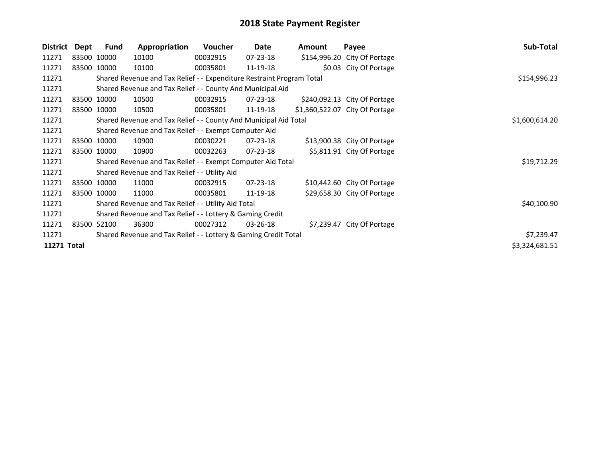| District    | Dept | Fund        | Appropriation                                                         | <b>Voucher</b> | Date           | <b>Amount</b> | Payee                          | Sub-Total      |
|-------------|------|-------------|-----------------------------------------------------------------------|----------------|----------------|---------------|--------------------------------|----------------|
| 11271       |      | 83500 10000 | 10100                                                                 | 00032915       | 07-23-18       |               | \$154,996.20 City Of Portage   |                |
| 11271       |      | 83500 10000 | 10100                                                                 | 00035801       | 11-19-18       |               | \$0.03 City Of Portage         |                |
| 11271       |      |             | Shared Revenue and Tax Relief - - Expenditure Restraint Program Total |                |                |               |                                | \$154,996.23   |
| 11271       |      |             | Shared Revenue and Tax Relief - - County And Municipal Aid            |                |                |               |                                |                |
| 11271       |      | 83500 10000 | 10500                                                                 | 00032915       | 07-23-18       |               | \$240,092.13 City Of Portage   |                |
| 11271       |      | 83500 10000 | 10500                                                                 | 00035801       | 11-19-18       |               | \$1,360,522.07 City Of Portage |                |
| 11271       |      |             | Shared Revenue and Tax Relief - - County And Municipal Aid Total      |                |                |               |                                | \$1,600,614.20 |
| 11271       |      |             | Shared Revenue and Tax Relief - - Exempt Computer Aid                 |                |                |               |                                |                |
| 11271       |      | 83500 10000 | 10900                                                                 | 00030221       | 07-23-18       |               | \$13,900.38 City Of Portage    |                |
| 11271       |      | 83500 10000 | 10900                                                                 | 00032263       | $07 - 23 - 18$ |               | \$5,811.91 City Of Portage     |                |
| 11271       |      |             | Shared Revenue and Tax Relief - - Exempt Computer Aid Total           | \$19,712.29    |                |               |                                |                |
| 11271       |      |             | Shared Revenue and Tax Relief - - Utility Aid                         |                |                |               |                                |                |
| 11271       |      | 83500 10000 | 11000                                                                 | 00032915       | $07 - 23 - 18$ |               | \$10,442.60 City Of Portage    |                |
| 11271       |      | 83500 10000 | 11000                                                                 | 00035801       | 11-19-18       |               | \$29,658.30 City Of Portage    |                |
| 11271       |      |             | Shared Revenue and Tax Relief - - Utility Aid Total                   | \$40,100.90    |                |               |                                |                |
| 11271       |      |             | Shared Revenue and Tax Relief - - Lottery & Gaming Credit             |                |                |               |                                |                |
| 11271       |      | 83500 52100 | 36300                                                                 | 00027312       | 03-26-18       |               | \$7,239.47 City Of Portage     |                |
| 11271       |      |             | Shared Revenue and Tax Relief - - Lottery & Gaming Credit Total       |                |                |               |                                | \$7,239.47     |
| 11271 Total |      |             |                                                                       |                |                |               |                                | \$3,324,681.51 |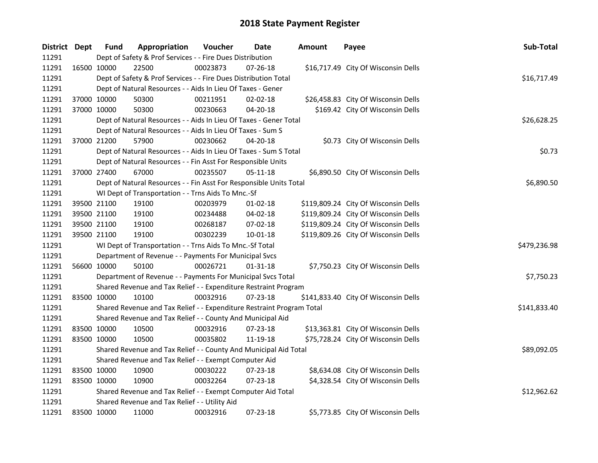| District Dept |             | <b>Fund</b>                                                           | Appropriation                                                      | Voucher  | <b>Date</b>    | <b>Amount</b> | Payee                                | Sub-Total   |
|---------------|-------------|-----------------------------------------------------------------------|--------------------------------------------------------------------|----------|----------------|---------------|--------------------------------------|-------------|
| 11291         |             | Dept of Safety & Prof Services - - Fire Dues Distribution             |                                                                    |          |                |               |                                      |             |
| 11291         |             | 16500 10000                                                           | 22500                                                              | 00023873 | $07 - 26 - 18$ |               | \$16,717.49 City Of Wisconsin Dells  |             |
| 11291         |             | Dept of Safety & Prof Services - - Fire Dues Distribution Total       | \$16,717.49                                                        |          |                |               |                                      |             |
| 11291         |             | Dept of Natural Resources - - Aids In Lieu Of Taxes - Gener           |                                                                    |          |                |               |                                      |             |
| 11291         |             | 37000 10000                                                           | 50300                                                              | 00211951 | $02 - 02 - 18$ |               | \$26,458.83 City Of Wisconsin Dells  |             |
| 11291         |             | 37000 10000                                                           | 50300                                                              | 00230663 | 04-20-18       |               | \$169.42 City Of Wisconsin Dells     |             |
| 11291         |             |                                                                       | Dept of Natural Resources - - Aids In Lieu Of Taxes - Gener Total  |          |                |               |                                      | \$26,628.25 |
| 11291         |             |                                                                       | Dept of Natural Resources - - Aids In Lieu Of Taxes - Sum S        |          |                |               |                                      |             |
| 11291         |             | 37000 21200                                                           | 57900                                                              | 00230662 | 04-20-18       |               | \$0.73 City Of Wisconsin Dells       |             |
| 11291         |             |                                                                       | Dept of Natural Resources - - Aids In Lieu Of Taxes - Sum S Total  |          |                |               |                                      | \$0.73      |
| 11291         |             |                                                                       | Dept of Natural Resources - - Fin Asst For Responsible Units       |          |                |               |                                      |             |
| 11291         |             | 37000 27400                                                           | 67000                                                              | 00235507 | 05-11-18       |               | \$6,890.50 City Of Wisconsin Dells   |             |
| 11291         |             |                                                                       | Dept of Natural Resources - - Fin Asst For Responsible Units Total |          |                |               |                                      | \$6,890.50  |
| 11291         |             |                                                                       | WI Dept of Transportation - - Trns Aids To Mnc.-Sf                 |          |                |               |                                      |             |
| 11291         |             | 39500 21100                                                           | 19100                                                              | 00203979 | 01-02-18       |               | \$119,809.24 City Of Wisconsin Dells |             |
| 11291         |             | 39500 21100                                                           | 19100                                                              | 00234488 | 04-02-18       |               | \$119,809.24 City Of Wisconsin Dells |             |
| 11291         |             | 39500 21100                                                           | 19100                                                              | 00268187 | 07-02-18       |               | \$119,809.24 City Of Wisconsin Dells |             |
| 11291         |             | 39500 21100                                                           | 19100                                                              | 00302239 | $10 - 01 - 18$ |               | \$119,809.26 City Of Wisconsin Dells |             |
| 11291         |             | WI Dept of Transportation - - Trns Aids To Mnc.-Sf Total              | \$479,236.98                                                       |          |                |               |                                      |             |
| 11291         |             |                                                                       | Department of Revenue - - Payments For Municipal Svcs              |          |                |               |                                      |             |
| 11291         |             | 56600 10000                                                           | 50100                                                              | 00026721 | $01 - 31 - 18$ |               | \$7,750.23 City Of Wisconsin Dells   |             |
| 11291         |             | Department of Revenue - - Payments For Municipal Svcs Total           | \$7,750.23                                                         |          |                |               |                                      |             |
| 11291         |             | Shared Revenue and Tax Relief - - Expenditure Restraint Program       |                                                                    |          |                |               |                                      |             |
| 11291         |             | 83500 10000                                                           | 10100                                                              | 00032916 | 07-23-18       |               | \$141,833.40 City Of Wisconsin Dells |             |
| 11291         |             | Shared Revenue and Tax Relief - - Expenditure Restraint Program Total | \$141,833.40                                                       |          |                |               |                                      |             |
| 11291         |             |                                                                       | Shared Revenue and Tax Relief - - County And Municipal Aid         |          |                |               |                                      |             |
| 11291         |             | 83500 10000                                                           | 10500                                                              | 00032916 | 07-23-18       |               | \$13,363.81 City Of Wisconsin Dells  |             |
| 11291         |             | 83500 10000                                                           | 10500                                                              | 00035802 | 11-19-18       |               | \$75,728.24 City Of Wisconsin Dells  |             |
| 11291         |             | Shared Revenue and Tax Relief - - County And Municipal Aid Total      | \$89,092.05                                                        |          |                |               |                                      |             |
| 11291         |             | Shared Revenue and Tax Relief - - Exempt Computer Aid                 |                                                                    |          |                |               |                                      |             |
| 11291         |             | 83500 10000                                                           | 10900                                                              | 00030222 | 07-23-18       |               | \$8,634.08 City Of Wisconsin Dells   |             |
| 11291         | 83500 10000 |                                                                       | 10900                                                              | 00032264 | 07-23-18       |               | \$4,328.54 City Of Wisconsin Dells   |             |
| 11291         |             |                                                                       | Shared Revenue and Tax Relief - - Exempt Computer Aid Total        |          |                |               |                                      | \$12,962.62 |
| 11291         |             | Shared Revenue and Tax Relief - - Utility Aid                         |                                                                    |          |                |               |                                      |             |
| 11291         | 83500 10000 |                                                                       | 11000                                                              | 00032916 | 07-23-18       |               | \$5,773.85 City Of Wisconsin Dells   |             |